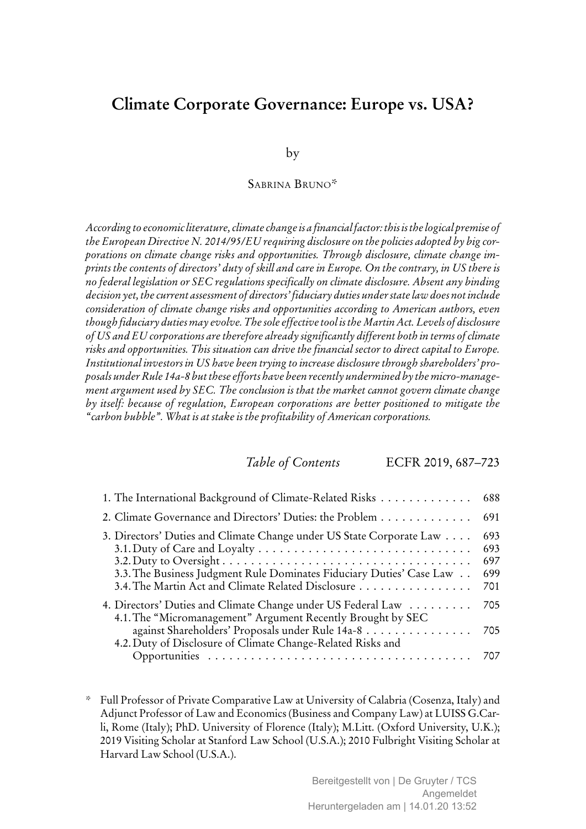# Climate Corporate Governance: Europe vs. USA?

by

SABRINA BRUNO\*

According to economic literature, climate change is a financial factor: this is the logical premise of the European Directive N. 2014/95/EU requiring disclosure on the policies adopted by big corporations on climate change risks and opportunities. Through disclosure, climate change imprints the contents of directors' duty of skill and care in Europe. On the contrary, in US there is no federal legislation or SEC regulations specifically on climate disclosure. Absent any binding decision yet, the current assessment of directors'fiduciary duties under state law does not include consideration of climate change risks and opportunities according to American authors, even though fiduciary duties may evolve. The sole effective tool is theMartin Act. Levels of disclosure of US and EU corporations are therefore already significantly different both in terms of climate risks and opportunities. This situation can drive the financial sector to direct capital to Europe. Institutional investors in US have been trying to increase disclosure through shareholders' proposals under Rule 14a-8 but these efforts have been recently undermined by the micro-management argument used by SEC. The conclusion is that the market cannot govern climate change by itself: because of regulation, European corporations are better positioned to mitigate the "carbon bubble". What is at stake is the profitability of American corporations.

### Table of Contents ECFR 2019, 687–723

| 1. The International Background of Climate-Related Risks                                                                                                                                           | 688                             |
|----------------------------------------------------------------------------------------------------------------------------------------------------------------------------------------------------|---------------------------------|
| 2. Climate Governance and Directors' Duties: the Problem                                                                                                                                           | 691                             |
| 3. Directors' Duties and Climate Change under US State Corporate Law<br>3.3. The Business Judgment Rule Dominates Fiduciary Duties' Case Law<br>3.4. The Martin Act and Climate Related Disclosure | 693<br>693<br>697<br>699<br>701 |
| 4. Directors' Duties and Climate Change under US Federal Law<br>4.1. The "Micromanagement" Argument Recently Brought by SEC                                                                        | 705                             |
| against Shareholders' Proposals under Rule 14a-8<br>4.2. Duty of Disclosure of Climate Change-Related Risks and                                                                                    | 705                             |
|                                                                                                                                                                                                    | 707                             |

\* Full Professor of Private Comparative Law at University of Calabria (Cosenza, Italy) and Adjunct Professor of Law and Economics (Business and Company Law) at LUISS G.Carli, Rome (Italy); PhD. University of Florence (Italy); M.Litt. (Oxford University, U.K.); 2019 Visiting Scholar at Stanford Law School (U.S.A.); 2010 Fulbright Visiting Scholar at Harvard Law School (U.S.A.).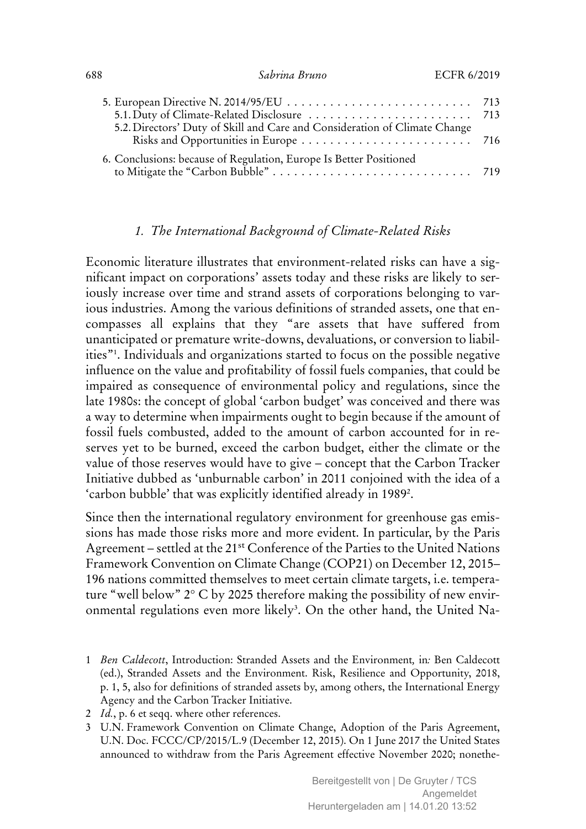688 Sabrina Bruno ECFR 6/2019

| 5.2. Directors' Duty of Skill and Care and Consideration of Climate Change |  |
|----------------------------------------------------------------------------|--|
|                                                                            |  |
| 6. Conclusions: because of Regulation, Europe Is Better Positioned         |  |
|                                                                            |  |

## 1. The International Background of Climate-Related Risks

Economic literature illustrates that environment-related risks can have a significant impact on corporations' assets today and these risks are likely to seriously increase over time and strand assets of corporations belonging to various industries. Among the various definitions of stranded assets, one that encompasses all explains that they "are assets that have suffered from unanticipated or premature write-downs, devaluations, or conversion to liabilities"<sup>1</sup> . Individuals and organizations started to focus on the possible negative influence on the value and profitability of fossil fuels companies, that could be impaired as consequence of environmental policy and regulations, since the late 1980s: the concept of global 'carbon budget' was conceived and there was a way to determine when impairments ought to begin because if the amount of fossil fuels combusted, added to the amount of carbon accounted for in reserves yet to be burned, exceed the carbon budget, either the climate or the value of those reserves would have to give – concept that the Carbon Tracker Initiative dubbed as 'unburnable carbon' in 2011 conjoined with the idea of a 'carbon bubble' that was explicitly identified already in 1989<sup>2</sup>.

Since then the international regulatory environment for greenhouse gas emissions has made those risks more and more evident. In particular, by the Paris Agreement – settled at the 21st Conference of the Parties to the United Nations Framework Convention on Climate Change (COP21) on December 12, 2015– 196 nations committed themselves to meet certain climate targets, i.e. temperature "well below" 2° C by 2025 therefore making the possibility of new environmental regulations even more likely<sup>3</sup>. On the other hand, the United Na-

<sup>1</sup> Ben Caldecott, Introduction: Stranded Assets and the Environment, in: Ben Caldecott (ed.), Stranded Assets and the Environment. Risk, Resilience and Opportunity, 2018, p. 1, 5, also for definitions of stranded assets by, among others, the International Energy Agency and the Carbon Tracker Initiative.

<sup>2</sup> Id., p. 6 et seqq. where other references.

<sup>3</sup> U.N. Framework Convention on Climate Change, Adoption of the Paris Agreement, U.N. Doc. FCCC/CP/2015/L.9 (December 12, 2015). On 1 June 2017 the United States announced to withdraw from the Paris Agreement effective November 2020; nonethe-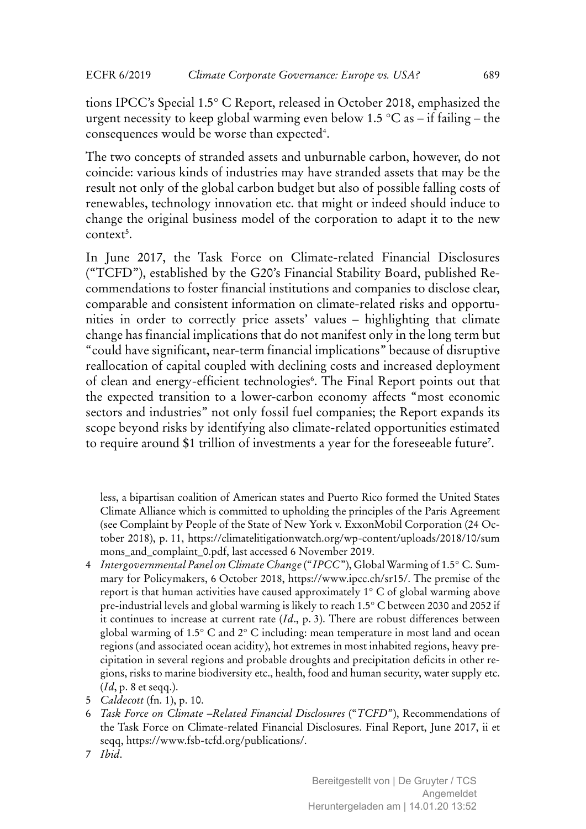tions IPCC's Special 1.5° C Report, released in October 2018, emphasized the urgent necessity to keep global warming even below 1.5  $\degree$ C as – if failing – the consequences would be worse than expected<sup>4</sup>.

The two concepts of stranded assets and unburnable carbon, however, do not coincide: various kinds of industries may have stranded assets that may be the result not only of the global carbon budget but also of possible falling costs of renewables, technology innovation etc. that might or indeed should induce to change the original business model of the corporation to adapt it to the new context<sup>5</sup>.

In June 2017, the Task Force on Climate-related Financial Disclosures ("TCFD"), established by the G20's Financial Stability Board, published Recommendations to foster financial institutions and companies to disclose clear, comparable and consistent information on climate-related risks and opportunities in order to correctly price assets' values – highlighting that climate change has financial implications that do not manifest only in the long term but "could have significant, near-term financial implications" because of disruptive reallocation of capital coupled with declining costs and increased deployment of clean and energy-efficient technologies<sup>6</sup>. The Final Report points out that the expected transition to a lower-carbon economy affects "most economic sectors and industries" not only fossil fuel companies; the Report expands its scope beyond risks by identifying also climate-related opportunities estimated to require around \$1 trillion of investments a year for the foreseeable future7 .

less, a bipartisan coalition of American states and Puerto Rico formed the United States Climate Alliance which is committed to upholding the principles of the Paris Agreement (see Complaint by People of the State of New York v. ExxonMobil Corporation (24 October 2018), p. 11, https://climatelitigationwatch.org/wp-content/uploads/2018/10/sum mons\_and\_complaint\_0.pdf, last accessed 6 November 2019.

- 4 Intergovernmental Panel on Climate Change ("IPCC"), Global Warming of 1.5° C. Summary for Policymakers, 6 October 2018, https://www.ipcc.ch/sr15/. The premise of the report is that human activities have caused approximately 1° C of global warming above pre-industrial levels and global warming is likely to reach 1.5° C between 2030 and 2052 if it continues to increase at current rate  $(Id, p. 3)$ . There are robust differences between global warming of 1.5° C and 2° C including: mean temperature in most land and ocean regions (and associated ocean acidity), hot extremes in most inhabited regions, heavy precipitation in several regions and probable droughts and precipitation deficits in other regions, risks to marine biodiversity etc., health, food and human security, water supply etc.  $(Id, p. 8$  et seqq.).
- 5 Caldecott (fn. 1), p. 10.
- 6 Task Force on Climate –Related Financial Disclosures ("TCFD"), Recommendations of the Task Force on Climate-related Financial Disclosures. Final Report, June 2017, ii et seqq, https://www.fsb-tcfd.org/publications/.
- 7 Ibid.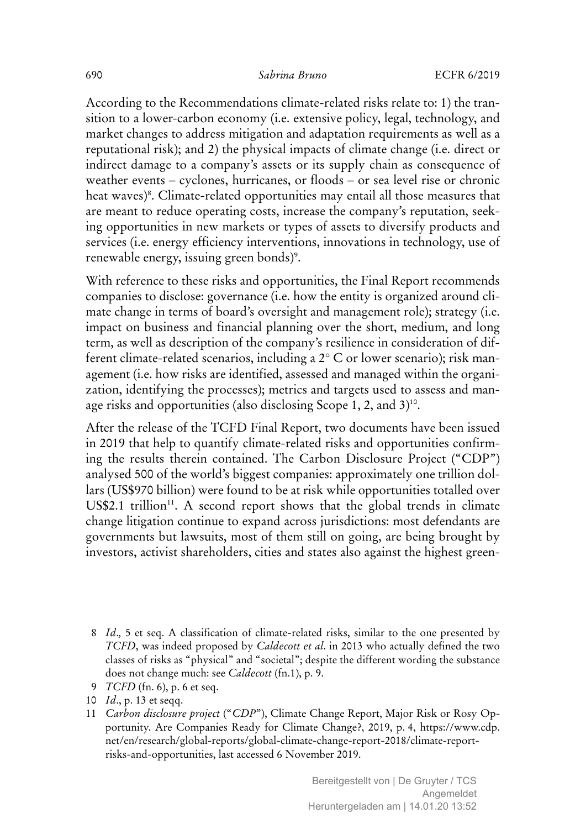According to the Recommendations climate-related risks relate to: 1) the transition to a lower-carbon economy (i.e. extensive policy, legal, technology, and market changes to address mitigation and adaptation requirements as well as a reputational risk); and 2) the physical impacts of climate change (i.e. direct or indirect damage to a company's assets or its supply chain as consequence of weather events – cyclones, hurricanes, or floods – or sea level rise or chronic heat waves)<sup>8</sup>. Climate-related opportunities may entail all those measures that are meant to reduce operating costs, increase the company's reputation, seeking opportunities in new markets or types of assets to diversify products and services (i.e. energy efficiency interventions, innovations in technology, use of renewable energy, issuing green bonds)<sup>9</sup>.

With reference to these risks and opportunities, the Final Report recommends companies to disclose: governance (i.e. how the entity is organized around climate change in terms of board's oversight and management role); strategy (i.e. impact on business and financial planning over the short, medium, and long term, as well as description of the company's resilience in consideration of different climate-related scenarios, including a 2° C or lower scenario); risk management (i.e. how risks are identified, assessed and managed within the organization, identifying the processes); metrics and targets used to assess and manage risks and opportunities (also disclosing Scope 1, 2, and 3)10.

After the release of the TCFD Final Report, two documents have been issued in 2019 that help to quantify climate-related risks and opportunities confirming the results therein contained. The Carbon Disclosure Project ("CDP") analysed 500 of the world's biggest companies: approximately one trillion dollars (US\$970 billion) were found to be at risk while opportunities totalled over  $US$2.1$  trillion<sup>11</sup>. A second report shows that the global trends in climate change litigation continue to expand across jurisdictions: most defendants are governments but lawsuits, most of them still on going, are being brought by investors, activist shareholders, cities and states also against the highest green-

- 8 Id., 5 et seq. A classification of climate-related risks, similar to the one presented by TCFD, was indeed proposed by Caldecott et al. in 2013 who actually defined the two classes of risks as "physical" and "societal"; despite the different wording the substance does not change much: see Caldecott (fn.1), p. 9.
- 9 TCFD (fn. 6), p. 6 et seq.
- 10 Id., p. 13 et seqq.
- 11 Carbon disclosure project ("CDP"), Climate Change Report, Major Risk or Rosy Opportunity. Are Companies Ready for Climate Change?, 2019, p. 4, https://www.cdp. net/en/research/global-reports/global-climate-change-report-2018/climate-reportrisks-and-opportunities, last accessed 6 November 2019.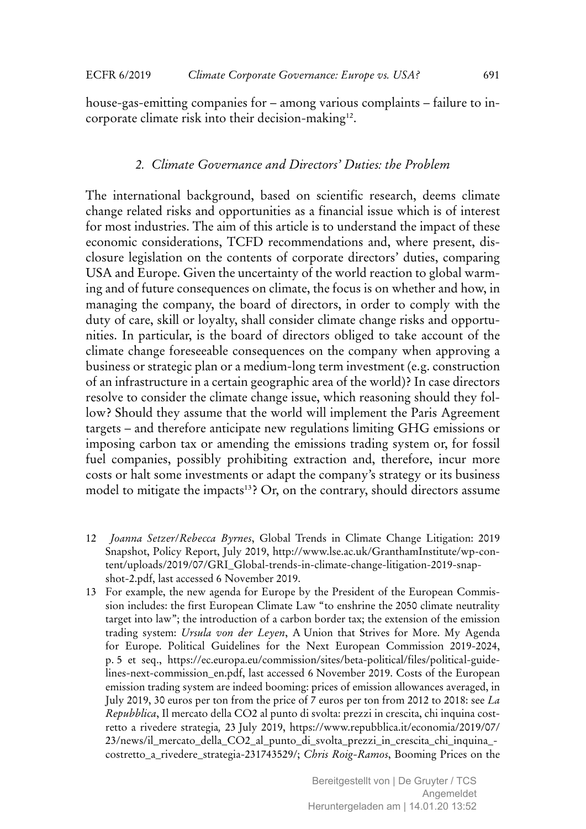house-gas-emitting companies for – among various complaints – failure to incorporate climate risk into their decision-making<sup>12</sup>.

### 2. Climate Governance and Directors' Duties: the Problem

The international background, based on scientific research, deems climate change related risks and opportunities as a financial issue which is of interest for most industries. The aim of this article is to understand the impact of these economic considerations, TCFD recommendations and, where present, disclosure legislation on the contents of corporate directors' duties, comparing USA and Europe. Given the uncertainty of the world reaction to global warming and of future consequences on climate, the focus is on whether and how, in managing the company, the board of directors, in order to comply with the duty of care, skill or loyalty, shall consider climate change risks and opportunities. In particular, is the board of directors obliged to take account of the climate change foreseeable consequences on the company when approving a business or strategic plan or a medium-long term investment (e.g. construction of an infrastructure in a certain geographic area of the world)? In case directors resolve to consider the climate change issue, which reasoning should they follow? Should they assume that the world will implement the Paris Agreement targets – and therefore anticipate new regulations limiting GHG emissions or imposing carbon tax or amending the emissions trading system or, for fossil fuel companies, possibly prohibiting extraction and, therefore, incur more costs or halt some investments or adapt the company's strategy or its business model to mitigate the impacts<sup>13</sup>? Or, on the contrary, should directors assume

- 12 Joanna Setzer/Rebecca Byrnes, Global Trends in Climate Change Litigation: 2019 Snapshot, Policy Report, July 2019, http://www.lse.ac.uk/GranthamInstitute/wp-content/uploads/2019/07/GRI\_Global-trends-in-climate-change-litigation-2019-snapshot-2.pdf, last accessed 6 November 2019.
- 13 For example, the new agenda for Europe by the President of the European Commission includes: the first European Climate Law "to enshrine the 2050 climate neutrality target into law"; the introduction of a carbon border tax; the extension of the emission trading system: Ursula von der Leyen, A Union that Strives for More. My Agenda for Europe. Political Guidelines for the Next European Commission 2019-2024, p. 5 et seq., https://ec.europa.eu/commission/sites/beta-political/files/political-guidelines-next-commission\_en.pdf, last accessed 6 November 2019. Costs of the European emission trading system are indeed booming: prices of emission allowances averaged, in July 2019, 30 euros per ton from the price of 7 euros per ton from 2012 to 2018: see La Repubblica, Il mercato della CO2 al punto di svolta: prezzi in crescita, chi inquina costretto a rivedere strategia, 23 July 2019, https://www.repubblica.it/economia/2019/07/ 23/news/il\_mercato\_della\_CO2\_al\_punto\_di\_svolta\_prezzi\_in\_crescita\_chi\_inquina\_ costretto\_a\_rivedere\_strategia-231743529/; Chris Roig-Ramos, Booming Prices on the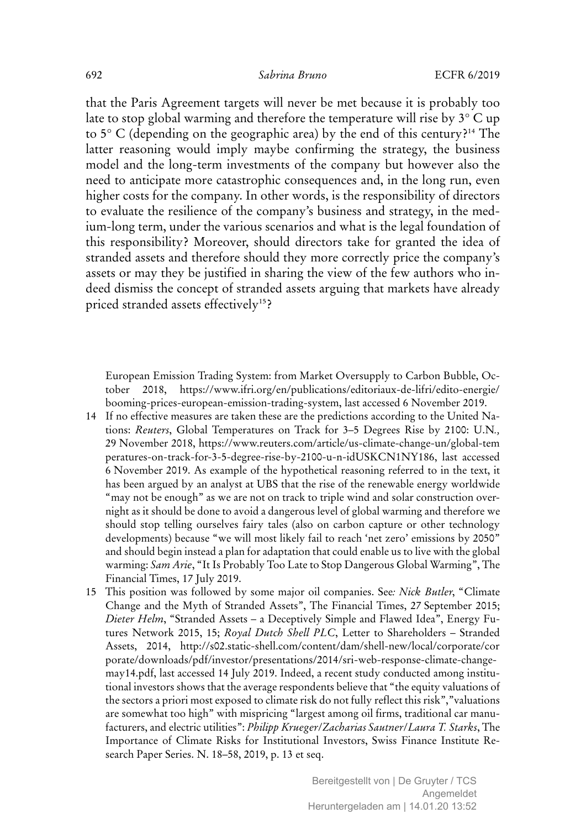that the Paris Agreement targets will never be met because it is probably too late to stop global warming and therefore the temperature will rise by 3° C up to  $5^{\circ}$  C (depending on the geographic area) by the end of this century?<sup>14</sup> The latter reasoning would imply maybe confirming the strategy, the business model and the long-term investments of the company but however also the need to anticipate more catastrophic consequences and, in the long run, even higher costs for the company. In other words, is the responsibility of directors to evaluate the resilience of the company's business and strategy, in the medium-long term, under the various scenarios and what is the legal foundation of this responsibility? Moreover, should directors take for granted the idea of stranded assets and therefore should they more correctly price the company's assets or may they be justified in sharing the view of the few authors who indeed dismiss the concept of stranded assets arguing that markets have already priced stranded assets effectively<sup>15</sup>?

European Emission Trading System: from Market Oversupply to Carbon Bubble, October 2018, https://www.ifri.org/en/publications/editoriaux-de-lifri/edito-energie/ booming-prices-european-emission-trading-system, last accessed 6 November 2019.

- 14 If no effective measures are taken these are the predictions according to the United Nations: Reuters, Global Temperatures on Track for 3–5 Degrees Rise by 2100: U.N., 29 November 2018, https://www.reuters.com/article/us-climate-change-un/global-tem peratures-on-track-for-3-5-degree-rise-by-2100-u-n-idUSKCN1NY186, last accessed 6 November 2019. As example of the hypothetical reasoning referred to in the text, it has been argued by an analyst at UBS that the rise of the renewable energy worldwide "may not be enough" as we are not on track to triple wind and solar construction overnight as it should be done to avoid a dangerous level of global warming and therefore we should stop telling ourselves fairy tales (also on carbon capture or other technology developments) because "we will most likely fail to reach 'net zero' emissions by 2050" and should begin instead a plan for adaptation that could enable us to live with the global warming: Sam Arie, "It Is Probably Too Late to Stop Dangerous Global Warming", The Financial Times, 17 July 2019.
- 15 This position was followed by some major oil companies. See: Nick Butler, "Climate Change and the Myth of Stranded Assets", The Financial Times, 27 September 2015; Dieter Helm, "Stranded Assets - a Deceptively Simple and Flawed Idea", Energy Futures Network 2015, 15; Royal Dutch Shell PLC, Letter to Shareholders – Stranded Assets, 2014, http://s02.static-shell.com/content/dam/shell-new/local/corporate/cor porate/downloads/pdf/investor/presentations/2014/sri-web-response-climate-changemay14.pdf, last accessed 14 July 2019. Indeed, a recent study conducted among institutional investors shows that the average respondents believe that "the equity valuations of the sectors a priori most exposed to climate risk do not fully reflect this risk","valuations are somewhat too high" with mispricing "largest among oil firms, traditional car manufacturers, and electric utilities": Philipp Krueger/Zacharias Sautner/Laura T. Starks, The Importance of Climate Risks for Institutional Investors, Swiss Finance Institute Research Paper Series. N. 18–58, 2019, p. 13 et seq.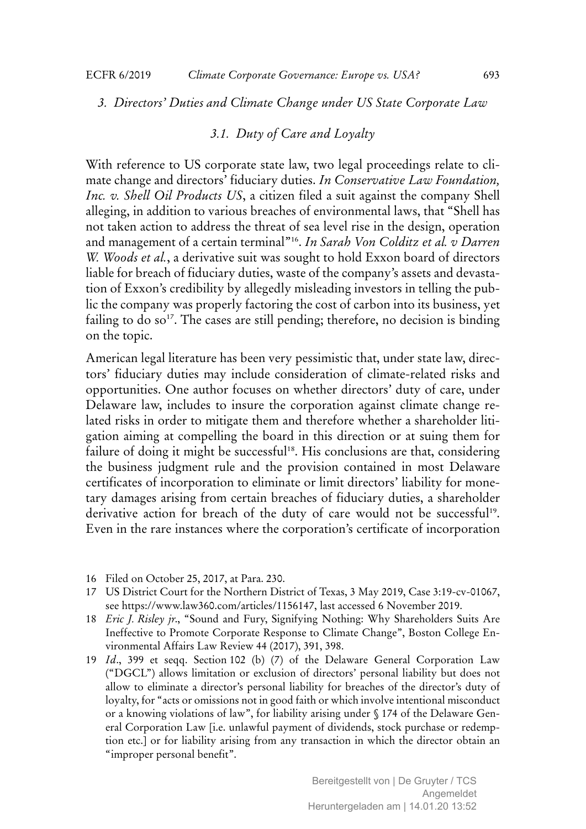### 3. Directors' Duties and Climate Change under US State Corporate Law

### 3.1. Duty of Care and Loyalty

With reference to US corporate state law, two legal proceedings relate to climate change and directors' fiduciary duties. In Conservative Law Foundation, Inc. v. Shell Oil Products US, a citizen filed a suit against the company Shell alleging, in addition to various breaches of environmental laws, that "Shell has not taken action to address the threat of sea level rise in the design, operation and management of a certain terminal"<sup>16</sup>. In Sarah Von Colditz et al. v Darren W. Woods et al., a derivative suit was sought to hold Exxon board of directors liable for breach of fiduciary duties, waste of the company's assets and devastation of Exxon's credibility by allegedly misleading investors in telling the public the company was properly factoring the cost of carbon into its business, yet failing to do so<sup>17</sup>. The cases are still pending; therefore, no decision is binding on the topic.

American legal literature has been very pessimistic that, under state law, directors' fiduciary duties may include consideration of climate-related risks and opportunities. One author focuses on whether directors' duty of care, under Delaware law, includes to insure the corporation against climate change related risks in order to mitigate them and therefore whether a shareholder litigation aiming at compelling the board in this direction or at suing them for failure of doing it might be successful<sup>18</sup>. His conclusions are that, considering the business judgment rule and the provision contained in most Delaware certificates of incorporation to eliminate or limit directors' liability for monetary damages arising from certain breaches of fiduciary duties, a shareholder derivative action for breach of the duty of care would not be successful<sup>19</sup>. Even in the rare instances where the corporation's certificate of incorporation

- 16 Filed on October 25, 2017, at Para. 230.
- 17 US District Court for the Northern District of Texas, 3 May 2019, Case 3:19-cv-01067, see https://www.law360.com/articles/1156147, last accessed 6 November 2019.
- 18 *Eric J. Risley jr.*, "Sound and Fury, Signifying Nothing: Why Shareholders Suits Are Ineffective to Promote Corporate Response to Climate Change", Boston College Environmental Affairs Law Review 44 (2017), 391, 398.
- 19 Id., 399 et seqq. Section 102 (b) (7) of the Delaware General Corporation Law ("DGCL") allows limitation or exclusion of directors' personal liability but does not allow to eliminate a director's personal liability for breaches of the director's duty of loyalty, for "acts or omissions not in good faith or which involve intentional misconduct or a knowing violations of law", for liability arising under § 174 of the Delaware General Corporation Law [i.e. unlawful payment of dividends, stock purchase or redemption etc.] or for liability arising from any transaction in which the director obtain an "improper personal benefit".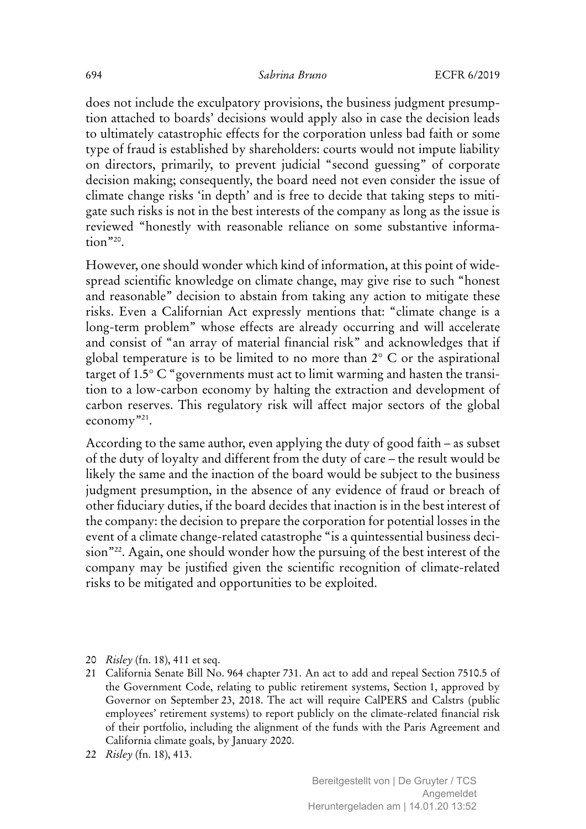### 694 Sabrina Bruno ECFR 6/2019

does not include the exculpatory provisions, the business judgment presumption attached to boards' decisions would apply also in case the decision leads to ultimately catastrophic effects for the corporation unless bad faith or some type of fraud is established by shareholders: courts would not impute liability on directors, primarily, to prevent judicial "second guessing" of corporate decision making; consequently, the board need not even consider the issue of climate change risks 'in depth' and is free to decide that taking steps to mitigate such risks is not in the best interests of the company as long as the issue is reviewed "honestly with reasonable reliance on some substantive information"<sup>20</sup>.

However, one should wonder which kind of information, at this point of widespread scientific knowledge on climate change, may give rise to such "honest and reasonable" decision to abstain from taking any action to mitigate these risks. Even a Californian Act expressly mentions that: "climate change is a long-term problem" whose effects are already occurring and will accelerate and consist of "an array of material financial risk" and acknowledges that if global temperature is to be limited to no more than 2° C or the aspirational target of 1.5° C "governments must act to limit warming and hasten the transition to a low-carbon economy by halting the extraction and development of carbon reserves. This regulatory risk will affect major sectors of the global economy"<sup>21</sup>.

According to the same author, even applying the duty of good faith – as subset of the duty of loyalty and different from the duty of care – the result would be likely the same and the inaction of the board would be subject to the business judgment presumption, in the absence of any evidence of fraud or breach of other fiduciary duties, if the board decides that inaction is in the best interest of the company: the decision to prepare the corporation for potential losses in the event of a climate change-related catastrophe "is a quintessential business decision"22. Again, one should wonder how the pursuing of the best interest of the company may be justified given the scientific recognition of climate-related risks to be mitigated and opportunities to be exploited.

- 20  $Risk\gamma$  (fn. 18), 411 et seq.
- 21 California Senate Bill No. 964 chapter 731. An act to add and repeal Section 7510.5 of the Government Code, relating to public retirement systems, Section 1, approved by Governor on September 23, 2018. The act will require CalPERS and Calstrs (public employees' retirement systems) to report publicly on the climate-related financial risk of their portfolio, including the alignment of the funds with the Paris Agreement and California climate goals, by January 2020.
- 22 *Risley* (fn. 18), 413.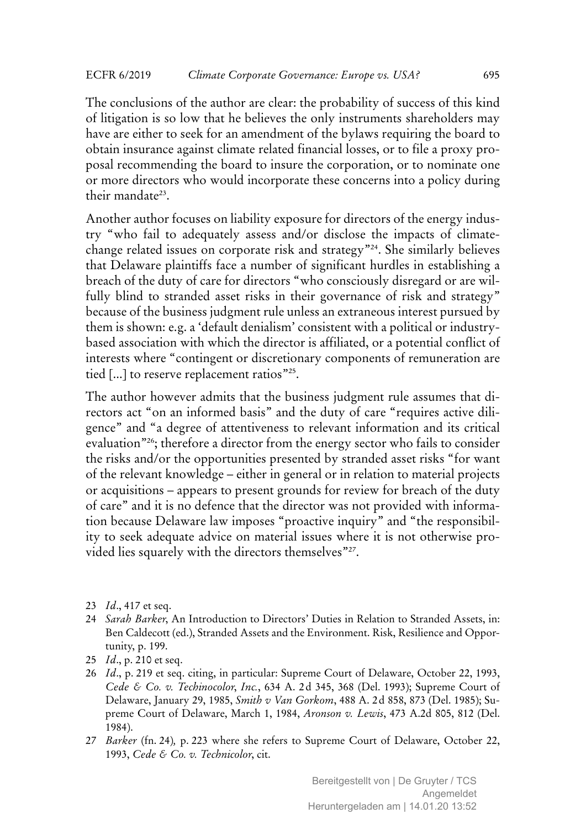The conclusions of the author are clear: the probability of success of this kind of litigation is so low that he believes the only instruments shareholders may have are either to seek for an amendment of the bylaws requiring the board to obtain insurance against climate related financial losses, or to file a proxy proposal recommending the board to insure the corporation, or to nominate one or more directors who would incorporate these concerns into a policy during their mandate<sup>23</sup>.

Another author focuses on liability exposure for directors of the energy industry "who fail to adequately assess and/or disclose the impacts of climatechange related issues on corporate risk and strategy"24. She similarly believes that Delaware plaintiffs face a number of significant hurdles in establishing a breach of the duty of care for directors "who consciously disregard or are wilfully blind to stranded asset risks in their governance of risk and strategy" because of the business judgment rule unless an extraneous interest pursued by them is shown: e.g. a 'default denialism' consistent with a political or industrybased association with which the director is affiliated, or a potential conflict of interests where "contingent or discretionary components of remuneration are tied [...] to reserve replacement ratios"<sup>25</sup>.

The author however admits that the business judgment rule assumes that directors act "on an informed basis" and the duty of care "requires active diligence" and "a degree of attentiveness to relevant information and its critical evaluation"26; therefore a director from the energy sector who fails to consider the risks and/or the opportunities presented by stranded asset risks "for want of the relevant knowledge – either in general or in relation to material projects or acquisitions – appears to present grounds for review for breach of the duty of care" and it is no defence that the director was not provided with information because Delaware law imposes "proactive inquiry" and "the responsibility to seek adequate advice on material issues where it is not otherwise provided lies squarely with the directors themselves"<sup>27</sup>.

- 23 Id., 417 et seq.
- 24 Sarah Barker, An Introduction to Directors' Duties in Relation to Stranded Assets, in: Ben Caldecott (ed.), Stranded Assets and the Environment. Risk, Resilience and Opportunity, p. 199.
- 25 Id., p. 210 et seq.
- 26 Id., p. 219 et seq. citing, in particular: Supreme Court of Delaware, October 22, 1993, Cede & Co. v. Techinocolor, Inc., 634 A. 2d 345, 368 (Del. 1993); Supreme Court of Delaware, January 29, 1985, Smith v Van Gorkom, 488 A. 2d 858, 873 (Del. 1985); Supreme Court of Delaware, March 1, 1984, Aronson v. Lewis, 473 A.2d 805, 812 (Del. 1984).
- 27 Barker (fn. 24), p. 223 where she refers to Supreme Court of Delaware, October 22, 1993, Cede & Co. v. Technicolor, cit.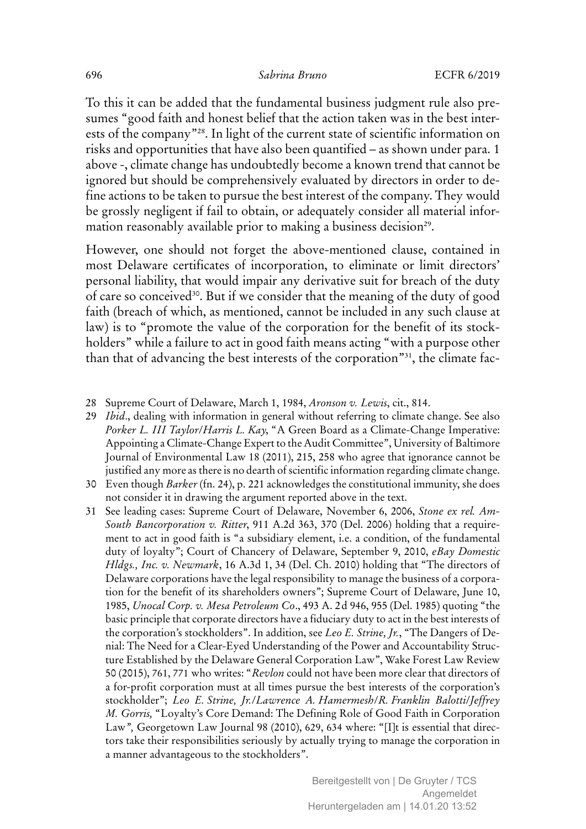To this it can be added that the fundamental business judgment rule also presumes "good faith and honest belief that the action taken was in the best interests of the company"28. In light of the current state of scientific information on risks and opportunities that have also been quantified – as shown under para. 1 above -, climate change has undoubtedly become a known trend that cannot be ignored but should be comprehensively evaluated by directors in order to define actions to be taken to pursue the best interest of the company. They would be grossly negligent if fail to obtain, or adequately consider all material information reasonably available prior to making a business decision<sup>29</sup>.

However, one should not forget the above-mentioned clause, contained in most Delaware certificates of incorporation, to eliminate or limit directors' personal liability, that would impair any derivative suit for breach of the duty of care so conceived30. But if we consider that the meaning of the duty of good faith (breach of which, as mentioned, cannot be included in any such clause at law) is to "promote the value of the corporation for the benefit of its stockholders" while a failure to act in good faith means acting "with a purpose other than that of advancing the best interests of the corporation"31, the climate fac-

- 28 Supreme Court of Delaware, March 1, 1984, Aronson v. Lewis, cit., 814.
- 29 *Ibid.*, dealing with information in general without referring to climate change. See also Porker L. III Taylor/Harris L. Kay, "A Green Board as a Climate-Change Imperative: Appointing a Climate-Change Expert to the Audit Committee", University of Baltimore Journal of Environmental Law 18 (2011), 215, 258 who agree that ignorance cannot be justified any more as there is no dearth of scientific information regarding climate change.
- 30 Even though Barker (fn. 24), p. 221 acknowledges the constitutional immunity, she does not consider it in drawing the argument reported above in the text.
- 31 See leading cases: Supreme Court of Delaware, November 6, 2006, Stone ex rel. Am-South Bancorporation v. Ritter, 911 A.2d 363, 370 (Del. 2006) holding that a requirement to act in good faith is "a subsidiary element, i.e. a condition, of the fundamental duty of loyalty"; Court of Chancery of Delaware, September 9, 2010, eBay Domestic Hldgs., Inc. v. Newmark, 16 A.3d 1, 34 (Del. Ch. 2010) holding that "The directors of Delaware corporations have the legal responsibility to manage the business of a corporation for the benefit of its shareholders owners"; Supreme Court of Delaware, June 10, 1985, Unocal Corp. v. Mesa Petroleum Co., 493 A. 2d 946, 955 (Del. 1985) quoting "the basic principle that corporate directors have a fiduciary duty to act in the best interests of the corporation's stockholders". In addition, see Leo E. Strine, Jr., "The Dangers of Denial: The Need for a Clear-Eyed Understanding of the Power and Accountability Structure Established by the Delaware General Corporation Law", Wake Forest Law Review 50 (2015), 761, 771 who writes: "Revlon could not have been more clear that directors of a for-profit corporation must at all times pursue the best interests of the corporation's stockholder"; Leo E. Strine, Jr./Lawrence A. Hamermesh/R. Franklin Balotti/Jeffrey M. Gorris, "Loyalty's Core Demand: The Defining Role of Good Faith in Corporation Law", Georgetown Law Journal 98 (2010), 629, 634 where: "[I]t is essential that directors take their responsibilities seriously by actually trying to manage the corporation in a manner advantageous to the stockholders".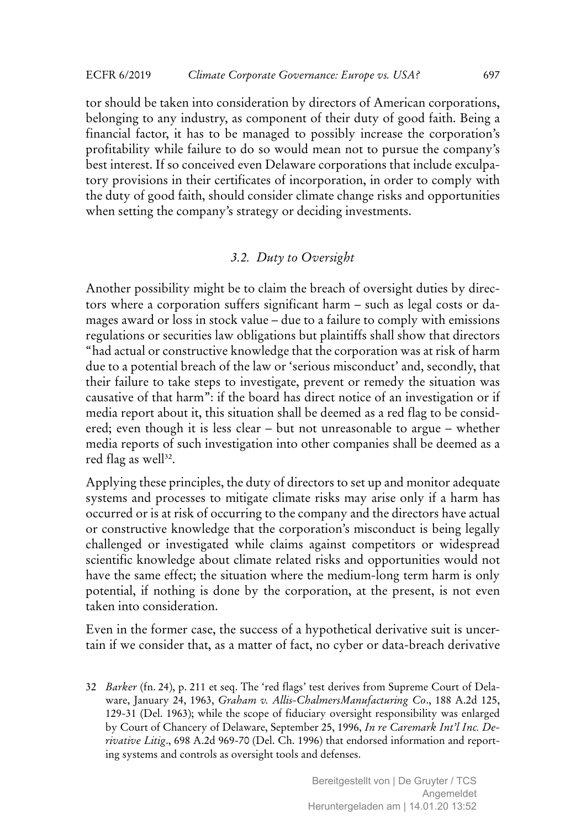tor should be taken into consideration by directors of American corporations, belonging to any industry, as component of their duty of good faith. Being a financial factor, it has to be managed to possibly increase the corporation's profitability while failure to do so would mean not to pursue the company's best interest. If so conceived even Delaware corporations that include exculpatory provisions in their certificates of incorporation, in order to comply with the duty of good faith, should consider climate change risks and opportunities when setting the company's strategy or deciding investments.

# 3.2. Duty to Oversight

Another possibility might be to claim the breach of oversight duties by directors where a corporation suffers significant harm – such as legal costs or damages award or loss in stock value – due to a failure to comply with emissions regulations or securities law obligations but plaintiffs shall show that directors "had actual or constructive knowledge that the corporation was at risk of harm due to a potential breach of the law or 'serious misconduct' and, secondly, that their failure to take steps to investigate, prevent or remedy the situation was causative of that harm": if the board has direct notice of an investigation or if media report about it, this situation shall be deemed as a red flag to be considered; even though it is less clear – but not unreasonable to argue – whether media reports of such investigation into other companies shall be deemed as a red flag as well<sup>32</sup>.

Applying these principles, the duty of directors to set up and monitor adequate systems and processes to mitigate climate risks may arise only if a harm has occurred or is at risk of occurring to the company and the directors have actual or constructive knowledge that the corporation's misconduct is being legally challenged or investigated while claims against competitors or widespread scientific knowledge about climate related risks and opportunities would not have the same effect; the situation where the medium-long term harm is only potential, if nothing is done by the corporation, at the present, is not even taken into consideration.

Even in the former case, the success of a hypothetical derivative suit is uncertain if we consider that, as a matter of fact, no cyber or data-breach derivative

32 Barker (fn. 24), p. 211 et seq. The 'red flags' test derives from Supreme Court of Delaware, January 24, 1963, Graham v. Allis-ChalmersManufacturing Co., 188 A.2d 125, 129-31 (Del. 1963); while the scope of fiduciary oversight responsibility was enlarged by Court of Chancery of Delaware, September 25, 1996, In re Caremark Int'l Inc. Derivative Litig., 698 A.2d 969-70 (Del. Ch. 1996) that endorsed information and reporting systems and controls as oversight tools and defenses.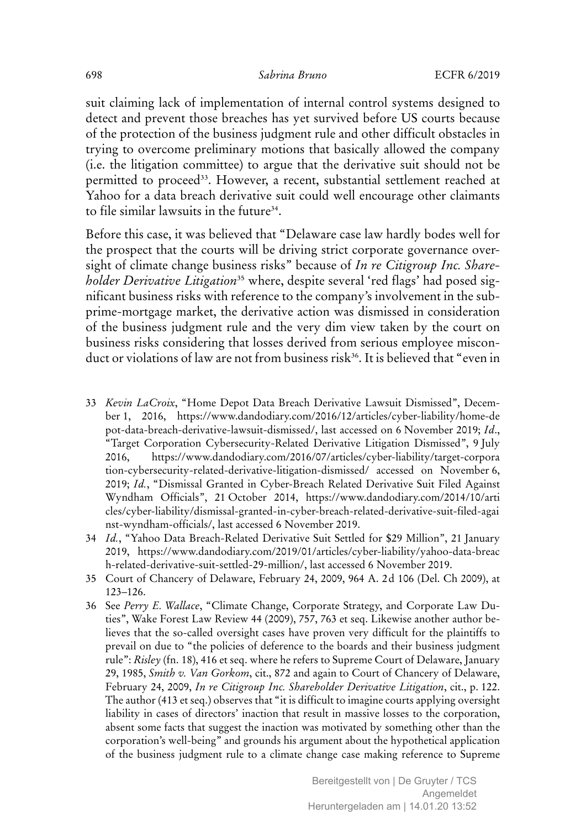suit claiming lack of implementation of internal control systems designed to detect and prevent those breaches has yet survived before US courts because of the protection of the business judgment rule and other difficult obstacles in trying to overcome preliminary motions that basically allowed the company (i.e. the litigation committee) to argue that the derivative suit should not be permitted to proceed<sup>33</sup>. However, a recent, substantial settlement reached at Yahoo for a data breach derivative suit could well encourage other claimants to file similar lawsuits in the future<sup>34</sup>.

Before this case, it was believed that "Delaware case law hardly bodes well for the prospect that the courts will be driving strict corporate governance oversight of climate change business risks" because of In re Citigroup Inc. Shareholder Derivative Litigation<sup>35</sup> where, despite several 'red flags' had posed significant business risks with reference to the company's involvement in the subprime-mortgage market, the derivative action was dismissed in consideration of the business judgment rule and the very dim view taken by the court on business risks considering that losses derived from serious employee misconduct or violations of law are not from business risk<sup>36</sup>. It is believed that "even in

- 33 Kevin LaCroix, "Home Depot Data Breach Derivative Lawsuit Dismissed", December 1, 2016, https://www.dandodiary.com/2016/12/articles/cyber-liability/home-de pot-data-breach-derivative-lawsuit-dismissed/, last accessed on 6 November 2019; Id., "Target Corporation Cybersecurity-Related Derivative Litigation Dismissed", 9 July 2016, https://www.dandodiary.com/2016/07/articles/cyber-liability/target-corpora tion-cybersecurity-related-derivative-litigation-dismissed/ accessed on November 6, 2019; Id., "Dismissal Granted in Cyber-Breach Related Derivative Suit Filed Against Wyndham Officials", 21 October 2014, https://www.dandodiary.com/2014/10/arti cles/cyber-liability/dismissal-granted-in-cyber-breach-related-derivative-suit-filed-agai nst-wyndham-officials/, last accessed 6 November 2019.
- 34 Id., "Yahoo Data Breach-Related Derivative Suit Settled for \$29 Million", 21 January 2019, https://www.dandodiary.com/2019/01/articles/cyber-liability/yahoo-data-breac h-related-derivative-suit-settled-29-million/, last accessed 6 November 2019.
- 35 Court of Chancery of Delaware, February 24, 2009, 964 A. 2d 106 (Del. Ch 2009), at 123–126.
- 36 See Perry E. Wallace, "Climate Change, Corporate Strategy, and Corporate Law Duties", Wake Forest Law Review 44 (2009), 757, 763 et seq. Likewise another author believes that the so-called oversight cases have proven very difficult for the plaintiffs to prevail on due to "the policies of deference to the boards and their business judgment rule": Risley (fn. 18), 416 et seq. where he refers to Supreme Court of Delaware, January 29, 1985, *Smith v. Van Gorkom*, cit., 872 and again to Court of Chancery of Delaware, February 24, 2009, In re Citigroup Inc. Shareholder Derivative Litigation, cit., p. 122. The author (413 et seq.) observes that "it is difficult to imagine courts applying oversight liability in cases of directors' inaction that result in massive losses to the corporation, absent some facts that suggest the inaction was motivated by something other than the corporation's well-being" and grounds his argument about the hypothetical application of the business judgment rule to a climate change case making reference to Supreme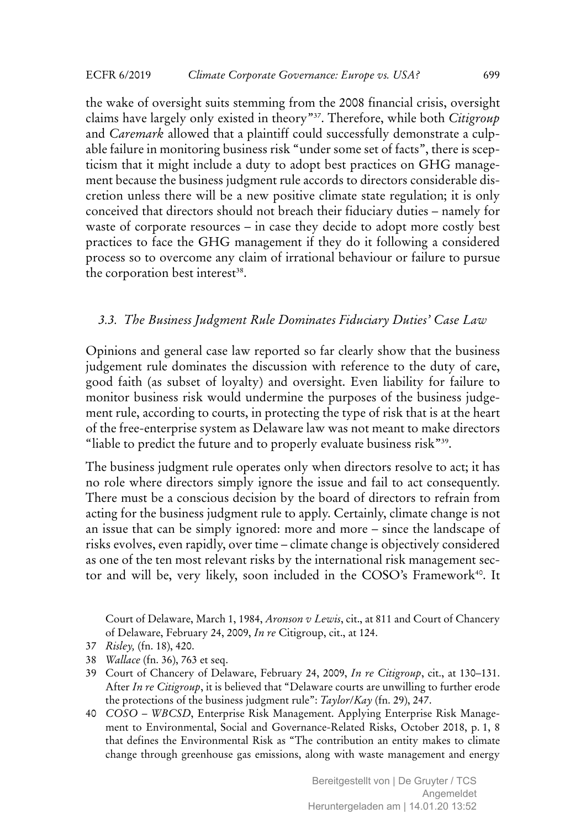the wake of oversight suits stemming from the 2008 financial crisis, oversight claims have largely only existed in theory"<sup>37</sup>. Therefore, while both Citigroup and Caremark allowed that a plaintiff could successfully demonstrate a culpable failure in monitoring business risk "under some set of facts", there is scepticism that it might include a duty to adopt best practices on GHG management because the business judgment rule accords to directors considerable discretion unless there will be a new positive climate state regulation; it is only conceived that directors should not breach their fiduciary duties – namely for waste of corporate resources – in case they decide to adopt more costly best practices to face the GHG management if they do it following a considered process so to overcome any claim of irrational behaviour or failure to pursue the corporation best interest<sup>38</sup>.

## 3.3. The Business Judgment Rule Dominates Fiduciary Duties' Case Law

Opinions and general case law reported so far clearly show that the business judgement rule dominates the discussion with reference to the duty of care, good faith (as subset of loyalty) and oversight. Even liability for failure to monitor business risk would undermine the purposes of the business judgement rule, according to courts, in protecting the type of risk that is at the heart of the free-enterprise system as Delaware law was not meant to make directors "liable to predict the future and to properly evaluate business risk"39.

The business judgment rule operates only when directors resolve to act; it has no role where directors simply ignore the issue and fail to act consequently. There must be a conscious decision by the board of directors to refrain from acting for the business judgment rule to apply. Certainly, climate change is not an issue that can be simply ignored: more and more – since the landscape of risks evolves, even rapidly, over time – climate change is objectively considered as one of the ten most relevant risks by the international risk management sector and will be, very likely, soon included in the COSO's Framework<sup>40</sup>. It

Court of Delaware, March 1, 1984, Aronson v Lewis, cit., at 811 and Court of Chancery of Delaware, February 24, 2009, In re Citigroup, cit., at 124.

- 38 Wallace (fn. 36), 763 et seq.
- 39 Court of Chancery of Delaware, February 24, 2009, In re Citigroup, cit., at 130–131. After In re Citigroup, it is believed that "Delaware courts are unwilling to further erode the protections of the business judgment rule":  $Taylor/Kay$  (fn. 29), 247.
- 40 COSO WBCSD, Enterprise Risk Management. Applying Enterprise Risk Management to Environmental, Social and Governance-Related Risks, October 2018, p. 1, 8 that defines the Environmental Risk as "The contribution an entity makes to climate change through greenhouse gas emissions, along with waste management and energy

<sup>37</sup> Risley, (fn. 18), 420.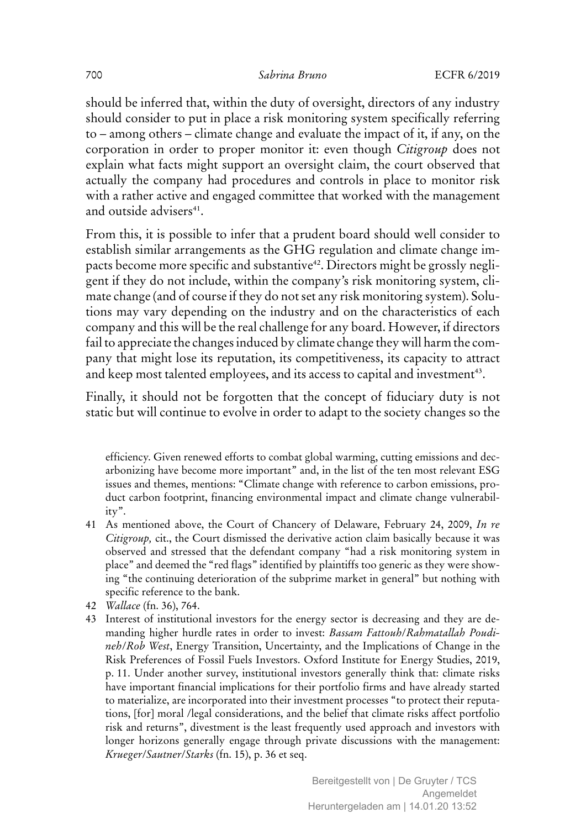### 700 Sabrina Bruno ECFR 6/2019

should be inferred that, within the duty of oversight, directors of any industry should consider to put in place a risk monitoring system specifically referring to – among others – climate change and evaluate the impact of it, if any, on the corporation in order to proper monitor it: even though *Citigroup* does not explain what facts might support an oversight claim, the court observed that actually the company had procedures and controls in place to monitor risk with a rather active and engaged committee that worked with the management and outside advisers<sup>41</sup>.

From this, it is possible to infer that a prudent board should well consider to establish similar arrangements as the GHG regulation and climate change impacts become more specific and substantive<sup>42</sup>. Directors might be grossly negligent if they do not include, within the company's risk monitoring system, climate change (and of course if they do not set any risk monitoring system). Solutions may vary depending on the industry and on the characteristics of each company and this will be the real challenge for any board. However, if directors fail to appreciate the changes induced by climate change they will harm the company that might lose its reputation, its competitiveness, its capacity to attract and keep most talented employees, and its access to capital and investment<sup>43</sup>.

Finally, it should not be forgotten that the concept of fiduciary duty is not static but will continue to evolve in order to adapt to the society changes so the

efficiency. Given renewed efforts to combat global warming, cutting emissions and decarbonizing have become more important" and, in the list of the ten most relevant ESG issues and themes, mentions: "Climate change with reference to carbon emissions, product carbon footprint, financing environmental impact and climate change vulnerability".

- 41 As mentioned above, the Court of Chancery of Delaware, February 24, 2009, In re Citigroup, cit., the Court dismissed the derivative action claim basically because it was observed and stressed that the defendant company "had a risk monitoring system in place" and deemed the "red flags" identified by plaintiffs too generic as they were showing "the continuing deterioration of the subprime market in general" but nothing with specific reference to the bank.
- 42 Wallace (fn. 36), 764.
- 43 Interest of institutional investors for the energy sector is decreasing and they are demanding higher hurdle rates in order to invest: Bassam Fattouh/Rahmatallah Poudineh/Rob West, Energy Transition, Uncertainty, and the Implications of Change in the Risk Preferences of Fossil Fuels Investors. Oxford Institute for Energy Studies, 2019, p. 11. Under another survey, institutional investors generally think that: climate risks have important financial implications for their portfolio firms and have already started to materialize, are incorporated into their investment processes "to protect their reputations, [for] moral /legal considerations, and the belief that climate risks affect portfolio risk and returns", divestment is the least frequently used approach and investors with longer horizons generally engage through private discussions with the management: Krueger/Sautner/Starks (fn. 15), p. 36 et seq.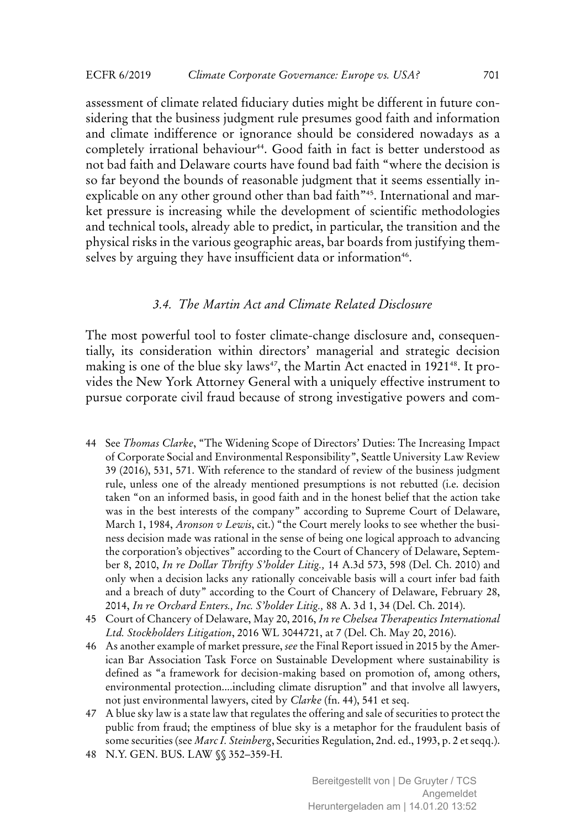assessment of climate related fiduciary duties might be different in future considering that the business judgment rule presumes good faith and information and climate indifference or ignorance should be considered nowadays as a completely irrational behaviour<sup>44</sup>. Good faith in fact is better understood as not bad faith and Delaware courts have found bad faith "where the decision is so far beyond the bounds of reasonable judgment that it seems essentially inexplicable on any other ground other than bad faith<sup>"45</sup>. International and market pressure is increasing while the development of scientific methodologies and technical tools, already able to predict, in particular, the transition and the physical risks in the various geographic areas, bar boards from justifying themselves by arguing they have insufficient data or information<sup>46</sup>.

### 3.4. The Martin Act and Climate Related Disclosure

The most powerful tool to foster climate-change disclosure and, consequentially, its consideration within directors' managerial and strategic decision making is one of the blue sky laws<sup>47</sup>, the Martin Act enacted in 1921<sup>48</sup>. It provides the New York Attorney General with a uniquely effective instrument to pursue corporate civil fraud because of strong investigative powers and com-

- 44 See Thomas Clarke, "The Widening Scope of Directors' Duties: The Increasing Impact of Corporate Social and Environmental Responsibility", Seattle University Law Review 39 (2016), 531, 571. With reference to the standard of review of the business judgment rule, unless one of the already mentioned presumptions is not rebutted (i.e. decision taken "on an informed basis, in good faith and in the honest belief that the action take was in the best interests of the company" according to Supreme Court of Delaware, March 1, 1984, Aronson v Lewis, cit.) "the Court merely looks to see whether the business decision made was rational in the sense of being one logical approach to advancing the corporation's objectives" according to the Court of Chancery of Delaware, September 8, 2010, In re Dollar Thrifty S'holder Litig., 14 A.3d 573, 598 (Del. Ch. 2010) and only when a decision lacks any rationally conceivable basis will a court infer bad faith and a breach of duty" according to the Court of Chancery of Delaware, February 28, 2014, In re Orchard Enters., Inc. S'holder Litig., 88 A. 3d 1, 34 (Del. Ch. 2014).
- 45 Court of Chancery of Delaware, May 20, 2016, In re Chelsea Therapeutics International Ltd. Stockholders Litigation, 2016 WL 3044721, at 7 (Del. Ch. May 20, 2016).
- 46 As another example of market pressure, see the Final Report issued in 2015 by the American Bar Association Task Force on Sustainable Development where sustainability is defined as "a framework for decision-making based on promotion of, among others, environmental protection....including climate disruption" and that involve all lawyers, not just environmental lawyers, cited by Clarke (fn. 44), 541 et seq.
- 47 A blue sky law is a state law that regulates the offering and sale of securities to protect the public from fraud; the emptiness of blue sky is a metaphor for the fraudulent basis of some securities (see Marc I. Steinberg, Securities Regulation, 2nd. ed., 1993, p. 2 et seqq.).
- 48 N.Y. GEN. BUS. LAW §§ 352–359-H.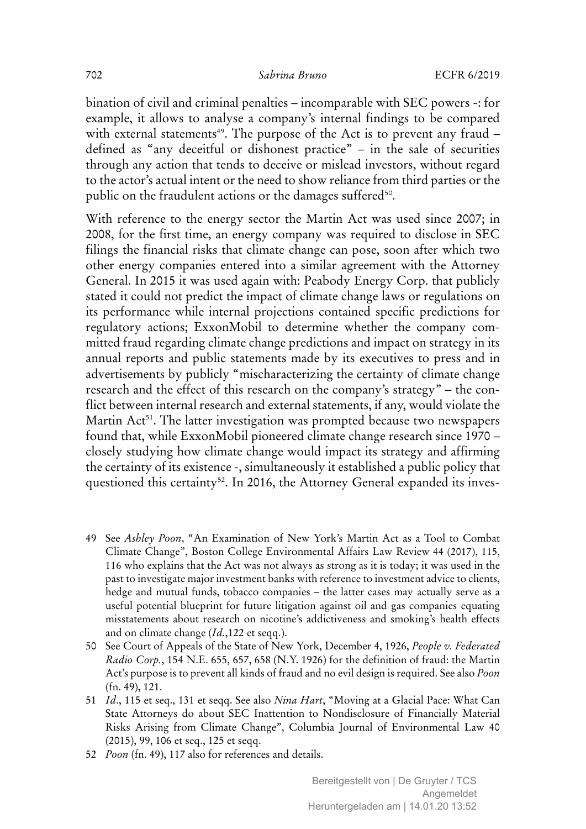bination of civil and criminal penalties – incomparable with SEC powers -: for example, it allows to analyse a company's internal findings to be compared with external statements<sup>49</sup>. The purpose of the Act is to prevent any fraud  $$ defined as "any deceitful or dishonest practice" – in the sale of securities through any action that tends to deceive or mislead investors, without regard to the actor's actual intent or the need to show reliance from third parties or the public on the fraudulent actions or the damages suffered<sup>50</sup>.

With reference to the energy sector the Martin Act was used since 2007; in 2008, for the first time, an energy company was required to disclose in SEC filings the financial risks that climate change can pose, soon after which two other energy companies entered into a similar agreement with the Attorney General. In 2015 it was used again with: Peabody Energy Corp. that publicly stated it could not predict the impact of climate change laws or regulations on its performance while internal projections contained specific predictions for regulatory actions; ExxonMobil to determine whether the company committed fraud regarding climate change predictions and impact on strategy in its annual reports and public statements made by its executives to press and in advertisements by publicly "mischaracterizing the certainty of climate change research and the effect of this research on the company's strategy" – the conflict between internal research and external statements, if any, would violate the Martin Act<sup>51</sup>. The latter investigation was prompted because two newspapers found that, while ExxonMobil pioneered climate change research since 1970 – closely studying how climate change would impact its strategy and affirming the certainty of its existence -, simultaneously it established a public policy that questioned this certainty<sup>52</sup>. In 2016, the Attorney General expanded its inves-

- 49 See Ashley Poon, "An Examination of New York's Martin Act as a Tool to Combat Climate Change", Boston College Environmental Affairs Law Review 44 (2017), 115, 116 who explains that the Act was not always as strong as it is today; it was used in the past to investigate major investment banks with reference to investment advice to clients, hedge and mutual funds, tobacco companies – the latter cases may actually serve as a useful potential blueprint for future litigation against oil and gas companies equating misstatements about research on nicotine's addictiveness and smoking's health effects and on climate change  $(Id.,122$  et seqq.).
- 50 See Court of Appeals of the State of New York, December 4, 1926, People v. Federated Radio Corp., 154 N.E. 655, 657, 658 (N.Y. 1926) for the definition of fraud: the Martin Act's purpose is to prevent all kinds of fraud and no evil design is required. See also Poon (fn. 49), 121.
- 51 Id., 115 et seq., 131 et seqq. See also Nina Hart, "Moving at a Glacial Pace: What Can State Attorneys do about SEC Inattention to Nondisclosure of Financially Material Risks Arising from Climate Change", Columbia Journal of Environmental Law 40 (2015), 99, 106 et seq., 125 et seqq.
- 52 Poon (fn. 49), 117 also for references and details.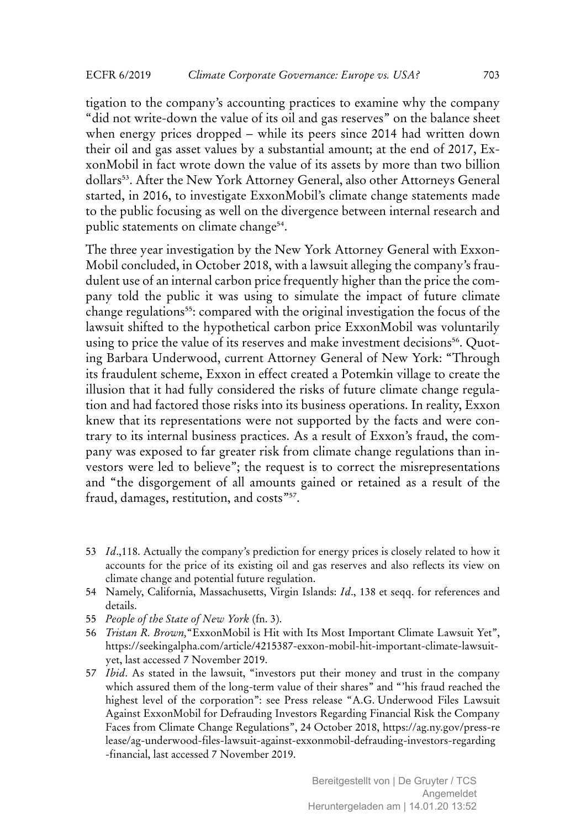tigation to the company's accounting practices to examine why the company "did not write-down the value of its oil and gas reserves" on the balance sheet when energy prices dropped – while its peers since 2014 had written down their oil and gas asset values by a substantial amount; at the end of 2017, ExxonMobil in fact wrote down the value of its assets by more than two billion dollars<sup>53</sup>. After the New York Attorney General, also other Attorneys General started, in 2016, to investigate ExxonMobil's climate change statements made to the public focusing as well on the divergence between internal research and public statements on climate change<sup>54</sup>.

The three year investigation by the New York Attorney General with Exxon-Mobil concluded, in October 2018, with a lawsuit alleging the company's fraudulent use of an internal carbon price frequently higher than the price the company told the public it was using to simulate the impact of future climate change regulations<sup>55</sup>: compared with the original investigation the focus of the lawsuit shifted to the hypothetical carbon price ExxonMobil was voluntarily using to price the value of its reserves and make investment decisions<sup>56</sup>. Quoting Barbara Underwood, current Attorney General of New York: "Through its fraudulent scheme, Exxon in effect created a Potemkin village to create the illusion that it had fully considered the risks of future climate change regulation and had factored those risks into its business operations. In reality, Exxon knew that its representations were not supported by the facts and were contrary to its internal business practices. As a result of Exxon's fraud, the company was exposed to far greater risk from climate change regulations than investors were led to believe"; the request is to correct the misrepresentations and "the disgorgement of all amounts gained or retained as a result of the fraud, damages, restitution, and costs"<sup>57</sup>.

- 53 Id.,118. Actually the company's prediction for energy prices is closely related to how it accounts for the price of its existing oil and gas reserves and also reflects its view on climate change and potential future regulation.
- 54 Namely, California, Massachusetts, Virgin Islands: Id., 138 et seqq. for references and details.
- 55 People of the State of New York (fn. 3).
- 56 Tristan R. Brown,"ExxonMobil is Hit with Its Most Important Climate Lawsuit Yet", https://seekingalpha.com/article/4215387-exxon-mobil-hit-important-climate-lawsuityet, last accessed 7 November 2019.
- 57 *Ibid*. As stated in the lawsuit, "investors put their money and trust in the company which assured them of the long-term value of their shares" and "'his fraud reached the highest level of the corporation": see Press release "A.G. Underwood Files Lawsuit Against ExxonMobil for Defrauding Investors Regarding Financial Risk the Company Faces from Climate Change Regulations", 24 October 2018, https://ag.ny.gov/press-re lease/ag-underwood-files-lawsuit-against-exxonmobil-defrauding-investors-regarding -financial, last accessed 7 November 2019.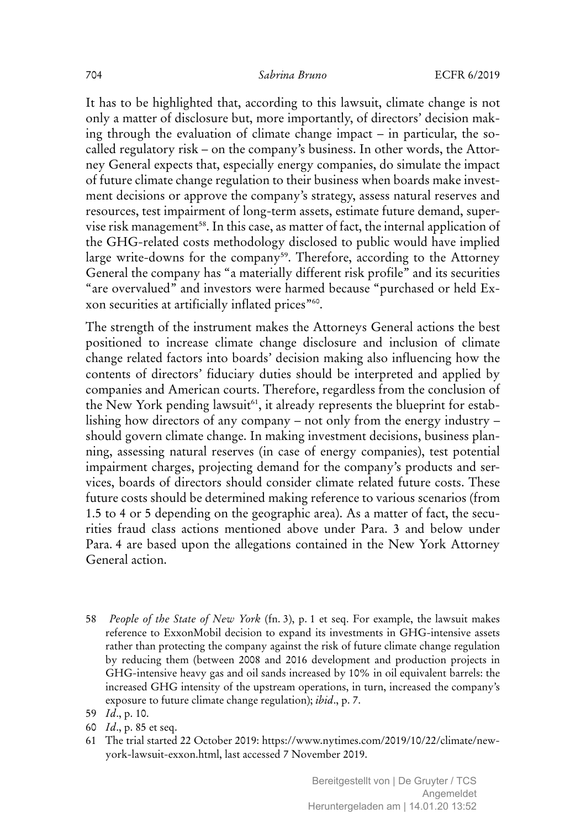It has to be highlighted that, according to this lawsuit, climate change is not only a matter of disclosure but, more importantly, of directors' decision making through the evaluation of climate change impact – in particular, the socalled regulatory risk – on the company's business. In other words, the Attorney General expects that, especially energy companies, do simulate the impact of future climate change regulation to their business when boards make investment decisions or approve the company's strategy, assess natural reserves and resources, test impairment of long-term assets, estimate future demand, supervise risk management<sup>58</sup>. In this case, as matter of fact, the internal application of the GHG-related costs methodology disclosed to public would have implied large write-downs for the company<sup>59</sup>. Therefore, according to the Attorney General the company has "a materially different risk profile" and its securities "are overvalued" and investors were harmed because "purchased or held Exxon securities at artificially inflated prices"60.

The strength of the instrument makes the Attorneys General actions the best positioned to increase climate change disclosure and inclusion of climate change related factors into boards' decision making also influencing how the contents of directors' fiduciary duties should be interpreted and applied by companies and American courts. Therefore, regardless from the conclusion of the New York pending lawsuit<sup>61</sup>, it already represents the blueprint for establishing how directors of any company – not only from the energy industry – should govern climate change. In making investment decisions, business planning, assessing natural reserves (in case of energy companies), test potential impairment charges, projecting demand for the company's products and services, boards of directors should consider climate related future costs. These future costs should be determined making reference to various scenarios (from 1.5 to 4 or 5 depending on the geographic area). As a matter of fact, the securities fraud class actions mentioned above under Para. 3 and below under Para. 4 are based upon the allegations contained in the New York Attorney General action.

58 People of the State of New York (fn. 3), p. 1 et seq. For example, the lawsuit makes reference to ExxonMobil decision to expand its investments in GHG-intensive assets rather than protecting the company against the risk of future climate change regulation by reducing them (between 2008 and 2016 development and production projects in GHG-intensive heavy gas and oil sands increased by 10% in oil equivalent barrels: the increased GHG intensity of the upstream operations, in turn, increased the company's exposure to future climate change regulation); ibid., p. 7.

61 The trial started 22 October 2019: https://www.nytimes.com/2019/10/22/climate/newyork-lawsuit-exxon.html, last accessed 7 November 2019.

> Bereitgestellt von | De Gruyter / TCS Angemeldet Heruntergeladen am | 14.01.20 13:52

<sup>59</sup> Id., p. 10.

<sup>60</sup> Id., p. 85 et seq.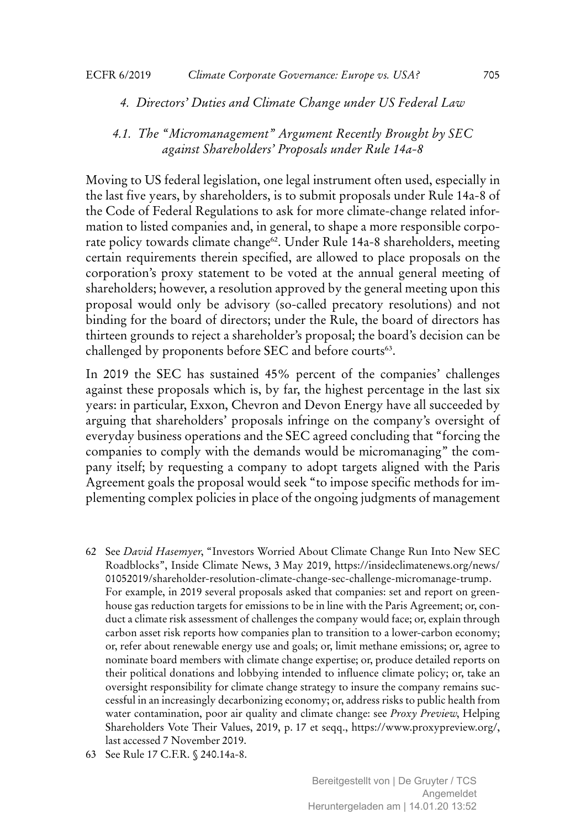### 4. Directors' Duties and Climate Change under US Federal Law

## 4.1. The "Micromanagement" Argument Recently Brought by SEC against Shareholders' Proposals under Rule 14a-8

Moving to US federal legislation, one legal instrument often used, especially in the last five years, by shareholders, is to submit proposals under Rule 14a-8 of the Code of Federal Regulations to ask for more climate-change related information to listed companies and, in general, to shape a more responsible corporate policy towards climate change<sup>62</sup>. Under Rule 14a-8 shareholders, meeting certain requirements therein specified, are allowed to place proposals on the corporation's proxy statement to be voted at the annual general meeting of shareholders; however, a resolution approved by the general meeting upon this proposal would only be advisory (so-called precatory resolutions) and not binding for the board of directors; under the Rule, the board of directors has thirteen grounds to reject a shareholder's proposal; the board's decision can be challenged by proponents before SEC and before courts<sup>63</sup>.

In 2019 the SEC has sustained 45% percent of the companies' challenges against these proposals which is, by far, the highest percentage in the last six years: in particular, Exxon, Chevron and Devon Energy have all succeeded by arguing that shareholders' proposals infringe on the company's oversight of everyday business operations and the SEC agreed concluding that "forcing the companies to comply with the demands would be micromanaging" the company itself; by requesting a company to adopt targets aligned with the Paris Agreement goals the proposal would seek "to impose specific methods for implementing complex policies in place of the ongoing judgments of management

- 62 See David Hasemyer, "Investors Worried About Climate Change Run Into New SEC Roadblocks", Inside Climate News, 3 May 2019, https://insideclimatenews.org/news/ 01052019/shareholder-resolution-climate-change-sec-challenge-micromanage-trump. For example, in 2019 several proposals asked that companies: set and report on greenhouse gas reduction targets for emissions to be in line with the Paris Agreement; or, conduct a climate risk assessment of challenges the company would face; or, explain through carbon asset risk reports how companies plan to transition to a lower-carbon economy; or, refer about renewable energy use and goals; or, limit methane emissions; or, agree to nominate board members with climate change expertise; or, produce detailed reports on their political donations and lobbying intended to influence climate policy; or, take an oversight responsibility for climate change strategy to insure the company remains successful in an increasingly decarbonizing economy; or, address risks to public health from water contamination, poor air quality and climate change: see Proxy Preview, Helping Shareholders Vote Their Values, 2019, p. 17 et seqq., https://www.proxypreview.org/, last accessed 7 November 2019.
- 63 See Rule 17 C.F.R. § 240.14a-8.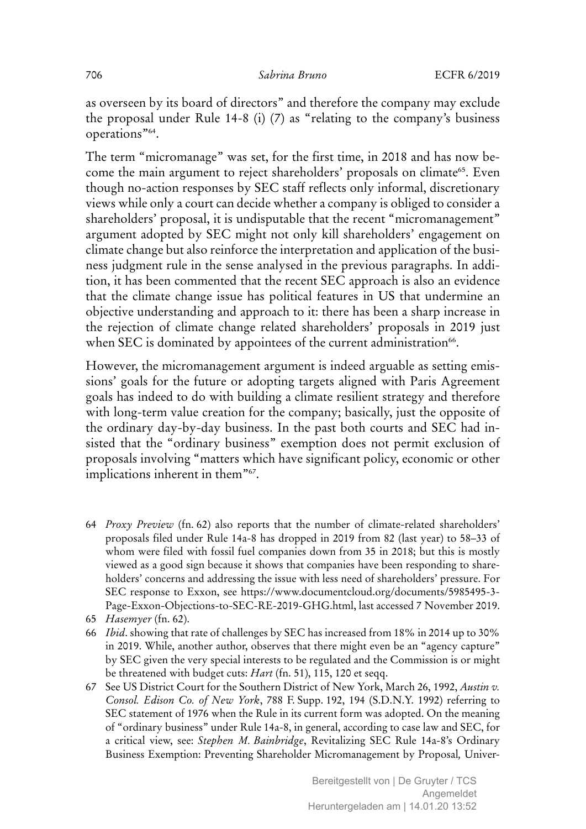as overseen by its board of directors" and therefore the company may exclude the proposal under Rule 14-8 (i) (7) as "relating to the company's business operations"64.

The term "micromanage" was set, for the first time, in 2018 and has now become the main argument to reject shareholders' proposals on climate<sup>65</sup>. Even though no-action responses by SEC staff reflects only informal, discretionary views while only a court can decide whether a company is obliged to consider a shareholders' proposal, it is undisputable that the recent "micromanagement" argument adopted by SEC might not only kill shareholders' engagement on climate change but also reinforce the interpretation and application of the business judgment rule in the sense analysed in the previous paragraphs. In addition, it has been commented that the recent SEC approach is also an evidence that the climate change issue has political features in US that undermine an objective understanding and approach to it: there has been a sharp increase in the rejection of climate change related shareholders' proposals in 2019 just when SEC is dominated by appointees of the current administration<sup>66</sup>.

However, the micromanagement argument is indeed arguable as setting emissions' goals for the future or adopting targets aligned with Paris Agreement goals has indeed to do with building a climate resilient strategy and therefore with long-term value creation for the company; basically, just the opposite of the ordinary day-by-day business. In the past both courts and SEC had insisted that the "ordinary business" exemption does not permit exclusion of proposals involving "matters which have significant policy, economic or other implications inherent in them"<sup>67</sup>.

64 Proxy Preview (fn. 62) also reports that the number of climate-related shareholders' proposals filed under Rule 14a-8 has dropped in 2019 from 82 (last year) to 58–33 of whom were filed with fossil fuel companies down from 35 in 2018; but this is mostly viewed as a good sign because it shows that companies have been responding to shareholders' concerns and addressing the issue with less need of shareholders' pressure. For SEC response to Exxon, see https://www.documentcloud.org/documents/5985495-3- Page-Exxon-Objections-to-SEC-RE-2019-GHG.html, last accessed 7 November 2019.

- 66 Ibid. showing that rate of challenges by SEC has increased from 18% in 2014 up to 30% in 2019. While, another author, observes that there might even be an "agency capture" by SEC given the very special interests to be regulated and the Commission is or might be threatened with budget cuts: Hart (fn. 51), 115, 120 et seqq.
- 67 See US District Court for the Southern District of New York, March 26, 1992, Austin v. Consol. Edison Co. of New York, 788 F. Supp. 192, 194 (S.D.N.Y. 1992) referring to SEC statement of 1976 when the Rule in its current form was adopted. On the meaning of "ordinary business" under Rule 14a-8, in general, according to case law and SEC, for a critical view, see: Stephen M. Bainbridge, Revitalizing SEC Rule 14a-8's Ordinary Business Exemption: Preventing Shareholder Micromanagement by Proposal, Univer-

<sup>65</sup> Hasemyer (fn. 62).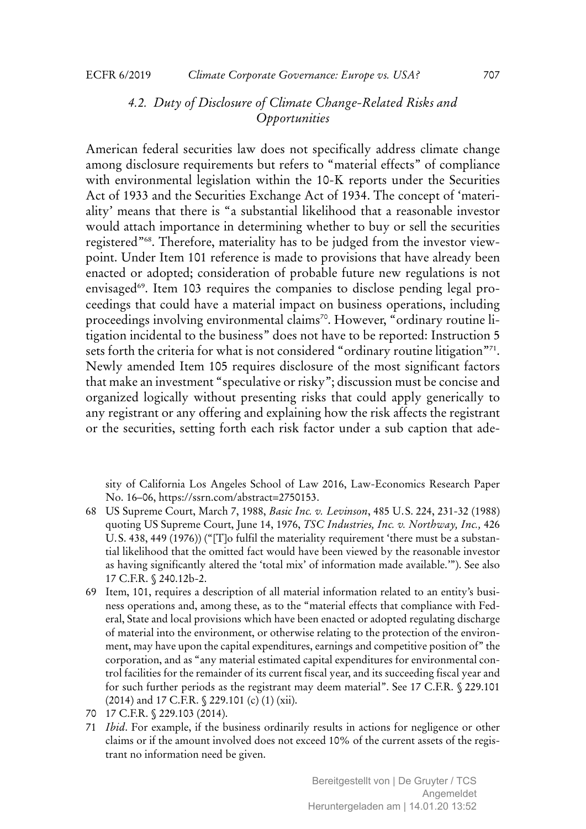# 4.2. Duty of Disclosure of Climate Change-Related Risks and **Opportunities**

American federal securities law does not specifically address climate change among disclosure requirements but refers to "material effects" of compliance with environmental legislation within the 10-K reports under the Securities Act of 1933 and the Securities Exchange Act of 1934. The concept of 'materiality' means that there is "a substantial likelihood that a reasonable investor would attach importance in determining whether to buy or sell the securities registered"68. Therefore, materiality has to be judged from the investor viewpoint. Under Item 101 reference is made to provisions that have already been enacted or adopted; consideration of probable future new regulations is not envisaged<sup>69</sup>. Item 103 requires the companies to disclose pending legal proceedings that could have a material impact on business operations, including proceedings involving environmental claims<sup>70</sup>. However, "ordinary routine litigation incidental to the business" does not have to be reported: Instruction 5 sets forth the criteria for what is not considered "ordinary routine litigation"<sup>71</sup>. Newly amended Item 105 requires disclosure of the most significant factors that make an investment "speculative or risky"; discussion must be concise and organized logically without presenting risks that could apply generically to any registrant or any offering and explaining how the risk affects the registrant or the securities, setting forth each risk factor under a sub caption that ade-

sity of California Los Angeles School of Law 2016, Law-Economics Research Paper No. 16–06, https://ssrn.com/abstract=2750153.

- 68 US Supreme Court, March 7, 1988, Basic Inc. v. Levinson, 485 U. S. 224, 231-32 (1988) quoting US Supreme Court, June 14, 1976, TSC Industries, Inc. v. Northway, Inc., 426 U. S. 438, 449 (1976)) ("[T]o fulfil the materiality requirement 'there must be a substantial likelihood that the omitted fact would have been viewed by the reasonable investor as having significantly altered the 'total mix' of information made available.'"). See also 17 C.F.R. § 240.12b-2.
- 69 Item, 101, requires a description of all material information related to an entity's business operations and, among these, as to the "material effects that compliance with Federal, State and local provisions which have been enacted or adopted regulating discharge of material into the environment, or otherwise relating to the protection of the environment, may have upon the capital expenditures, earnings and competitive position of" the corporation, and as "any material estimated capital expenditures for environmental control facilities for the remainder of its current fiscal year, and its succeeding fiscal year and for such further periods as the registrant may deem material". See 17 C.F.R. § 229.101 (2014) and 17 C.F.R. § 229.101 (c) (1) (xii).
- 70 17 C.F.R. § 229.103 (2014).
- 71 Ibid. For example, if the business ordinarily results in actions for negligence or other claims or if the amount involved does not exceed 10% of the current assets of the registrant no information need be given.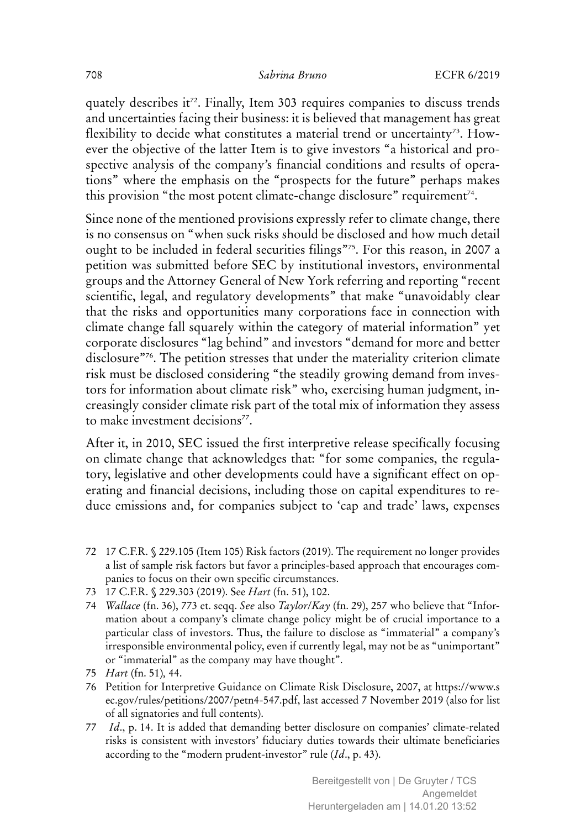quately describes it<sup>72</sup>. Finally, Item 303 requires companies to discuss trends and uncertainties facing their business: it is believed that management has great flexibility to decide what constitutes a material trend or uncertainty<sup>73</sup>. However the objective of the latter Item is to give investors "a historical and prospective analysis of the company's financial conditions and results of operations" where the emphasis on the "prospects for the future" perhaps makes this provision "the most potent climate-change disclosure" requirement<sup> $74$ </sup>.

Since none of the mentioned provisions expressly refer to climate change, there is no consensus on "when suck risks should be disclosed and how much detail ought to be included in federal securities filings"75. For this reason, in 2007 a petition was submitted before SEC by institutional investors, environmental groups and the Attorney General of New York referring and reporting "recent scientific, legal, and regulatory developments" that make "unavoidably clear that the risks and opportunities many corporations face in connection with climate change fall squarely within the category of material information" yet corporate disclosures "lag behind" and investors "demand for more and better disclosure<sup>"76</sup>. The petition stresses that under the materiality criterion climate risk must be disclosed considering "the steadily growing demand from investors for information about climate risk" who, exercising human judgment, increasingly consider climate risk part of the total mix of information they assess to make investment decisions<sup>77</sup>.

After it, in 2010, SEC issued the first interpretive release specifically focusing on climate change that acknowledges that: "for some companies, the regulatory, legislative and other developments could have a significant effect on operating and financial decisions, including those on capital expenditures to reduce emissions and, for companies subject to 'cap and trade' laws, expenses

72 17 C.F.R. § 229.105 (Item 105) Risk factors (2019). The requirement no longer provides a list of sample risk factors but favor a principles-based approach that encourages companies to focus on their own specific circumstances.

74 *Wallace* (fn. 36), 773 et. seqq. See also Taylor/Kay (fn. 29), 257 who believe that "Information about a company's climate change policy might be of crucial importance to a particular class of investors. Thus, the failure to disclose as "immaterial" a company's irresponsible environmental policy, even if currently legal, may not be as "unimportant" or "immaterial" as the company may have thought".

- 76 Petition for Interpretive Guidance on Climate Risk Disclosure, 2007, at https://www.s ec.gov/rules/petitions/2007/petn4-547.pdf, last accessed 7 November 2019 (also for list of all signatories and full contents).
- 77 Id., p. 14. It is added that demanding better disclosure on companies' climate-related risks is consistent with investors' fiduciary duties towards their ultimate beneficiaries according to the "modern prudent-investor" rule  $(Id, p. 43)$ .

<sup>73 17</sup> C.F.R. § 229.303 (2019). See Hart (fn. 51), 102.

<sup>75</sup> Hart (fn. 51), 44.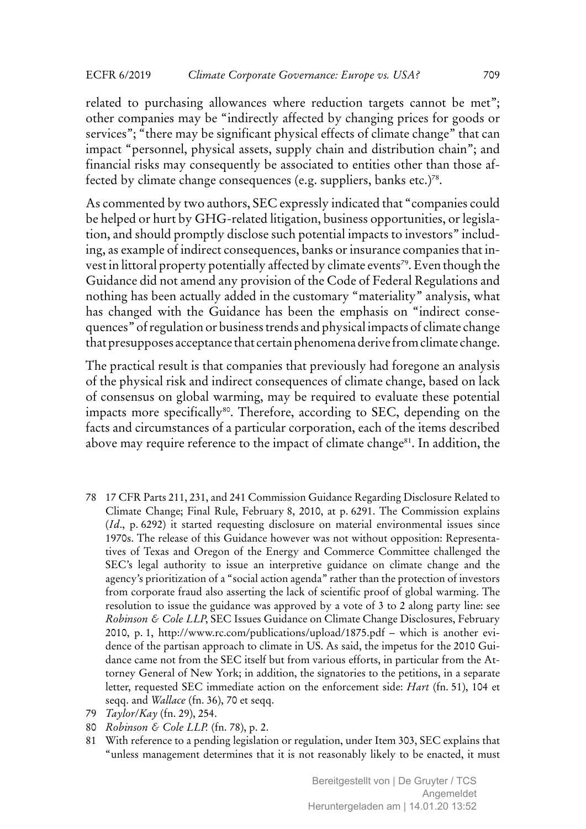related to purchasing allowances where reduction targets cannot be met"; other companies may be "indirectly affected by changing prices for goods or services"; "there may be significant physical effects of climate change" that can impact "personnel, physical assets, supply chain and distribution chain"; and financial risks may consequently be associated to entities other than those affected by climate change consequences (e.g. suppliers, banks etc.)<sup>78</sup>.

As commented by two authors, SEC expressly indicated that "companies could be helped or hurt by GHG-related litigation, business opportunities, or legislation, and should promptly disclose such potential impacts to investors" including, as example of indirect consequences, banks or insurance companies that invest in littoral property potentially affected by climate events<sup>79</sup>. Even though the Guidance did not amend any provision of the Code of Federal Regulations and nothing has been actually added in the customary "materiality" analysis, what has changed with the Guidance has been the emphasis on "indirect consequences" of regulation or business trends and physical impacts of climate change that presupposes acceptance that certain phenomena derive from climate change.

The practical result is that companies that previously had foregone an analysis of the physical risk and indirect consequences of climate change, based on lack of consensus on global warming, may be required to evaluate these potential impacts more specifically<sup>80</sup>. Therefore, according to SEC, depending on the facts and circumstances of a particular corporation, each of the items described above may require reference to the impact of climate change<sup>81</sup>. In addition, the

- 78 17 CFR Parts 211, 231, and 241 Commission Guidance Regarding Disclosure Related to Climate Change; Final Rule, February 8, 2010, at p. 6291. The Commission explains (Id., p. 6292) it started requesting disclosure on material environmental issues since 1970s. The release of this Guidance however was not without opposition: Representatives of Texas and Oregon of the Energy and Commerce Committee challenged the SEC's legal authority to issue an interpretive guidance on climate change and the agency's prioritization of a "social action agenda" rather than the protection of investors from corporate fraud also asserting the lack of scientific proof of global warming. The resolution to issue the guidance was approved by a vote of 3 to 2 along party line: see Robinson & Cole LLP, SEC Issues Guidance on Climate Change Disclosures, February 2010, p. 1, http://www.rc.com/publications/upload/1875.pdf – which is another evidence of the partisan approach to climate in US. As said, the impetus for the 2010 Guidance came not from the SEC itself but from various efforts, in particular from the Attorney General of New York; in addition, the signatories to the petitions, in a separate letter, requested SEC immediate action on the enforcement side: Hart (fn. 51), 104 et seqq. and Wallace (fn. 36), 70 et seqq.
- 79 Taylor/Kay (fn. 29), 254.
- 80 Robinson & Cole LLP. (fn. 78), p. 2.
- 81 With reference to a pending legislation or regulation, under Item 303, SEC explains that "unless management determines that it is not reasonably likely to be enacted, it must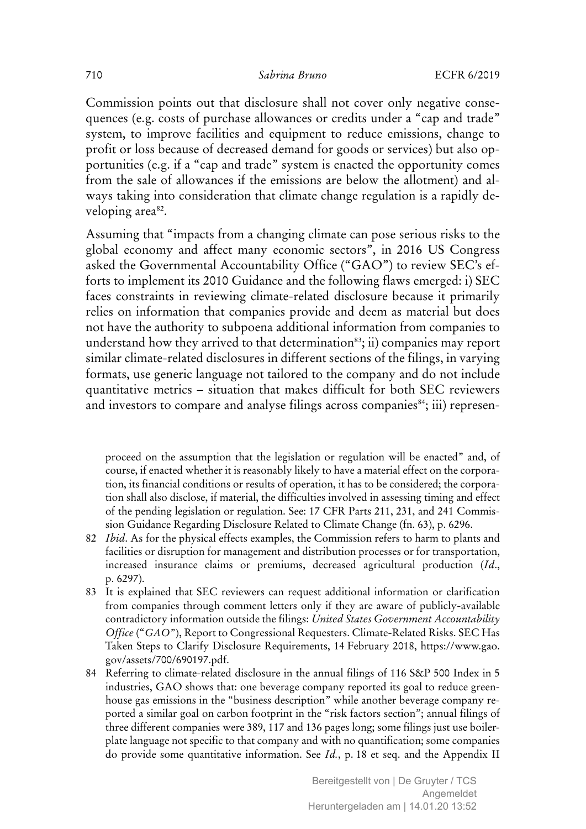Commission points out that disclosure shall not cover only negative consequences (e.g. costs of purchase allowances or credits under a "cap and trade" system, to improve facilities and equipment to reduce emissions, change to profit or loss because of decreased demand for goods or services) but also opportunities (e.g. if a "cap and trade" system is enacted the opportunity comes from the sale of allowances if the emissions are below the allotment) and always taking into consideration that climate change regulation is a rapidly developing area<sup>82</sup>.

Assuming that "impacts from a changing climate can pose serious risks to the global economy and affect many economic sectors", in 2016 US Congress asked the Governmental Accountability Office ("GAO") to review SEC's efforts to implement its 2010 Guidance and the following flaws emerged: i) SEC faces constraints in reviewing climate-related disclosure because it primarily relies on information that companies provide and deem as material but does not have the authority to subpoena additional information from companies to understand how they arrived to that determination<sup>83</sup>; ii) companies may report similar climate-related disclosures in different sections of the filings, in varying formats, use generic language not tailored to the company and do not include quantitative metrics – situation that makes difficult for both SEC reviewers and investors to compare and analyse filings across companies<sup>84</sup>; iii) represen-

proceed on the assumption that the legislation or regulation will be enacted" and, of course, if enacted whether it is reasonably likely to have a material effect on the corporation, its financial conditions or results of operation, it has to be considered; the corporation shall also disclose, if material, the difficulties involved in assessing timing and effect of the pending legislation or regulation. See: 17 CFR Parts 211, 231, and 241 Commission Guidance Regarding Disclosure Related to Climate Change (fn. 63), p. 6296.

- 82 *Ibid*. As for the physical effects examples, the Commission refers to harm to plants and facilities or disruption for management and distribution processes or for transportation, increased insurance claims or premiums, decreased agricultural production (Id., p. 6297).
- 83 It is explained that SEC reviewers can request additional information or clarification from companies through comment letters only if they are aware of publicly-available contradictory information outside the filings: United States Government Accountability Office ("GAO"), Report to Congressional Requesters. Climate-Related Risks. SEC Has Taken Steps to Clarify Disclosure Requirements, 14 February 2018, https://www.gao. gov/assets/700/690197.pdf.
- 84 Referring to climate-related disclosure in the annual filings of 116 S&P 500 Index in 5 industries, GAO shows that: one beverage company reported its goal to reduce greenhouse gas emissions in the "business description" while another beverage company reported a similar goal on carbon footprint in the "risk factors section"; annual filings of three different companies were 389, 117 and 136 pages long; some filings just use boilerplate language not specific to that company and with no quantification; some companies do provide some quantitative information. See Id., p. 18 et seq. and the Appendix II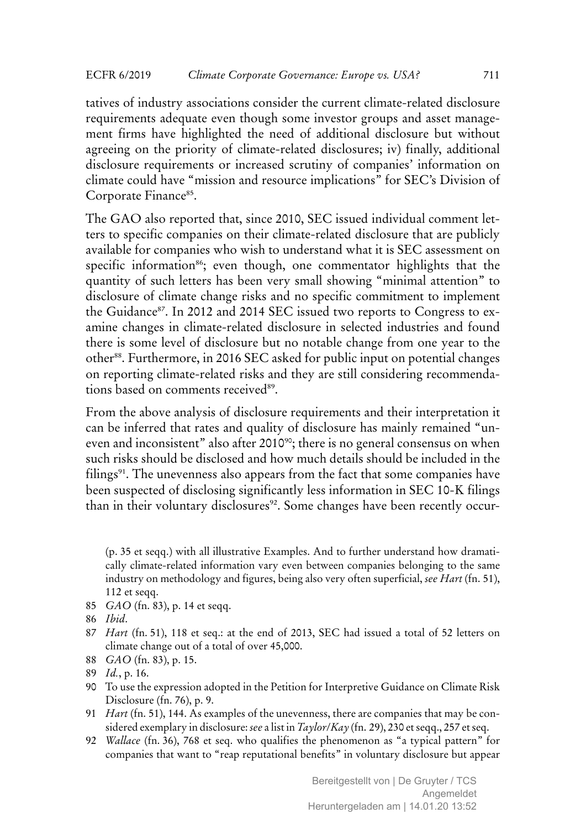tatives of industry associations consider the current climate-related disclosure requirements adequate even though some investor groups and asset management firms have highlighted the need of additional disclosure but without agreeing on the priority of climate-related disclosures; iv) finally, additional disclosure requirements or increased scrutiny of companies' information on climate could have "mission and resource implications" for SEC's Division of Corporate Finance<sup>85</sup>.

The GAO also reported that, since 2010, SEC issued individual comment letters to specific companies on their climate-related disclosure that are publicly available for companies who wish to understand what it is SEC assessment on specific information<sup>86</sup>; even though, one commentator highlights that the quantity of such letters has been very small showing "minimal attention" to disclosure of climate change risks and no specific commitment to implement the Guidance<sup>87</sup>. In 2012 and 2014 SEC issued two reports to Congress to examine changes in climate-related disclosure in selected industries and found there is some level of disclosure but no notable change from one year to the other<sup>88</sup>. Furthermore, in 2016 SEC asked for public input on potential changes on reporting climate-related risks and they are still considering recommendations based on comments received<sup>89</sup>.

From the above analysis of disclosure requirements and their interpretation it can be inferred that rates and quality of disclosure has mainly remained "uneven and inconsistent" also after 2010<sup>90</sup>; there is no general consensus on when such risks should be disclosed and how much details should be included in the filings<sup>91</sup>. The unevenness also appears from the fact that some companies have been suspected of disclosing significantly less information in SEC 10-K filings than in their voluntary disclosures<sup>92</sup>. Some changes have been recently occur-

(p. 35 et seqq.) with all illustrative Examples. And to further understand how dramatically climate-related information vary even between companies belonging to the same industry on methodology and figures, being also very often superficial, see Hart (fn. 51), 112 et seqq.

85 GAO (fn. 83), p. 14 et seqq.

- 87 Hart (fn. 51), 118 et seq.: at the end of 2013, SEC had issued a total of 52 letters on climate change out of a total of over 45,000.
- 88 GAO (fn. 83), p. 15.
- 89 Id., p. 16.
- 90 To use the expression adopted in the Petition for Interpretive Guidance on Climate Risk Disclosure (fn. 76), p. 9.
- 91 *Hart* (fn. 51), 144. As examples of the unevenness, there are companies that may be considered exemplary in disclosure: see a list in  $Taylor/Kay$  (fn. 29), 230 et seqq., 257 et seq.
- 92 Wallace (fn. 36), 768 et seq. who qualifies the phenomenon as "a typical pattern" for companies that want to "reap reputational benefits" in voluntary disclosure but appear

<sup>86</sup> Ibid.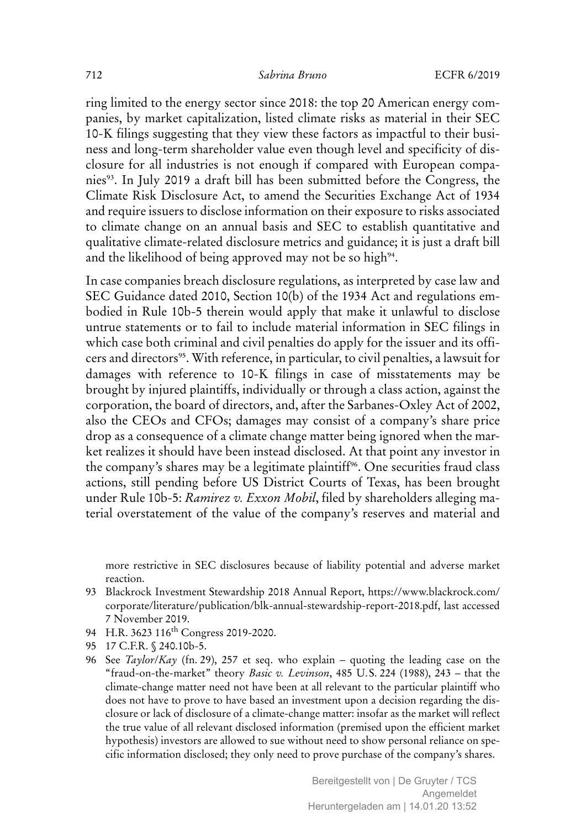ring limited to the energy sector since 2018: the top 20 American energy companies, by market capitalization, listed climate risks as material in their SEC 10-K filings suggesting that they view these factors as impactful to their business and long-term shareholder value even though level and specificity of disclosure for all industries is not enough if compared with European companies<sup>93</sup>. In July 2019 a draft bill has been submitted before the Congress, the Climate Risk Disclosure Act, to amend the Securities Exchange Act of 1934 and require issuers to disclose information on their exposure to risks associated to climate change on an annual basis and SEC to establish quantitative and qualitative climate-related disclosure metrics and guidance; it is just a draft bill and the likelihood of being approved may not be so high $94$ .

In case companies breach disclosure regulations, as interpreted by case law and SEC Guidance dated 2010, Section 10(b) of the 1934 Act and regulations embodied in Rule 10b-5 therein would apply that make it unlawful to disclose untrue statements or to fail to include material information in SEC filings in which case both criminal and civil penalties do apply for the issuer and its officers and directors<sup>95</sup>. With reference, in particular, to civil penalties, a lawsuit for damages with reference to 10-K filings in case of misstatements may be brought by injured plaintiffs, individually or through a class action, against the corporation, the board of directors, and, after the Sarbanes-Oxley Act of 2002, also the CEOs and CFOs; damages may consist of a company's share price drop as a consequence of a climate change matter being ignored when the market realizes it should have been instead disclosed. At that point any investor in the company's shares may be a legitimate plaintiff<sup>96</sup>. One securities fraud class actions, still pending before US District Courts of Texas, has been brought under Rule 10b-5: Ramirez v. Exxon Mobil, filed by shareholders alleging material overstatement of the value of the company's reserves and material and

more restrictive in SEC disclosures because of liability potential and adverse market reaction.

- 93 Blackrock Investment Stewardship 2018 Annual Report, https://www.blackrock.com/ corporate/literature/publication/blk-annual-stewardship-report-2018.pdf, last accessed 7 November 2019.
- 94 H.R. 3623 116<sup>th</sup> Congress 2019-2020.
- 95 17 C.F.R. § 240.10b-5.
- 96 See Taylor/Kay (fn. 29), 257 et seq. who explain quoting the leading case on the "fraud-on-the-market" theory *Basic v. Levinson*, 485 U.S. 224 (1988), 243 – that the climate-change matter need not have been at all relevant to the particular plaintiff who does not have to prove to have based an investment upon a decision regarding the disclosure or lack of disclosure of a climate-change matter: insofar as the market will reflect the true value of all relevant disclosed information (premised upon the efficient market hypothesis) investors are allowed to sue without need to show personal reliance on specific information disclosed; they only need to prove purchase of the company's shares.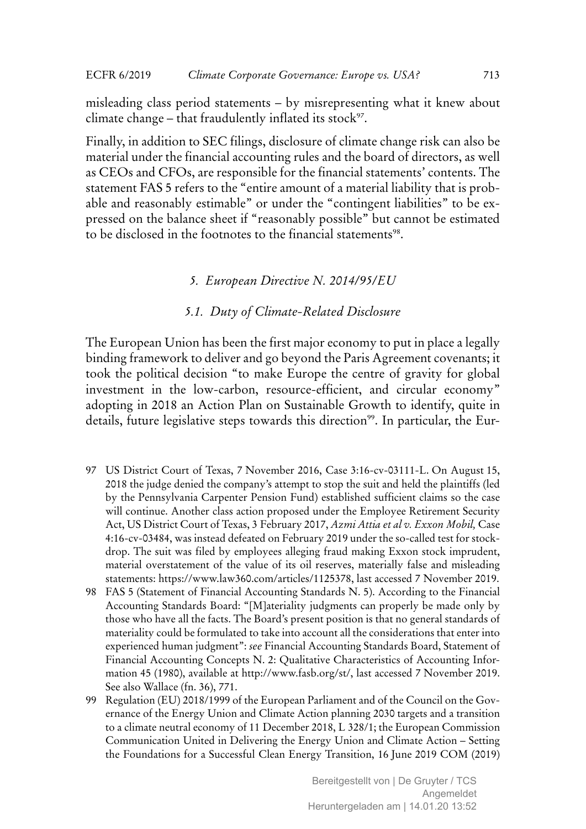misleading class period statements – by misrepresenting what it knew about climate change – that fraudulently inflated its stock<sup>97</sup>.

Finally, in addition to SEC filings, disclosure of climate change risk can also be material under the financial accounting rules and the board of directors, as well as CEOs and CFOs, are responsible for the financial statements' contents. The statement FAS 5 refers to the "entire amount of a material liability that is probable and reasonably estimable" or under the "contingent liabilities" to be expressed on the balance sheet if "reasonably possible" but cannot be estimated to be disclosed in the footnotes to the financial statements<sup>98</sup>.

### 5. European Directive N. 2014/95/EU

## 5.1. Duty of Climate-Related Disclosure

The European Union has been the first major economy to put in place a legally binding framework to deliver and go beyond the Paris Agreement covenants; it took the political decision "to make Europe the centre of gravity for global investment in the low-carbon, resource-efficient, and circular economy" adopting in 2018 an Action Plan on Sustainable Growth to identify, quite in details, future legislative steps towards this direction<sup>99</sup>. In particular, the Eur-

- 97 US District Court of Texas, 7 November 2016, Case 3:16-cv-03111-L. On August 15, 2018 the judge denied the company's attempt to stop the suit and held the plaintiffs (led by the Pennsylvania Carpenter Pension Fund) established sufficient claims so the case will continue. Another class action proposed under the Employee Retirement Security Act, US District Court of Texas, 3 February 2017, Azmi Attia et al v. Exxon Mobil, Case 4:16-cv-03484, was instead defeated on February 2019 under the so-called test for stockdrop. The suit was filed by employees alleging fraud making Exxon stock imprudent, material overstatement of the value of its oil reserves, materially false and misleading statements: https://www.law360.com/articles/1125378, last accessed 7 November 2019.
- 98 FAS 5 (Statement of Financial Accounting Standards N. 5). According to the Financial Accounting Standards Board: "[M]ateriality judgments can properly be made only by those who have all the facts. The Board's present position is that no general standards of materiality could be formulated to take into account all the considerations that enter into experienced human judgment": see Financial Accounting Standards Board, Statement of Financial Accounting Concepts N. 2: Qualitative Characteristics of Accounting Information 45 (1980), available at http://www.fasb.org/st/, last accessed 7 November 2019. See also Wallace (fn. 36), 771.
- 99 Regulation (EU) 2018/1999 of the European Parliament and of the Council on the Governance of the Energy Union and Climate Action planning 2030 targets and a transition to a climate neutral economy of 11 December 2018, L 328/1; the European Commission Communication United in Delivering the Energy Union and Climate Action – Setting the Foundations for a Successful Clean Energy Transition, 16 June 2019 COM (2019)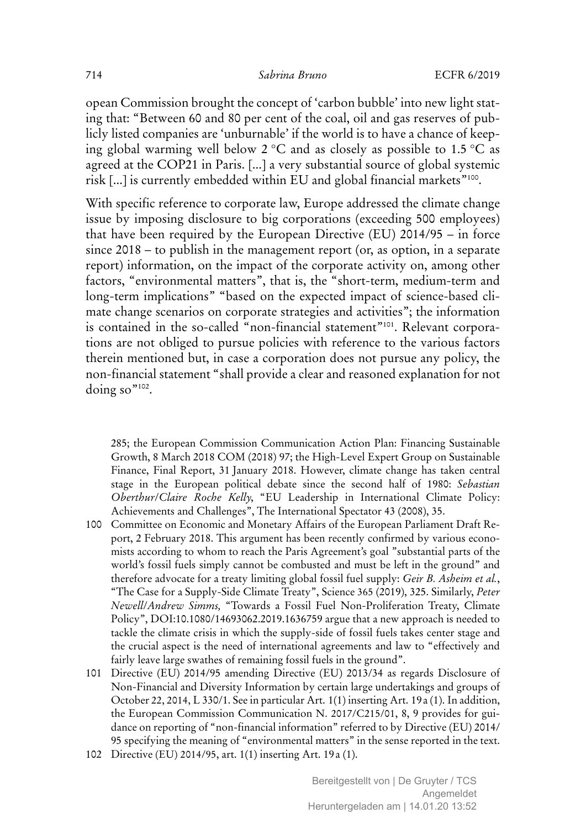opean Commission brought the concept of 'carbon bubble' into new light stating that: "Between 60 and 80 per cent of the coal, oil and gas reserves of publicly listed companies are 'unburnable' if the world is to have a chance of keeping global warming well below 2 °C and as closely as possible to 1.5 °C as agreed at the COP21 in Paris. [...] a very substantial source of global systemic risk [...] is currently embedded within EU and global financial markets"100.

With specific reference to corporate law, Europe addressed the climate change issue by imposing disclosure to big corporations (exceeding 500 employees) that have been required by the European Directive (EU) 2014/95 – in force since 2018 – to publish in the management report (or, as option, in a separate report) information, on the impact of the corporate activity on, among other factors, "environmental matters", that is, the "short-term, medium-term and long-term implications" "based on the expected impact of science-based climate change scenarios on corporate strategies and activities"; the information is contained in the so-called "non-financial statement"101. Relevant corporations are not obliged to pursue policies with reference to the various factors therein mentioned but, in case a corporation does not pursue any policy, the non-financial statement "shall provide a clear and reasoned explanation for not doing so"102.

285; the European Commission Communication Action Plan: Financing Sustainable Growth, 8 March 2018 COM (2018) 97; the High-Level Expert Group on Sustainable Finance, Final Report, 31 January 2018. However, climate change has taken central stage in the European political debate since the second half of 1980: Sebastian Oberthur/Claire Roche Kelly, "EU Leadership in International Climate Policy: Achievements and Challenges", The International Spectator 43 (2008), 35.

- 100 Committee on Economic and Monetary Affairs of the European Parliament Draft Report, 2 February 2018. This argument has been recently confirmed by various economists according to whom to reach the Paris Agreement's goal "substantial parts of the world's fossil fuels simply cannot be combusted and must be left in the ground" and therefore advocate for a treaty limiting global fossil fuel supply: Geir B. Asheim et al., "The Case for a Supply-Side Climate Treaty", Science 365 (2019), 325. Similarly, Peter Newell/Andrew Simms, "Towards a Fossil Fuel Non-Proliferation Treaty, Climate Policy", DOI:10.1080/14693062.2019.1636759 argue that a new approach is needed to tackle the climate crisis in which the supply-side of fossil fuels takes center stage and the crucial aspect is the need of international agreements and law to "effectively and fairly leave large swathes of remaining fossil fuels in the ground".
- 101 Directive (EU) 2014/95 amending Directive (EU) 2013/34 as regards Disclosure of Non-Financial and Diversity Information by certain large undertakings and groups of October 22, 2014, L 330/1. See in particular Art. 1(1) inserting Art. 19 a (1). In addition, the European Commission Communication N. 2017/C215/01, 8, 9 provides for guidance on reporting of "non-financial information" referred to by Directive (EU) 2014/ 95 specifying the meaning of "environmental matters" in the sense reported in the text.
- 102 Directive (EU) 2014/95, art. 1(1) inserting Art. 19 a (1).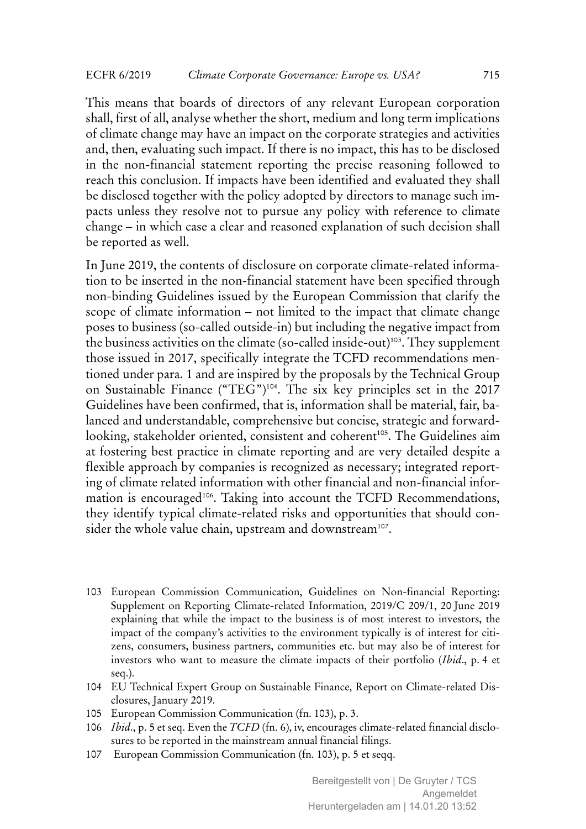This means that boards of directors of any relevant European corporation shall, first of all, analyse whether the short, medium and long term implications of climate change may have an impact on the corporate strategies and activities and, then, evaluating such impact. If there is no impact, this has to be disclosed in the non-financial statement reporting the precise reasoning followed to reach this conclusion. If impacts have been identified and evaluated they shall be disclosed together with the policy adopted by directors to manage such impacts unless they resolve not to pursue any policy with reference to climate change – in which case a clear and reasoned explanation of such decision shall be reported as well.

In June 2019, the contents of disclosure on corporate climate-related information to be inserted in the non-financial statement have been specified through non-binding Guidelines issued by the European Commission that clarify the scope of climate information – not limited to the impact that climate change poses to business (so-called outside-in) but including the negative impact from the business activities on the climate (so-called inside-out)<sup>103</sup>. They supplement those issued in 2017, specifically integrate the TCFD recommendations mentioned under para. 1 and are inspired by the proposals by the Technical Group on Sustainable Finance ("TEG") 104. The six key principles set in the 2017 Guidelines have been confirmed, that is, information shall be material, fair, balanced and understandable, comprehensive but concise, strategic and forwardlooking, stakeholder oriented, consistent and coherent<sup>105</sup>. The Guidelines aim at fostering best practice in climate reporting and are very detailed despite a flexible approach by companies is recognized as necessary; integrated reporting of climate related information with other financial and non-financial information is encouraged<sup>106</sup>. Taking into account the TCFD Recommendations, they identify typical climate-related risks and opportunities that should consider the whole value chain, upstream and downstream<sup>107</sup>.

- 103 European Commission Communication, Guidelines on Non-financial Reporting: Supplement on Reporting Climate-related Information, 2019/C 209/1, 20 June 2019 explaining that while the impact to the business is of most interest to investors, the impact of the company's activities to the environment typically is of interest for citizens, consumers, business partners, communities etc. but may also be of interest for investors who want to measure the climate impacts of their portfolio (Ibid., p. 4 et seq.).
- 104 EU Technical Expert Group on Sustainable Finance, Report on Climate-related Disclosures, January 2019.
- 105 European Commission Communication (fn. 103), p. 3.
- 106 Ibid., p. 5 et seq. Even the TCFD (fn. 6), iv, encourages climate-related financial disclosures to be reported in the mainstream annual financial filings.
- 107 European Commission Communication (fn. 103), p. 5 et seqq.

Bereitgestellt von | De Gruyter / TCS Angemeldet Heruntergeladen am | 14.01.20 13:52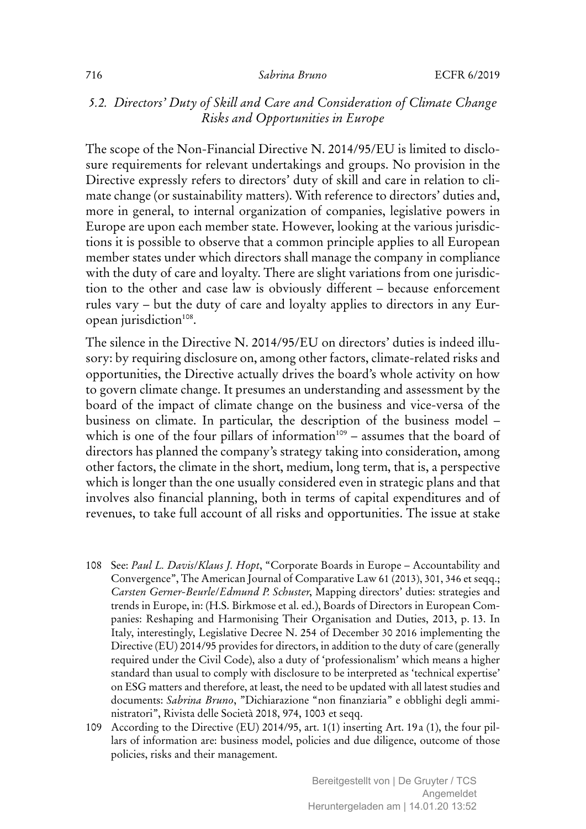### 716 Sabrina Bruno ECFR 6/2019

# 5.2. Directors' Duty of Skill and Care and Consideration of Climate Change Risks and Opportunities in Europe

The scope of the Non-Financial Directive N. 2014/95/EU is limited to disclosure requirements for relevant undertakings and groups. No provision in the Directive expressly refers to directors' duty of skill and care in relation to climate change (or sustainability matters). With reference to directors' duties and, more in general, to internal organization of companies, legislative powers in Europe are upon each member state. However, looking at the various jurisdictions it is possible to observe that a common principle applies to all European member states under which directors shall manage the company in compliance with the duty of care and loyalty. There are slight variations from one jurisdiction to the other and case law is obviously different – because enforcement rules vary – but the duty of care and loyalty applies to directors in any European jurisdiction<sup>108</sup>.

The silence in the Directive N. 2014/95/EU on directors' duties is indeed illusory: by requiring disclosure on, among other factors, climate-related risks and opportunities, the Directive actually drives the board's whole activity on how to govern climate change. It presumes an understanding and assessment by the board of the impact of climate change on the business and vice-versa of the business on climate. In particular, the description of the business model – which is one of the four pillars of information<sup>109</sup> – assumes that the board of directors has planned the company's strategy taking into consideration, among other factors, the climate in the short, medium, long term, that is, a perspective which is longer than the one usually considered even in strategic plans and that involves also financial planning, both in terms of capital expenditures and of revenues, to take full account of all risks and opportunities. The issue at stake

- 108 See: Paul L. Davis/Klaus J. Hopt, "Corporate Boards in Europe Accountability and Convergence", The American Journal of Comparative Law 61 (2013), 301, 346 et seqq.; Carsten Gerner-Beurle/Edmund P. Schuster, Mapping directors' duties: strategies and trends in Europe, in: (H.S. Birkmose et al. ed.), Boards of Directors in European Companies: Reshaping and Harmonising Their Organisation and Duties, 2013, p. 13. In Italy, interestingly, Legislative Decree N. 254 of December 30 2016 implementing the Directive (EU) 2014/95 provides for directors, in addition to the duty of care (generally required under the Civil Code), also a duty of 'professionalism' which means a higher standard than usual to comply with disclosure to be interpreted as 'technical expertise' on ESG matters and therefore, at least, the need to be updated with all latest studies and documents: Sabrina Bruno, "Dichiarazione "non finanziaria" e obblighi degli amministratori", Rivista delle Società 2018, 974, 1003 et seqq.
- 109 According to the Directive (EU) 2014/95, art. 1(1) inserting Art. 19 a (1), the four pillars of information are: business model, policies and due diligence, outcome of those policies, risks and their management.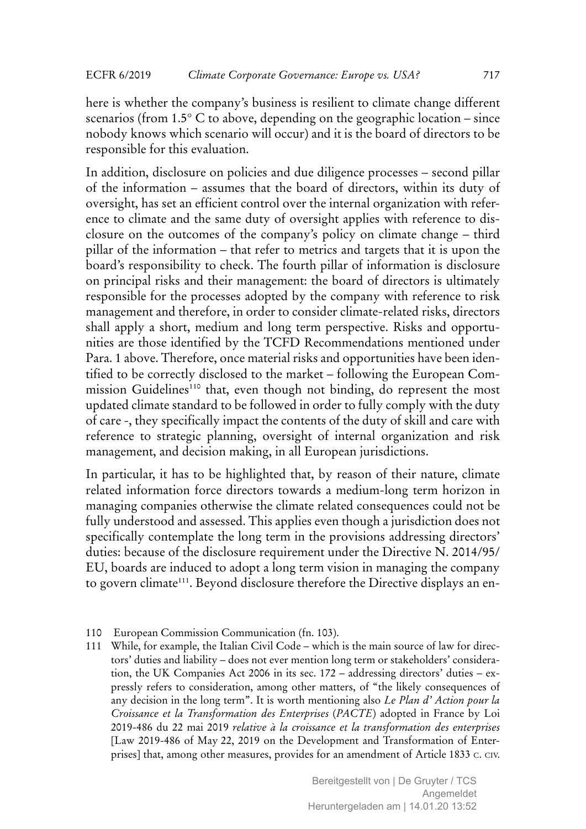here is whether the company's business is resilient to climate change different scenarios (from 1.5° C to above, depending on the geographic location – since nobody knows which scenario will occur) and it is the board of directors to be responsible for this evaluation.

In addition, disclosure on policies and due diligence processes – second pillar of the information – assumes that the board of directors, within its duty of oversight, has set an efficient control over the internal organization with reference to climate and the same duty of oversight applies with reference to disclosure on the outcomes of the company's policy on climate change – third pillar of the information – that refer to metrics and targets that it is upon the board's responsibility to check. The fourth pillar of information is disclosure on principal risks and their management: the board of directors is ultimately responsible for the processes adopted by the company with reference to risk management and therefore, in order to consider climate-related risks, directors shall apply a short, medium and long term perspective. Risks and opportunities are those identified by the TCFD Recommendations mentioned under Para. 1 above. Therefore, once material risks and opportunities have been identified to be correctly disclosed to the market – following the European Commission Guidelines<sup>110</sup> that, even though not binding, do represent the most updated climate standard to be followed in order to fully comply with the duty of care -, they specifically impact the contents of the duty of skill and care with reference to strategic planning, oversight of internal organization and risk management, and decision making, in all European jurisdictions.

In particular, it has to be highlighted that, by reason of their nature, climate related information force directors towards a medium-long term horizon in managing companies otherwise the climate related consequences could not be fully understood and assessed. This applies even though a jurisdiction does not specifically contemplate the long term in the provisions addressing directors' duties: because of the disclosure requirement under the Directive N. 2014/95/ EU, boards are induced to adopt a long term vision in managing the company to govern climate<sup>111</sup>. Beyond disclosure therefore the Directive displays an en-

- 110 European Commission Communication (fn. 103).
- 111 While, for example, the Italian Civil Code which is the main source of law for directors' duties and liability – does not ever mention long term or stakeholders' consideration, the UK Companies Act 2006 in its sec. 172 – addressing directors' duties – expressly refers to consideration, among other matters, of "the likely consequences of any decision in the long term". It is worth mentioning also Le Plan d' Action pour la Croissance et la Transformation des Enterprises (PACTE) adopted in France by Loi 2019-486 du 22 mai 2019 relative à la croissance et la transformation des enterprises [Law 2019-486 of May 22, 2019 on the Development and Transformation of Enterprises] that, among other measures, provides for an amendment of Article 1833 c. CIV.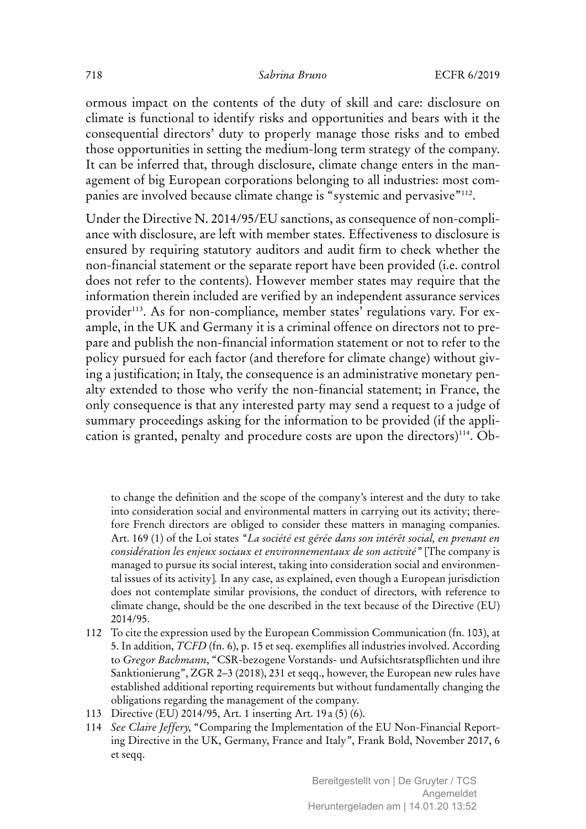ormous impact on the contents of the duty of skill and care: disclosure on climate is functional to identify risks and opportunities and bears with it the consequential directors' duty to properly manage those risks and to embed those opportunities in setting the medium-long term strategy of the company. It can be inferred that, through disclosure, climate change enters in the management of big European corporations belonging to all industries: most companies are involved because climate change is "systemic and pervasive"<sup>112</sup>.

Under the Directive N. 2014/95/EU sanctions, as consequence of non-compliance with disclosure, are left with member states. Effectiveness to disclosure is ensured by requiring statutory auditors and audit firm to check whether the non-financial statement or the separate report have been provided (i.e. control does not refer to the contents). However member states may require that the information therein included are verified by an independent assurance services provider<sup>113</sup>. As for non-compliance, member states' regulations vary. For example, in the UK and Germany it is a criminal offence on directors not to prepare and publish the non-financial information statement or not to refer to the policy pursued for each factor (and therefore for climate change) without giving a justification; in Italy, the consequence is an administrative monetary penalty extended to those who verify the non-financial statement; in France, the only consequence is that any interested party may send a request to a judge of summary proceedings asking for the information to be provided (if the application is granted, penalty and procedure costs are upon the directors)<sup>114</sup>. Ob-

to change the definition and the scope of the company's interest and the duty to take into consideration social and environmental matters in carrying out its activity; therefore French directors are obliged to consider these matters in managing companies. Art. 169 (1) of the Loi states "La société est gérée dans son intérêt social, en prenant en considération les enjeux sociaux et environnementaux de son activité" [The company is managed to pursue its social interest, taking into consideration social and environmental issues of its activity]. In any case, as explained, even though a European jurisdiction does not contemplate similar provisions, the conduct of directors, with reference to climate change, should be the one described in the text because of the Directive (EU) 2014/95.

- 112 To cite the expression used by the European Commission Communication (fn. 103), at 5. In addition, TCFD (fn. 6), p. 15 et seq. exemplifies all industries involved. According to Gregor Bachmann, "CSR-bezogene Vorstands- und Aufsichtsratspflichten und ihre Sanktionierung", ZGR 2–3 (2018), 231 et seqq., however, the European new rules have established additional reporting requirements but without fundamentally changing the obligations regarding the management of the company.
- 113 Directive (EU) 2014/95, Art. 1 inserting Art. 19 a (5) (6).
- 114 See Claire Jeffery, "Comparing the Implementation of the EU Non-Financial Reporting Directive in the UK, Germany, France and Italy", Frank Bold, November 2017, 6 et seqq.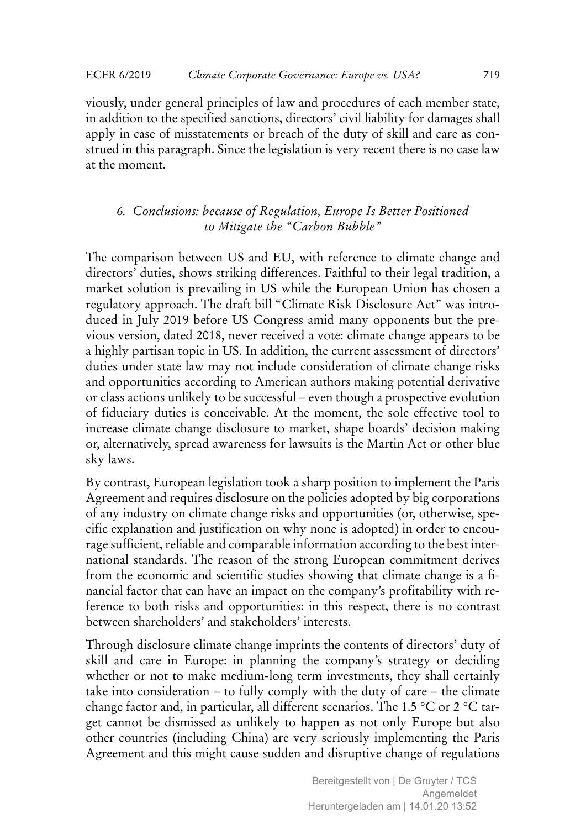viously, under general principles of law and procedures of each member state, in addition to the specified sanctions, directors' civil liability for damages shall apply in case of misstatements or breach of the duty of skill and care as construed in this paragraph. Since the legislation is very recent there is no case law at the moment.

# 6. Conclusions: because of Regulation, Europe Is Better Positioned to Mitigate the "Carbon Bubble"

The comparison between US and EU, with reference to climate change and directors' duties, shows striking differences. Faithful to their legal tradition, a market solution is prevailing in US while the European Union has chosen a regulatory approach. The draft bill "Climate Risk Disclosure Act" was introduced in July 2019 before US Congress amid many opponents but the previous version, dated 2018, never received a vote: climate change appears to be a highly partisan topic in US. In addition, the current assessment of directors' duties under state law may not include consideration of climate change risks and opportunities according to American authors making potential derivative or class actions unlikely to be successful – even though a prospective evolution of fiduciary duties is conceivable. At the moment, the sole effective tool to increase climate change disclosure to market, shape boards' decision making or, alternatively, spread awareness for lawsuits is the Martin Act or other blue sky laws.

By contrast, European legislation took a sharp position to implement the Paris Agreement and requires disclosure on the policies adopted by big corporations of any industry on climate change risks and opportunities (or, otherwise, specific explanation and justification on why none is adopted) in order to encourage sufficient, reliable and comparable information according to the best international standards. The reason of the strong European commitment derives from the economic and scientific studies showing that climate change is a financial factor that can have an impact on the company's profitability with reference to both risks and opportunities: in this respect, there is no contrast between shareholders' and stakeholders' interests.

Through disclosure climate change imprints the contents of directors' duty of skill and care in Europe: in planning the company's strategy or deciding whether or not to make medium-long term investments, they shall certainly take into consideration – to fully comply with the duty of care – the climate change factor and, in particular, all different scenarios. The 1.5 °C or 2 °C target cannot be dismissed as unlikely to happen as not only Europe but also other countries (including China) are very seriously implementing the Paris Agreement and this might cause sudden and disruptive change of regulations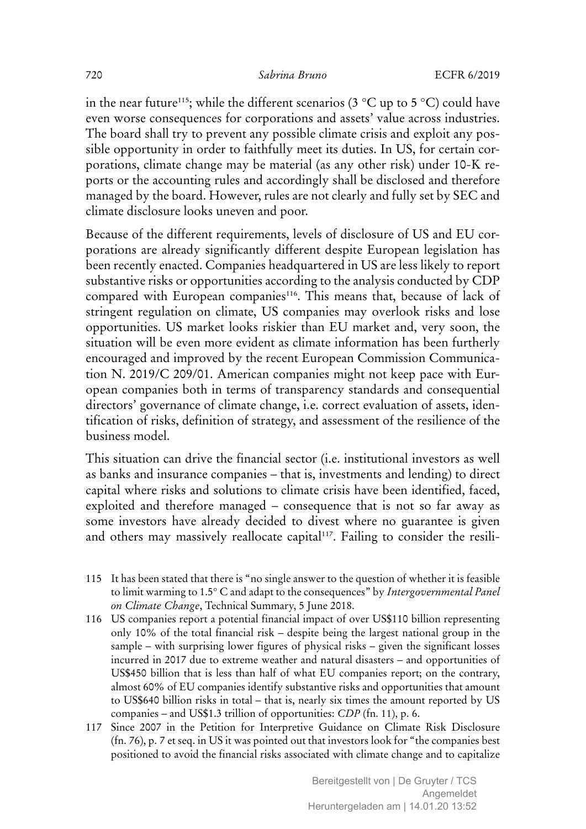in the near future<sup>115</sup>; while the different scenarios (3  $\degree$ C up to 5  $\degree$ C) could have even worse consequences for corporations and assets' value across industries. The board shall try to prevent any possible climate crisis and exploit any possible opportunity in order to faithfully meet its duties. In US, for certain corporations, climate change may be material (as any other risk) under 10-K reports or the accounting rules and accordingly shall be disclosed and therefore managed by the board. However, rules are not clearly and fully set by SEC and climate disclosure looks uneven and poor.

Because of the different requirements, levels of disclosure of US and EU corporations are already significantly different despite European legislation has been recently enacted. Companies headquartered in US are less likely to report substantive risks or opportunities according to the analysis conducted by CDP compared with European companies<sup>116</sup>. This means that, because of lack of stringent regulation on climate, US companies may overlook risks and lose opportunities. US market looks riskier than EU market and, very soon, the situation will be even more evident as climate information has been furtherly encouraged and improved by the recent European Commission Communication N. 2019/C 209/01. American companies might not keep pace with European companies both in terms of transparency standards and consequential directors' governance of climate change, i.e. correct evaluation of assets, identification of risks, definition of strategy, and assessment of the resilience of the business model.

This situation can drive the financial sector (i.e. institutional investors as well as banks and insurance companies – that is, investments and lending) to direct capital where risks and solutions to climate crisis have been identified, faced, exploited and therefore managed – consequence that is not so far away as some investors have already decided to divest where no guarantee is given and others may massively reallocate capital<sup>117</sup>. Failing to consider the resili-

- 115 It has been stated that there is "no single answer to the question of whether it is feasible to limit warming to 1.5° C and adapt to the consequences" by Intergovernmental Panel on Climate Change, Technical Summary, 5 June 2018.
- 116 US companies report a potential financial impact of over US\$110 billion representing only 10% of the total financial risk – despite being the largest national group in the sample – with surprising lower figures of physical risks – given the significant losses incurred in 2017 due to extreme weather and natural disasters – and opportunities of US\$450 billion that is less than half of what EU companies report; on the contrary, almost 60% of EU companies identify substantive risks and opportunities that amount to US\$640 billion risks in total – that is, nearly six times the amount reported by US companies – and US\$1.3 trillion of opportunities: CDP (fn. 11), p. 6.
- 117 Since 2007 in the Petition for Interpretive Guidance on Climate Risk Disclosure (fn. 76), p. 7 et seq. in US it was pointed out that investors look for "the companies best positioned to avoid the financial risks associated with climate change and to capitalize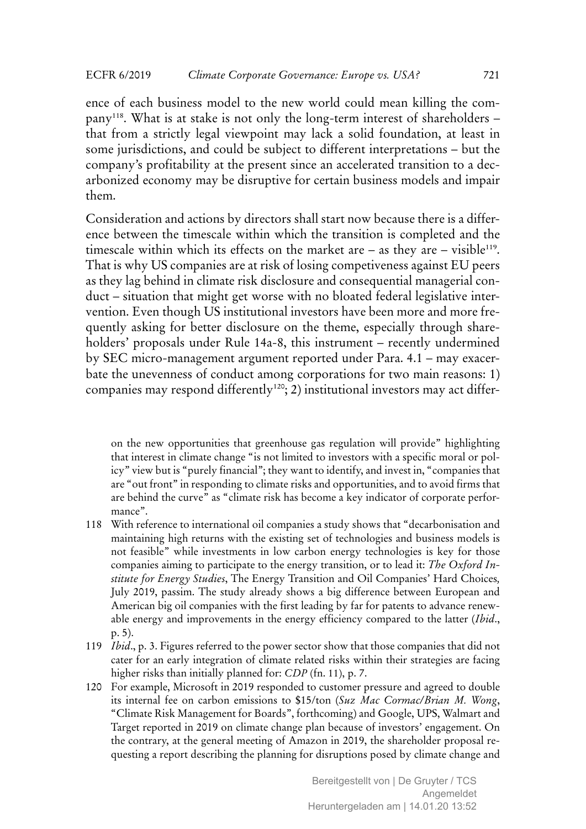ence of each business model to the new world could mean killing the company118. What is at stake is not only the long-term interest of shareholders – that from a strictly legal viewpoint may lack a solid foundation, at least in some jurisdictions, and could be subject to different interpretations – but the company's profitability at the present since an accelerated transition to a decarbonized economy may be disruptive for certain business models and impair them.

Consideration and actions by directors shall start now because there is a difference between the timescale within which the transition is completed and the timescale within which its effects on the market are  $-$  as they are  $-$  visible<sup>119</sup>. That is why US companies are at risk of losing competiveness against EU peers as they lag behind in climate risk disclosure and consequential managerial conduct – situation that might get worse with no bloated federal legislative intervention. Even though US institutional investors have been more and more frequently asking for better disclosure on the theme, especially through shareholders' proposals under Rule 14a-8, this instrument – recently undermined by SEC micro-management argument reported under Para. 4.1 – may exacerbate the unevenness of conduct among corporations for two main reasons: 1) companies may respond differently<sup>120</sup>; 2) institutional investors may act differ-

on the new opportunities that greenhouse gas regulation will provide" highlighting that interest in climate change "is not limited to investors with a specific moral or policy" view but is "purely financial"; they want to identify, and invest in, "companies that are "out front" in responding to climate risks and opportunities, and to avoid firms that are behind the curve" as "climate risk has become a key indicator of corporate performance".

- 118 With reference to international oil companies a study shows that "decarbonisation and maintaining high returns with the existing set of technologies and business models is not feasible" while investments in low carbon energy technologies is key for those companies aiming to participate to the energy transition, or to lead it: The Oxford Institute for Energy Studies, The Energy Transition and Oil Companies' Hard Choices, July 2019, passim. The study already shows a big difference between European and American big oil companies with the first leading by far for patents to advance renewable energy and improvements in the energy efficiency compared to the latter (Ibid., p. 5).
- 119 *Ibid.*, p. 3. Figures referred to the power sector show that those companies that did not cater for an early integration of climate related risks within their strategies are facing higher risks than initially planned for: CDP (fn. 11), p. 7.
- 120 For example, Microsoft in 2019 responded to customer pressure and agreed to double its internal fee on carbon emissions to \$15/ton (Suz Mac Cormac/Brian M. Wong, "Climate Risk Management for Boards", forthcoming) and Google, UPS, Walmart and Target reported in 2019 on climate change plan because of investors' engagement. On the contrary, at the general meeting of Amazon in 2019, the shareholder proposal requesting a report describing the planning for disruptions posed by climate change and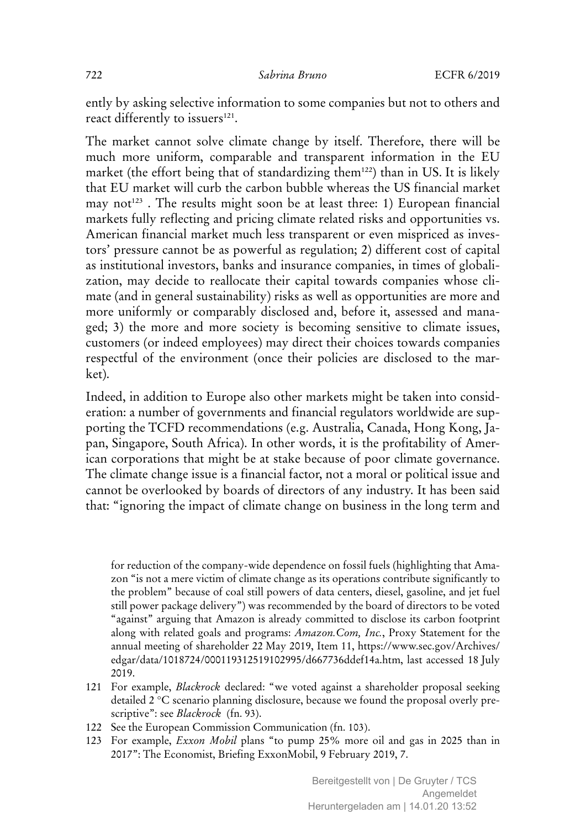ently by asking selective information to some companies but not to others and react differently to issuers<sup>121</sup>.

The market cannot solve climate change by itself. Therefore, there will be much more uniform, comparable and transparent information in the EU market (the effort being that of standardizing them<sup>122</sup>) than in US. It is likely that EU market will curb the carbon bubble whereas the US financial market may not<sup>123</sup>. The results might soon be at least three: 1) European financial markets fully reflecting and pricing climate related risks and opportunities vs. American financial market much less transparent or even mispriced as investors' pressure cannot be as powerful as regulation; 2) different cost of capital as institutional investors, banks and insurance companies, in times of globalization, may decide to reallocate their capital towards companies whose climate (and in general sustainability) risks as well as opportunities are more and more uniformly or comparably disclosed and, before it, assessed and managed; 3) the more and more society is becoming sensitive to climate issues, customers (or indeed employees) may direct their choices towards companies respectful of the environment (once their policies are disclosed to the market).

Indeed, in addition to Europe also other markets might be taken into consideration: a number of governments and financial regulators worldwide are supporting the TCFD recommendations (e.g. Australia, Canada, Hong Kong, Japan, Singapore, South Africa). In other words, it is the profitability of American corporations that might be at stake because of poor climate governance. The climate change issue is a financial factor, not a moral or political issue and cannot be overlooked by boards of directors of any industry. It has been said that: "ignoring the impact of climate change on business in the long term and

for reduction of the company-wide dependence on fossil fuels (highlighting that Amazon "is not a mere victim of climate change as its operations contribute significantly to the problem" because of coal still powers of data centers, diesel, gasoline, and jet fuel still power package delivery") was recommended by the board of directors to be voted "against" arguing that Amazon is already committed to disclose its carbon footprint along with related goals and programs: Amazon.Com, Inc., Proxy Statement for the annual meeting of shareholder 22 May 2019, Item 11, https://www.sec.gov/Archives/ edgar/data/1018724/000119312519102995/d667736ddef14a.htm, last accessed 18 July 2019.

- 121 For example, Blackrock declared: "we voted against a shareholder proposal seeking detailed 2 °C scenario planning disclosure, because we found the proposal overly prescriptive": see Blackrock (fn. 93).
- 122 See the European Commission Communication (fn. 103).
- 123 For example, Exxon Mobil plans "to pump 25% more oil and gas in 2025 than in 2017": The Economist, Briefing ExxonMobil, 9 February 2019, 7.

Bereitgestellt von | De Gruyter / TCS Angemeldet Heruntergeladen am | 14.01.20 13:52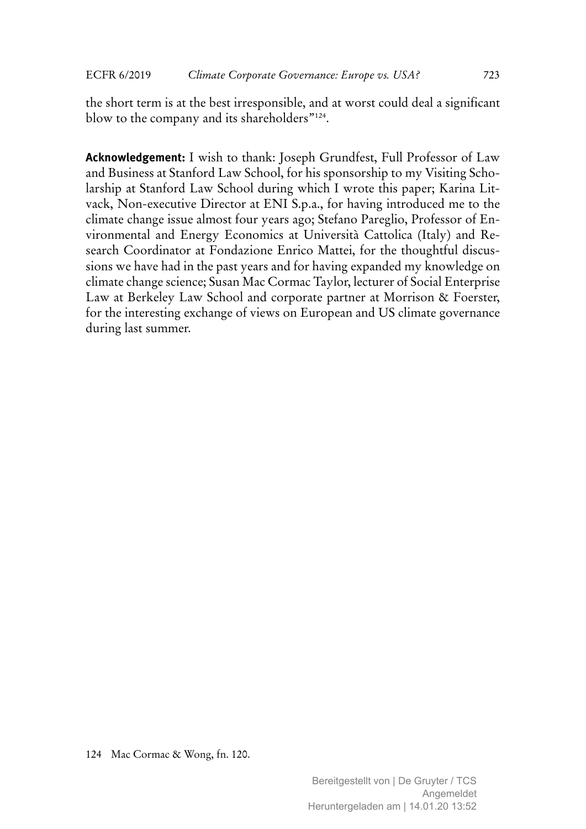the short term is at the best irresponsible, and at worst could deal a significant blow to the company and its shareholders"<sup>124</sup>.

Acknowledgement: I wish to thank: Joseph Grundfest, Full Professor of Law and Business at Stanford Law School, for his sponsorship to my Visiting Scholarship at Stanford Law School during which I wrote this paper; Karina Litvack, Non-executive Director at ENI S.p.a., for having introduced me to the climate change issue almost four years ago; Stefano Pareglio, Professor of Environmental and Energy Economics at Università Cattolica (Italy) and Research Coordinator at Fondazione Enrico Mattei, for the thoughtful discussions we have had in the past years and for having expanded my knowledge on climate change science; Susan Mac Cormac Taylor, lecturer of Social Enterprise Law at Berkeley Law School and corporate partner at Morrison & Foerster, for the interesting exchange of views on European and US climate governance during last summer.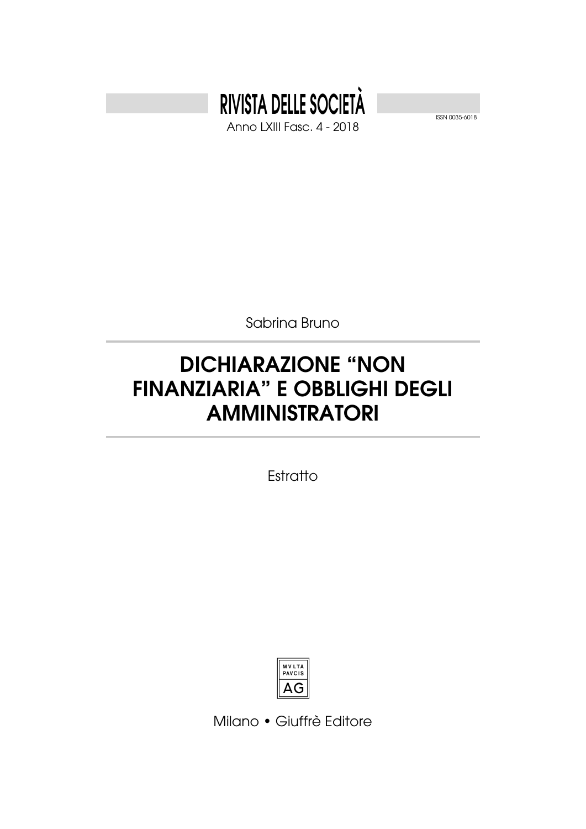



Sabrina Bruno

## DICHIARAZIONE "NON FINANZIARIA" E OBBLIGHI DEGLI AMMINISTRATORI

**Estratto** 



Milano • Giuffrè Editore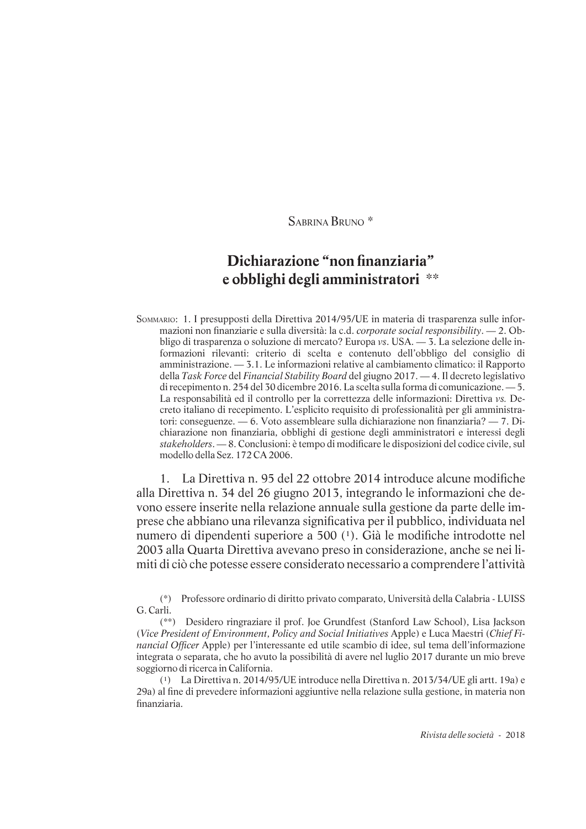SABRINA BRUNO \*

## **Dichiarazione "non finanziaria" e obblighi degli amministratori** \*\*

SOMMARIO: 1. I presupposti della Direttiva 2014/95/UE in materia di trasparenza sulle informazioni non finanziarie e sulla diversità: la c.d. *corporate social responsibility*. — 2. Obbligo di trasparenza o soluzione di mercato? Europa *vs*. USA. — 3. La selezione delle informazioni rilevanti: criterio di scelta e contenuto dell'obbligo del consiglio di amministrazione. — 3.1. Le informazioni relative al cambiamento climatico: il Rapporto della *Task Force* del *Financial Stability Board* del giugno 2017. — 4. Il decreto legislativo di recepimento n. 254 del 30 dicembre 2016. La scelta sulla forma di comunicazione. — 5. La responsabilità ed il controllo per la correttezza delle informazioni: Direttiva *vs.* Decreto italiano di recepimento. L'esplicito requisito di professionalità per gli amministratori: conseguenze. — 6. Voto assembleare sulla dichiarazione non finanziaria? — 7. Dichiarazione non finanziaria, obblighi di gestione degli amministratori e interessi degli *stakeholders*. — 8. Conclusioni: è tempo di modificare le disposizioni del codice civile, sul modello della Sez. 172 CA 2006.

1. La Direttiva n. 95 del 22 ottobre 2014 introduce alcune modifiche alla Direttiva n. 34 del 26 giugno 2013, integrando le informazioni che devono essere inserite nella relazione annuale sulla gestione da parte delle imprese che abbiano una rilevanza significativa per il pubblico, individuata nel numero di dipendenti superiore a 500 (1). Già le modifiche introdotte nel 2003 alla Quarta Direttiva avevano preso in considerazione, anche se nei limiti di ciò che potesse essere considerato necessario a comprendere l'attività

(\*) Professore ordinario di diritto privato comparato, Università della Calabria - LUISS G. Carli.

(\*\*) Desidero ringraziare il prof. Joe Grundfest (Stanford Law School), Lisa Jackson (*Vice President of Environment*, *Policy and Social Initiatives* Apple) e Luca Maestri (*Chief Financial Officer* Apple) per l'interessante ed utile scambio di idee, sul tema dell'informazione integrata o separata, che ho avuto la possibilità di avere nel luglio 2017 durante un mio breve soggiorno di ricerca in California.

(1) La Direttiva n. 2014/95/UE introduce nella Direttiva n. 2013/34/UE gli artt. 19a) e 29a) al fine di prevedere informazioni aggiuntive nella relazione sulla gestione, in materia non finanziaria.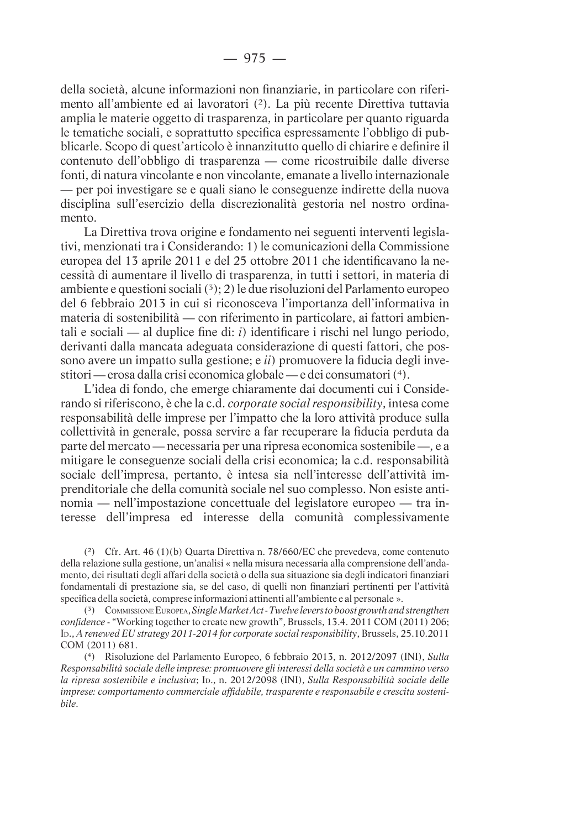della società, alcune informazioni non finanziarie, in particolare con riferimento all'ambiente ed ai lavoratori (2). La più recente Direttiva tuttavia amplia le materie oggetto di trasparenza, in particolare per quanto riguarda le tematiche sociali, e soprattutto specifica espressamente l'obbligo di pubblicarle. Scopo di quest'articolo è innanzitutto quello di chiarire e definire il contenuto dell'obbligo di trasparenza — come ricostruibile dalle diverse

fonti, di natura vincolante e non vincolante, emanate a livello internazionale — per poi investigare se e quali siano le conseguenze indirette della nuova disciplina sull'esercizio della discrezionalità gestoria nel nostro ordinamento. La Direttiva trova origine e fondamento nei seguenti interventi legislativi, menzionati tra i Considerando: 1) le comunicazioni della Commissione

europea del 13 aprile 2011 e del 25 ottobre 2011 che identificavano la necessità di aumentare il livello di trasparenza, in tutti i settori, in materia di ambiente e questioni sociali (3); 2) le due risoluzioni del Parlamento europeo del 6 febbraio 2013 in cui si riconosceva l'importanza dell'informativa in materia di sostenibilità — con riferimento in particolare, ai fattori ambientali e sociali — al duplice fine di: *i*) identificare i rischi nel lungo periodo, derivanti dalla mancata adeguata considerazione di questi fattori, che possono avere un impatto sulla gestione; e *ii*) promuovere la fiducia degli investitori— erosa dalla crisi economica globale— e dei consumatori (4).

L'idea di fondo, che emerge chiaramente dai documenti cui i Considerando si riferiscono, è che la c.d. *corporate social responsibility*, intesa come responsabilità delle imprese per l'impatto che la loro attività produce sulla collettività in generale, possa servire a far recuperare la fiducia perduta da parte del mercato — necessaria per una ripresa economica sostenibile —, e a mitigare le conseguenze sociali della crisi economica; la c.d. responsabilità sociale dell'impresa, pertanto, è intesa sia nell'interesse dell'attività imprenditoriale che della comunità sociale nel suo complesso. Non esiste antinomia — nell'impostazione concettuale del legislatore europeo — tra interesse dell'impresa ed interesse della comunità complessivamente

(2) Cfr. Art. 46 (1)(b) Quarta Direttiva n. 78/660/EC che prevedeva, come contenuto della relazione sulla gestione, un'analisi « nella misura necessaria alla comprensione dell'andamento, dei risultati degli affari della società o della sua situazione sia degli indicatori finanziari fondamentali di prestazione sia, se del caso, di quelli non finanziari pertinenti per l'attività specifica della società, comprese informazioni attinenti all'ambiente e al personale ».

(3) COMMISSIONE EUROPEA,*SingleMarketAct - Twelvelevers to boost growth and strengthen confidence* - "Working together to create new growth", Brussels, 13.4. 2011 COM (2011) 206; ID., *A renewed EU strategy 2011-2014 for corporate social responsibility*, Brussels, 25.10.2011 COM (2011) 681.

(4) Risoluzione del Parlamento Europeo, 6 febbraio 2013, n. 2012/2097 (INI), *Sulla Responsabilità sociale delle imprese: promuovere gli interessi della società e un cammino verso la ripresa sostenibile e inclusiva*; ID., n. 2012/2098 (INI), *Sulla Responsabilità sociale delle imprese: comportamento commerciale affidabile, trasparente e responsabile e crescita sostenibile*.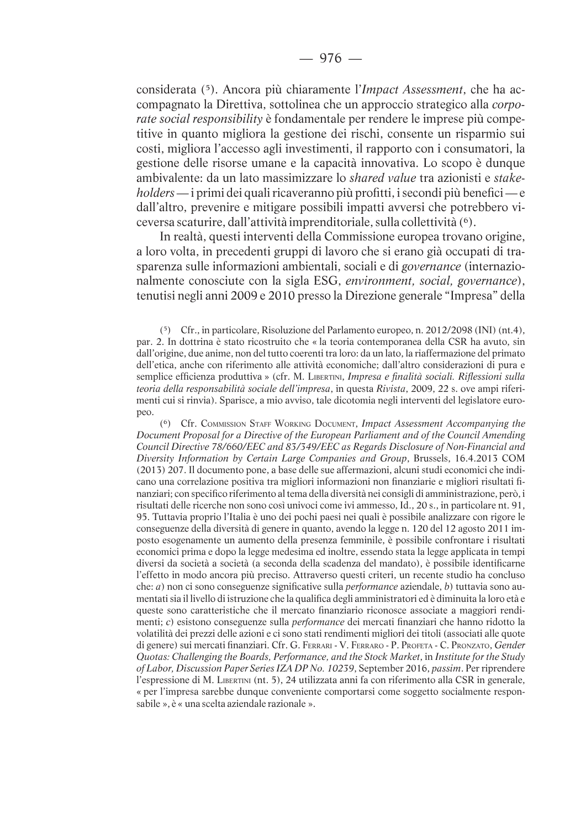considerata (5). Ancora più chiaramente l'*Impact Assessment*, che ha accompagnato la Direttiva, sottolinea che un approccio strategico alla *corporate social responsibility* è fondamentale per rendere le imprese più competitive in quanto migliora la gestione dei rischi, consente un risparmio sui costi, migliora l'accesso agli investimenti, il rapporto con i consumatori, la gestione delle risorse umane e la capacità innovativa. Lo scopo è dunque ambivalente: da un lato massimizzare lo *shared value* tra azionisti e *stakeholders* — i primi dei quali ricaveranno più profitti, i secondi più benefici — e dall'altro, prevenire e mitigare possibili impatti avversi che potrebbero viceversa scaturire, dall'attività imprenditoriale, sulla collettività (6).

In realtà, questi interventi della Commissione europea trovano origine, a loro volta, in precedenti gruppi di lavoro che si erano già occupati di trasparenza sulle informazioni ambientali, sociali e di *governance* (internazionalmente conosciute con la sigla ESG, *environment, social, governance*), tenutisi negli anni 2009 e 2010 presso la Direzione generale "Impresa" della

(6) Cfr. COMMISSION STAFF WORKING DOCUMENT, *Impact Assessment Accompanying the Document Proposal for a Directive of the European Parliament and of the Council Amending Council Directive 78/660/EEC and 83/349/EEC as Regards Disclosure of Non-Financial and Diversity Information by Certain Large Companies and Group*, Brussels, 16.4.2013 COM (2013) 207. Il documento pone, a base delle sue affermazioni, alcuni studi economici che indicano una correlazione positiva tra migliori informazioni non finanziarie e migliori risultati finanziari; con specifico riferimento al tema della diversità nei consigli di amministrazione, però, i risultati delle ricerche non sono così univoci come ivi ammesso, Id., 20 s., in particolare nt. 91, 95. Tuttavia proprio l'Italia è uno dei pochi paesi nei quali è possibile analizzare con rigore le conseguenze della diversità di genere in quanto, avendo la legge n. 120 del 12 agosto 2011 imposto esogenamente un aumento della presenza femminile, è possibile confrontare i risultati economici prima e dopo la legge medesima ed inoltre, essendo stata la legge applicata in tempi diversi da società a società (a seconda della scadenza del mandato), è possibile identificarne l'effetto in modo ancora più preciso. Attraverso questi criteri, un recente studio ha concluso che: *a*) non ci sono conseguenze significative sulla *performance* aziendale, *b*) tuttavia sono aumentati sia il livello di istruzione che la qualifica degli amministratori ed è diminuita la loro età e queste sono caratteristiche che il mercato finanziario riconosce associate a maggiori rendimenti; *c*) esistono conseguenze sulla *performance* dei mercati finanziari che hanno ridotto la volatilità dei prezzi delle azioni e ci sono stati rendimenti migliori dei titoli (associati alle quote di genere) sui mercati finanziari. Cfr. G. FERRARI - V. FERRARO - P. PROFETA - C. PRONZATO, *Gender Quotas: Challenging the Boards, Performance, and the Stock Market*, in *Institute for the Study of Labor, Discussion Paper Series IZA DP No. 10239*, September 2016, *passim*. Per riprendere l'espressione di M. LIBERTINI (nt. 5), 24 utilizzata anni fa con riferimento alla CSR in generale, « per l'impresa sarebbe dunque conveniente comportarsi come soggetto socialmente responsabile », è « una scelta aziendale razionale ».

<sup>(5)</sup> Cfr., in particolare, Risoluzione del Parlamento europeo, n. 2012/2098 (INI) (nt.4), par. 2. In dottrina è stato ricostruito che « la teoria contemporanea della CSR ha avuto, sin dall'origine, due anime, non del tutto coerenti tra loro: da un lato, la riaffermazione del primato dell'etica, anche con riferimento alle attività economiche; dall'altro considerazioni di pura e semplice efficienza produttiva » (cfr. M. LIBERTINI, *Impresa e finalità sociali. Riflessioni sulla teoria della responsabilità sociale dell'impresa*, in questa *Rivista*, 2009, 22 s. ove ampi riferimenti cui si rinvia). Sparisce, a mio avviso, tale dicotomia negli interventi del legislatore europeo.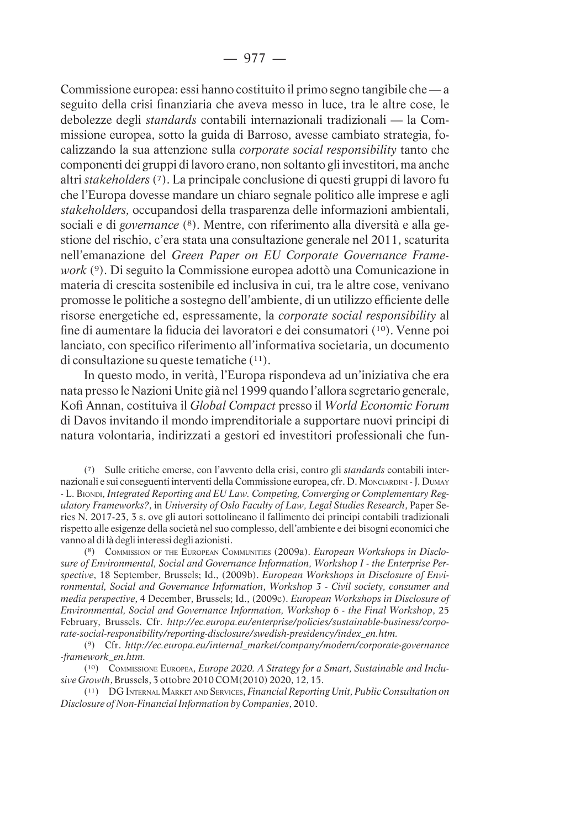Commissione europea: essi hanno costituito il primo segno tangibile che — a seguito della crisi finanziaria che aveva messo in luce, tra le altre cose, le debolezze degli *standards* contabili internazionali tradizionali — la Commissione europea, sotto la guida di Barroso, avesse cambiato strategia, focalizzando la sua attenzione sulla *corporate social responsibility* tanto che componenti dei gruppi di lavoro erano, non soltanto gli investitori, ma anche altri *stakeholders* (7). La principale conclusione di questi gruppi di lavoro fu che l'Europa dovesse mandare un chiaro segnale politico alle imprese e agli *stakeholders,* occupandosi della trasparenza delle informazioni ambientali, sociali e di *governance* (8). Mentre, con riferimento alla diversità e alla gestione del rischio, c'era stata una consultazione generale nel 2011, scaturita nell'emanazione del *Green Paper on EU Corporate Governance Framework* (9). Di seguito la Commissione europea adottò una Comunicazione in materia di crescita sostenibile ed inclusiva in cui, tra le altre cose, venivano promosse le politiche a sostegno dell'ambiente, di un utilizzo efficiente delle risorse energetiche ed, espressamente, la *corporate social responsibility* al fine di aumentare la fiducia dei lavoratori e dei consumatori (10). Venne poi lanciato, con specifico riferimento all'informativa societaria, un documento di consultazione su queste tematiche (11).

In questo modo, in verità, l'Europa rispondeva ad un'iniziativa che era nata presso le Nazioni Unite già nel 1999 quando l'allora segretario generale, Kofi Annan, costituiva il *Global Compact* presso il *World Economic Forum* di Davos invitando il mondo imprenditoriale a supportare nuovi principi di natura volontaria, indirizzati a gestori ed investitori professionali che fun-

(7) Sulle critiche emerse, con l'avvento della crisi, contro gli *standards* contabili internazionali e sui conseguenti interventi della Commissione europea, cfr. D. MONCIARDINI - J. DUMAY - L. BIONDI, *Integrated Reporting and EU Law. Competing, Converging or Complementary Regulatory Frameworks?*, in *University of Oslo Faculty of Law, Legal Studies Research*, Paper Series N. 2017-23, 3 s. ove gli autori sottolineano il fallimento dei principi contabili tradizionali rispetto alle esigenze della società nel suo complesso, dell'ambiente e dei bisogni economici che vanno al di là degli interessi degli azionisti.

(8) COMMISSION OF THE EUROPEAN COMMUNITIES (2009a). *European Workshops in Disclosure of Environmental, Social and Governance Information, Workshop I - the Enterprise Perspective*, 18 September, Brussels; Id., (2009b). *European Workshops in Disclosure of Environmental, Social and Governance Information*, *Workshop 3 - Civil society, consumer and media perspective*, 4 December, Brussels; Id., (2009c). *European Workshops in Disclosure of Environmental, Social and Governance Information, Workshop 6 - the Final Workshop*, 25 February, Brussels. Cfr. *http://ec.europa.eu/enterprise/policies/sustainable-business/corporate-social-responsibility/reporting-disclosure/swedish-presidency/index\_en.htm.*

(9) Cfr. *http://ec.europa.eu/internal\_market/company/modern/corporate-governance -framework\_en.htm.*

(10) COMMISSIONE EUROPEA, *Europe 2020. A Strategy for a Smart, Sustainable and Inclusive Growth*, Brussels, 3 ottobre 2010 COM(2010) 2020, 12, 15.

(11) DG INTERNAL MARKET AND SERVICES, *Financial Reporting Unit, Public Consultation on Disclosure of Non-Financial Information by Companies*, 2010.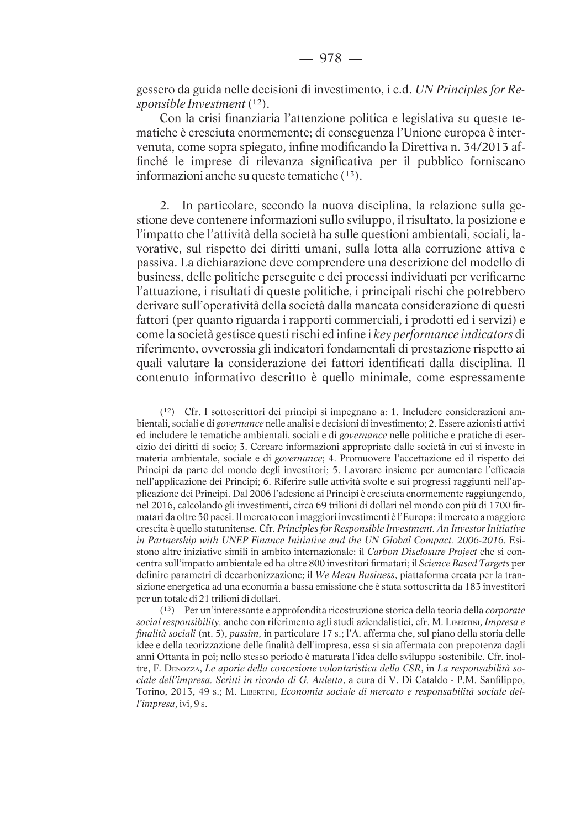gessero da guida nelle decisioni di investimento, i c.d. *UN Principles for Responsible Investment*(12).

Con la crisi finanziaria l'attenzione politica e legislativa su queste tematiche è cresciuta enormemente; di conseguenza l'Unione europea è intervenuta, come sopra spiegato, infine modificando la Direttiva n. 34/2013 affinché le imprese di rilevanza significativa per il pubblico forniscano informazioni anche su queste tematiche (13).

2. In particolare, secondo la nuova disciplina, la relazione sulla gestione deve contenere informazioni sullo sviluppo, il risultato, la posizione e l'impatto che l'attività della società ha sulle questioni ambientali, sociali, lavorative, sul rispetto dei diritti umani, sulla lotta alla corruzione attiva e passiva. La dichiarazione deve comprendere una descrizione del modello di business, delle politiche perseguite e dei processi individuati per verificarne l'attuazione, i risultati di queste politiche, i principali rischi che potrebbero derivare sull'operatività della società dalla mancata considerazione di questi fattori (per quanto riguarda i rapporti commerciali, i prodotti ed i servizi) e come la società gestisce questi rischi ed infine i *key performance indicators* di riferimento, ovverossia gli indicatori fondamentali di prestazione rispetto ai quali valutare la considerazione dei fattori identificati dalla disciplina. Il contenuto informativo descritto è quello minimale, come espressamente

(12) Cfr. I sottoscrittori dei princìpi si impegnano a: 1. Includere considerazioni ambientali, sociali e di *governance* nelle analisi e decisioni di investimento; 2. Essere azionisti attivi ed includere le tematiche ambientali, sociali e di *governance* nelle politiche e pratiche di esercizio dei diritti di socio; 3. Cercare informazioni appropriate dalle società in cui si investe in materia ambientale, sociale e di *governance*; 4. Promuovere l'accettazione ed il rispetto dei Principi da parte del mondo degli investitori; 5. Lavorare insieme per aumentare l'efficacia nell'applicazione dei Principi; 6. Riferire sulle attività svolte e sui progressi raggiunti nell'applicazione dei Principi. Dal 2006 l'adesione ai Principi è cresciuta enormemente raggiungendo, nel 2016, calcolando gli investimenti, circa 69 trilioni di dollari nel mondo con più di 1700 firmatari da oltre 50 paesi. Il mercato con i maggiori investimenti è l'Europa; il mercato a maggiore crescita è quello statunitense. Cfr. *Principles for Responsible Investment. An Investor Initiative in Partnership with UNEP Finance Initiative and the UN Global Compact. 2006-2016*. Esistono altre iniziative simili in ambito internazionale: il *Carbon Disclosure Project* che si concentra sull'impatto ambientale ed ha oltre 800 investitori firmatari; il *Science Based Targets* per definire parametri di decarbonizzazione; il *We Mean Business*, piattaforma creata per la transizione energetica ad una economia a bassa emissione che è stata sottoscritta da 183 investitori per un totale di 21 trilioni di dollari.

(13) Per un'interessante e approfondita ricostruzione storica della teoria della *corporate social responsibility,* anche con riferimento agli studi aziendalistici, cfr. M. LIBERTINI, *Impresa e finalità sociali* (nt. 5), *passim,* in particolare 17 s.; l'A. afferma che, sul piano della storia delle idee e della teorizzazione delle finalità dell'impresa, essa si sia affermata con prepotenza dagli anni Ottanta in poi; nello stesso periodo è maturata l'idea dello sviluppo sostenibile. Cfr. inoltre, F. DENOZZA, *Le aporie della concezione volontaristica della CSR*, in *La responsabilità sociale dell'impresa. Scritti in ricordo di G. Auletta*, a cura di V. Di Cataldo - P.M. Sanfilippo, Torino, 2013, 49 s.; M. LIBERTINI, *Economia sociale di mercato e responsabilità sociale dell'impresa*, ivi, 9 s.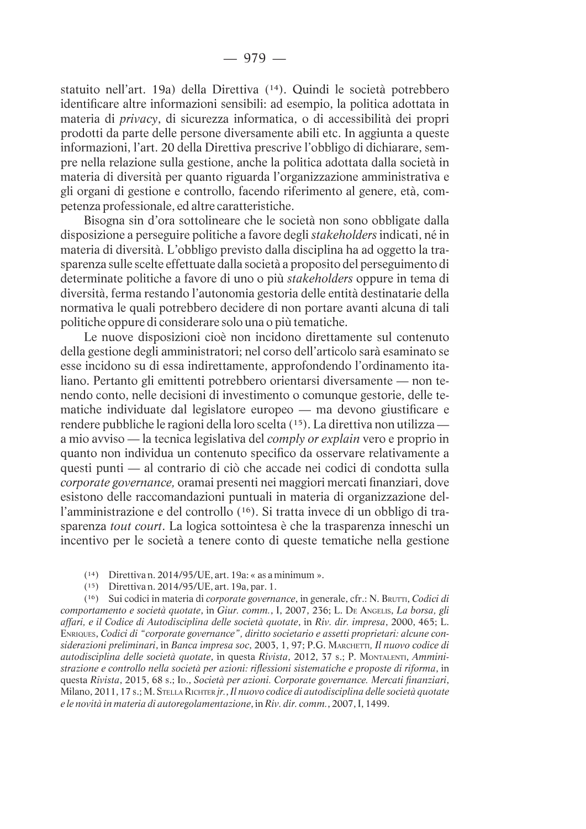— 979 —

statuito nell'art. 19a) della Direttiva (14). Quindi le società potrebbero identificare altre informazioni sensibili: ad esempio, la politica adottata in materia di *privacy*, di sicurezza informatica, o di accessibilità dei propri prodotti da parte delle persone diversamente abili etc. In aggiunta a queste informazioni, l'art. 20 della Direttiva prescrive l'obbligo di dichiarare, sempre nella relazione sulla gestione, anche la politica adottata dalla società in materia di diversità per quanto riguarda l'organizzazione amministrativa e gli organi di gestione e controllo, facendo riferimento al genere, età, competenza professionale, ed altre caratteristiche.

Bisogna sin d'ora sottolineare che le società non sono obbligate dalla disposizione a perseguire politiche a favore degli *stakeholders* indicati, né in materia di diversità. L'obbligo previsto dalla disciplina ha ad oggetto la trasparenza sulle scelte effettuate dalla società a proposito del perseguimento di determinate politiche a favore di uno o più *stakeholders* oppure in tema di diversità, ferma restando l'autonomia gestoria delle entità destinatarie della normativa le quali potrebbero decidere di non portare avanti alcuna di tali politiche oppure di considerare solo una o più tematiche.

Le nuove disposizioni cioè non incidono direttamente sul contenuto della gestione degli amministratori; nel corso dell'articolo sarà esaminato se esse incidono su di essa indirettamente, approfondendo l'ordinamento italiano. Pertanto gli emittenti potrebbero orientarsi diversamente — non tenendo conto, nelle decisioni di investimento o comunque gestorie, delle tematiche individuate dal legislatore europeo — ma devono giustificare e rendere pubbliche le ragioni della loro scelta (15). La direttiva non utilizza a mio avviso — la tecnica legislativa del *comply or explain* vero e proprio in quanto non individua un contenuto specifico da osservare relativamente a questi punti — al contrario di ciò che accade nei codici di condotta sulla *corporate governance,* oramai presenti nei maggiori mercati finanziari, dove esistono delle raccomandazioni puntuali in materia di organizzazione dell'amministrazione e del controllo (16). Si tratta invece di un obbligo di trasparenza *tout court*. La logica sottointesa è che la trasparenza inneschi un incentivo per le società a tenere conto di queste tematiche nella gestione

- (14) Direttiva n. 2014/95/UE, art. 19a: « as a minimum ».
- (15) Direttiva n. 2014/95/UE, art. 19a, par. 1.

(16) Sui codici in materia di *corporate governance*, in generale, cfr.: N. BRUTTI, *Codici di comportamento e società quotate*, in *Giur. comm.*, I, 2007, 236; L. DE ANGELIS, *La borsa, gli affari, e il Codice di Autodisciplina delle società quotate*, in *Riv. dir. impresa*, 2000, 465; L. ENRIQUES, *Codici di "corporate governance", diritto societario e assetti proprietari: alcune considerazioni preliminari*, in *Banca impresa soc*, 2003, 1, 97; P.G. MARCHETTI*, Il nuovo codice di autodisciplina delle società quotate*, in questa *Rivista*, 2012, 37 s.; P. MONTALENTI, *Amministrazione e controllo nella società per azioni: riflessioni sistematiche e proposte di riforma*, in questa *Rivista*, 2015, 68 s.; ID., *Società per azioni. Corporate governance. Mercati finanziari*, Milano, 2011, 17 s.; M. STELLA RICHTER *jr.*,*Il nuovo codice di autodisciplina delle società quotate e le novità in materia di autoregolamentazione*, in*Riv. dir. comm.*, 2007, I, 1499.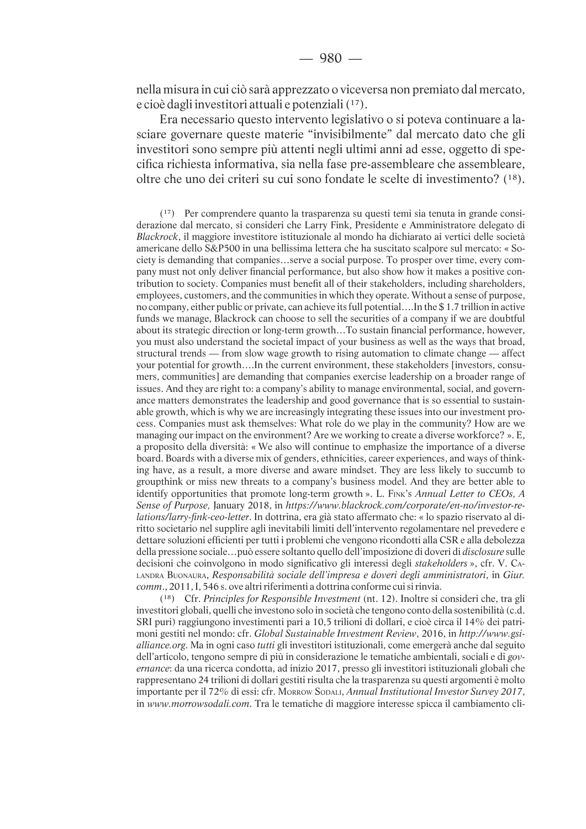nella misura in cui ciò sarà apprezzato o viceversa non premiato dal mercato, e cioè dagli investitori attuali e potenziali (17).

Era necessario questo intervento legislativo o si poteva continuare a lasciare governare queste materie "invisibilmente" dal mercato dato che gli investitori sono sempre più attenti negli ultimi anni ad esse, oggetto di specifica richiesta informativa, sia nella fase pre-assembleare che assembleare, oltre che uno dei criteri su cui sono fondate le scelte di investimento? (18).

(17) Per comprendere quanto la trasparenza su questi temi sia tenuta in grande considerazione dal mercato, si consideri che Larry Fink, Presidente e Amministratore delegato di *Blackrock*, il maggiore investitore istituzionale al mondo ha dichiarato ai vertici delle società americane dello S&P500 in una bellissima lettera che ha suscitato scalpore sul mercato: « Society is demanding that companies…serve a social purpose. To prosper over time, every company must not only deliver financial performance, but also show how it makes a positive contribution to society. Companies must benefit all of their stakeholders, including shareholders, employees, customers, and the communities in which they operate. Without a sense of purpose, no company, either public or private, can achieve its full potential….In the \$ 1.7 trillion in active funds we manage, Blackrock can choose to sell the securities of a company if we are doubtful about its strategic direction or long-term growth…To sustain financial performance, however, you must also understand the societal impact of your business as well as the ways that broad, structural trends — from slow wage growth to rising automation to climate change — affect your potential for growth….In the current environment, these stakeholders [investors, consumers, communities] are demanding that companies exercise leadership on a broader range of issues. And they are right to: a company's ability to manage environmental, social, and governance matters demonstrates the leadership and good governance that is so essential to sustainable growth, which is why we are increasingly integrating these issues into our investment process. Companies must ask themselves: What role do we play in the community? How are we managing our impact on the environment? Are we working to create a diverse workforce? ». E, a proposito della diversità: « We also will continue to emphasize the importance of a diverse board. Boards with a diverse mix of genders, ethnicities, career experiences, and ways of thinking have, as a result, a more diverse and aware mindset. They are less likely to succumb to groupthink or miss new threats to a company's business model. And they are better able to identify opportunities that promote long-term growth ». L. FINK's *Annual Letter to CEOs, A Sense of Purpose,* January 2018, in *https://www.blackrock.com/corporate/en-no/investor-relations/larry-fink-ceo-letter*. In dottrina, era già stato affermato che: « lo spazio riservato al diritto societario nel supplire agli inevitabili limiti dell'intervento regolamentare nel prevedere e dettare soluzioni efficienti per tutti i problemi che vengono ricondotti alla CSR e alla debolezza della pressione sociale…può essere soltanto quello dell'imposizione di doveri di *disclosure* sulle decisioni che coinvolgono in modo significativo gli interessi degli *stakeholders* », cfr. V. CA-LANDRA BUONAURA, *Responsabilità sociale dell'impresa e doveri degli amministratori*, in *Giur. comm*., 2011, I, 546 s. ove altri riferimenti a dottrina conforme cui si rinvia.

(18) Cfr. *Principles for Responsible Investment* (nt. 12). Inoltre si consideri che, tra gli investitori globali, quelli che investono solo in società che tengono conto della sostenibilità (c.d. SRI puri) raggiungono investimenti pari a 10,5 trilioni di dollari, e cioè circa il 14% dei patrimoni gestiti nel mondo: cfr. *Global Sustainable Investment Review*, 2016, in *http://www.gsialliance.org*. Ma in ogni caso *tutti* gli investitori istituzionali, come emergerà anche dal seguito dell'articolo, tengono sempre di più in considerazione le tematiche ambientali, sociali e di *governance*: da una ricerca condotta, ad inizio 2017, presso gli investitori istituzionali globali che rappresentano 24 trilioni di dollari gestiti risulta che la trasparenza su questi argomenti è molto importante per il 72% di essi: cfr. MORROW SODALI, *Annual Institutional Investor Survey 2017*, in *www.morrowsodali.com*. Tra le tematiche di maggiore interesse spicca il cambiamento cli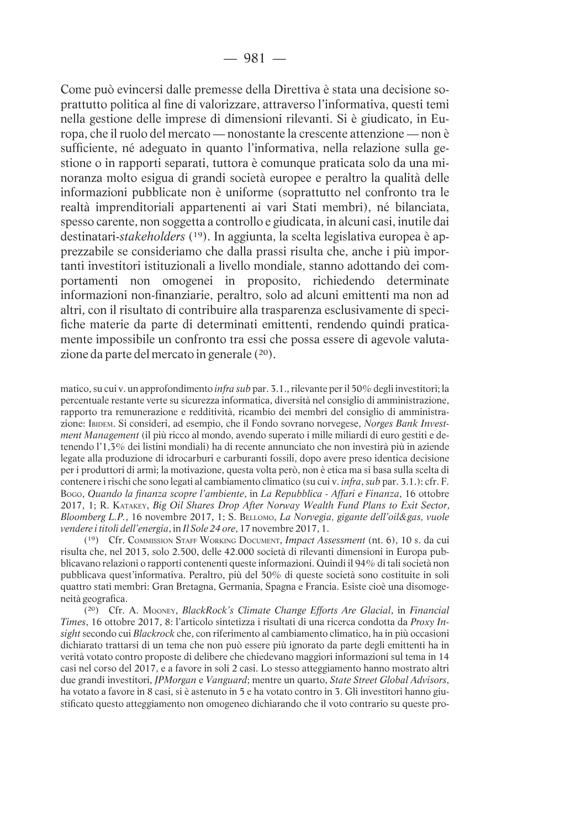Come può evincersi dalle premesse della Direttiva è stata una decisione soprattutto politica al fine di valorizzare, attraverso l'informativa, questi temi nella gestione delle imprese di dimensioni rilevanti. Si è giudicato, in Europa, che il ruolo del mercato — nonostante la crescente attenzione — non è sufficiente, né adeguato in quanto l'informativa, nella relazione sulla gestione o in rapporti separati, tuttora è comunque praticata solo da una minoranza molto esigua di grandi società europee e peraltro la qualità delle informazioni pubblicate non è uniforme (soprattutto nel confronto tra le realtà imprenditoriali appartenenti ai vari Stati membri), né bilanciata, spesso carente, non soggetta a controllo e giudicata, in alcuni casi, inutile dai destinatari-*stakeholders* (19). In aggiunta, la scelta legislativa europea è apprezzabile se consideriamo che dalla prassi risulta che, anche i più importanti investitori istituzionali a livello mondiale, stanno adottando dei comportamenti non omogenei in proposito, richiedendo determinate informazioni non-finanziarie, peraltro, solo ad alcuni emittenti ma non ad altri, con il risultato di contribuire alla trasparenza esclusivamente di specifiche materie da parte di determinati emittenti, rendendo quindi praticamente impossibile un confronto tra essi che possa essere di agevole valutazione da parte del mercato in generale (20).

matico, su cui v. un approfondimento *infra sub* par. 3.1., rilevante per il 50% degli investitori; la percentuale restante verte su sicurezza informatica, diversità nel consiglio di amministrazione, rapporto tra remunerazione e redditività, ricambio dei membri del consiglio di amministrazione: IBIDEM. Si consideri, ad esempio, che il Fondo sovrano norvegese, *Norges Bank Investment Management* (il più ricco al mondo, avendo superato i mille miliardi di euro gestiti e detenendo l'1,3% dei listini mondiali) ha di recente annunciato che non investirà più in aziende legate alla produzione di idrocarburi e carburanti fossili, dopo avere preso identica decisione per i produttori di armi; la motivazione, questa volta però, non è etica ma si basa sulla scelta di contenere i rischi che sono legati al cambiamento climatico (su cui v. *infra*, *sub* par. 3.1.): cfr. F. BOGO, *Quando la finanza scopre l'ambiente*, in *La Repubblica - Affari e Finanza*, 16 ottobre 2017, 1; R. KATAKEY, *Big Oil Shares Drop After Norway Wealth Fund Plans to Exit Sector*, *Bloomberg L.P.*, 16 novembre 2017, 1; S. BELLOMO, *La Norvegia, gigante dell'oil&gas, vuole vendere i titoli dell'energia*, in *Il Sole 24 ore*, 17 novembre 2017, 1.

(19) Cfr. COMMISSION STAFF WORKING DOCUMENT, *Impact Assessment* (nt. 6), 10 s. da cui risulta che, nel 2013, solo 2.500, delle 42.000 società di rilevanti dimensioni in Europa pubblicavano relazioni o rapporti contenenti queste informazioni. Quindi il 94% di tali società non pubblicava quest'informativa. Peraltro, più del 50% di queste società sono costituite in soli quattro stati membri: Gran Bretagna, Germania, Spagna e Francia. Esiste cioè una disomogeneità geografica.

(20) Cfr. A. MOONEY, *BlackRock's Climate Change Efforts Are Glacial*, in *Financial Times*, 16 ottobre 2017, 8: l'articolo sintetizza i risultati di una ricerca condotta da *Proxy Insight* secondo cui *Blackrock* che, con riferimento al cambiamento climatico, ha in più occasioni dichiarato trattarsi di un tema che non può essere più ignorato da parte degli emittenti ha in verità votato contro proposte di delibere che chiedevano maggiori informazioni sul tema in 14 casi nel corso del 2017, e a favore in soli 2 casi. Lo stesso atteggiamento hanno mostrato altri due grandi investitori, *JPMorgan* e *Vanguard*; mentre un quarto, *State Street Global Advisors*, ha votato a favore in 8 casi, si è astenuto in 5 e ha votato contro in 3. Gli investitori hanno giustificato questo atteggiamento non omogeneo dichiarando che il voto contrario su queste pro-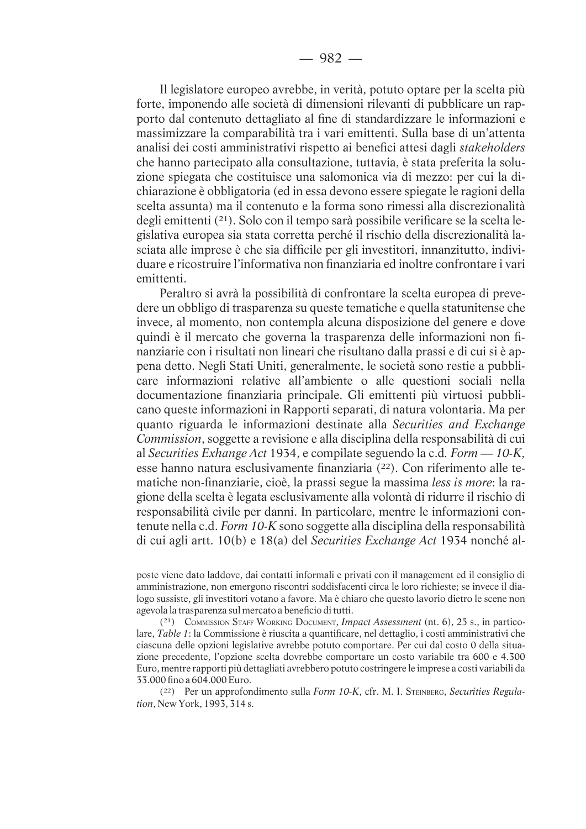Il legislatore europeo avrebbe, in verità, potuto optare per la scelta più forte, imponendo alle società di dimensioni rilevanti di pubblicare un rapporto dal contenuto dettagliato al fine di standardizzare le informazioni e massimizzare la comparabilità tra i vari emittenti. Sulla base di un'attenta analisi dei costi amministrativi rispetto ai benefici attesi dagli *stakeholders* che hanno partecipato alla consultazione, tuttavia, è stata preferita la soluzione spiegata che costituisce una salomonica via di mezzo: per cui la dichiarazione è obbligatoria (ed in essa devono essere spiegate le ragioni della scelta assunta) ma il contenuto e la forma sono rimessi alla discrezionalità degli emittenti (21). Solo con il tempo sarà possibile verificare se la scelta legislativa europea sia stata corretta perché il rischio della discrezionalità lasciata alle imprese è che sia difficile per gli investitori, innanzitutto, individuare e ricostruire l'informativa non finanziaria ed inoltre confrontare i vari emittenti.

Peraltro si avrà la possibilità di confrontare la scelta europea di prevedere un obbligo di trasparenza su queste tematiche e quella statunitense che invece, al momento, non contempla alcuna disposizione del genere e dove quindi è il mercato che governa la trasparenza delle informazioni non finanziarie con i risultati non lineari che risultano dalla prassi e di cui si è appena detto. Negli Stati Uniti, generalmente, le società sono restie a pubblicare informazioni relative all'ambiente o alle questioni sociali nella documentazione finanziaria principale. Gli emittenti più virtuosi pubblicano queste informazioni in Rapporti separati, di natura volontaria. Ma per quanto riguarda le informazioni destinate alla *Securities and Exchange Commission*, soggette a revisione e alla disciplina della responsabilità di cui al *Securities Exhange Act* 1934, e compilate seguendo la c.d*. Form — 10-K,* esse hanno natura esclusivamente finanziaria (22). Con riferimento alle tematiche non-finanziarie, cioè, la prassi segue la massima *less is more*: la ragione della scelta è legata esclusivamente alla volontà di ridurre il rischio di responsabilità civile per danni. In particolare, mentre le informazioni contenute nella c.d. *Form 10-K* sono soggette alla disciplina della responsabilità di cui agli artt. 10(b) e 18(a) del *Securities Exchange Act* 1934 nonché al-

poste viene dato laddove, dai contatti informali e privati con il management ed il consiglio di amministrazione, non emergono riscontri soddisfacenti circa le loro richieste; se invece il dialogo sussiste, gli investitori votano a favore. Ma è chiaro che questo lavorio dietro le scene non agevola la trasparenza sul mercato a beneficio di tutti.

(21) COMMISSION STAFF WORKING DOCUMENT, *Impact Assessment* (nt. 6), 25 s., in particolare, *Table 1*: la Commissione è riuscita a quantificare, nel dettaglio, i costi amministrativi che ciascuna delle opzioni legislative avrebbe potuto comportare. Per cui dal costo 0 della situazione precedente, l'opzione scelta dovrebbe comportare un costo variabile tra 600 e 4.300 Euro, mentre rapporti più dettagliati avrebbero potuto costringere le imprese a costi variabili da 33.000 fino a 604.000 Euro.

(22) Per un approfondimento sulla *Form 10-K*, cfr. M. I. STEINBERG, *Securities Regulation*, New York, 1993, 314 s.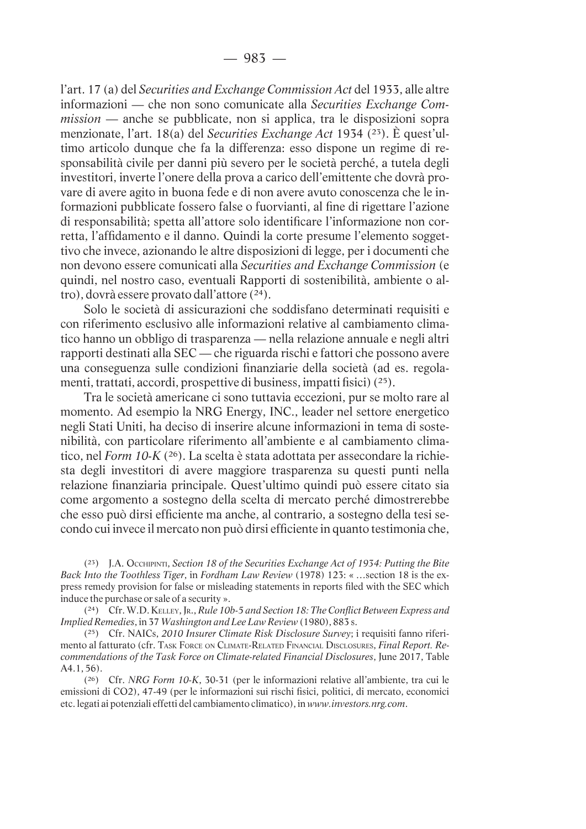l'art. 17 (a) del *Securities and Exchange Commission Act* del 1933, alle altre informazioni — che non sono comunicate alla *Securities Exchange Commission* — anche se pubblicate, non si applica, tra le disposizioni sopra menzionate, l'art. 18(a) del *Securities Exchange Act* 1934 (23). È quest'ultimo articolo dunque che fa la differenza: esso dispone un regime di responsabilità civile per danni più severo per le società perché, a tutela degli investitori, inverte l'onere della prova a carico dell'emittente che dovrà provare di avere agito in buona fede e di non avere avuto conoscenza che le informazioni pubblicate fossero false o fuorvianti, al fine di rigettare l'azione di responsabilità; spetta all'attore solo identificare l'informazione non corretta, l'affidamento e il danno. Quindi la corte presume l'elemento soggettivo che invece, azionando le altre disposizioni di legge, per i documenti che non devono essere comunicati alla *Securities and Exchange Commission* (e quindi, nel nostro caso, eventuali Rapporti di sostenibilità, ambiente o altro), dovrà essere provato dall'attore (24).

Solo le società di assicurazioni che soddisfano determinati requisiti e con riferimento esclusivo alle informazioni relative al cambiamento climatico hanno un obbligo di trasparenza — nella relazione annuale e negli altri rapporti destinati alla SEC — che riguarda rischi e fattori che possono avere una conseguenza sulle condizioni finanziarie della società (ad es. regolamenti, trattati, accordi, prospettive di business, impatti fisici) (25).

Tra le società americane ci sono tuttavia eccezioni, pur se molto rare al momento. Ad esempio la NRG Energy, INC., leader nel settore energetico negli Stati Uniti, ha deciso di inserire alcune informazioni in tema di sostenibilità, con particolare riferimento all'ambiente e al cambiamento climatico, nel *Form 10-K* (26). La scelta è stata adottata per assecondare la richiesta degli investitori di avere maggiore trasparenza su questi punti nella relazione finanziaria principale. Quest'ultimo quindi può essere citato sia come argomento a sostegno della scelta di mercato perché dimostrerebbe che esso può dirsi efficiente ma anche, al contrario, a sostegno della tesi secondo cui invece il mercato non può dirsi efficiente in quanto testimonia che,

(23) J.A. OCCHIPINTI, *Section 18 of the Securities Exchange Act of 1934: Putting the Bite Back Into the Toothless Tiger*, in *Fordham Law Review* (1978) 123: « …section 18 is the express remedy provision for false or misleading statements in reports filed with the SEC which induce the purchase or sale of a security ».

(24) Cfr. W.D. KELLEY, JR., *Rule 10b-5 and Section 18: The Conflict Between Express and Implied Remedies*, in 37 *Washington and Lee Law Review* (1980), 883 s.

(25) Cfr. NAICs, *2010 Insurer Climate Risk Disclosure Survey*; i requisiti fanno riferimento al fatturato (cfr. TASK FORCE ON CLIMATE-RELATED FINANCIAL DISCLOSURES, *Final Report. Recommendations of the Task Force on Climate-related Financial Disclosures*, June 2017, Table A4.1, 56).

(26) Cfr. *NRG Form 10-K*, 30-31 (per le informazioni relative all'ambiente, tra cui le emissioni di CO2), 47-49 (per le informazioni sui rischi fisici, politici, di mercato, economici etc. legati ai potenziali effetti del cambiamento climatico), in *www.investors.nrg.com*.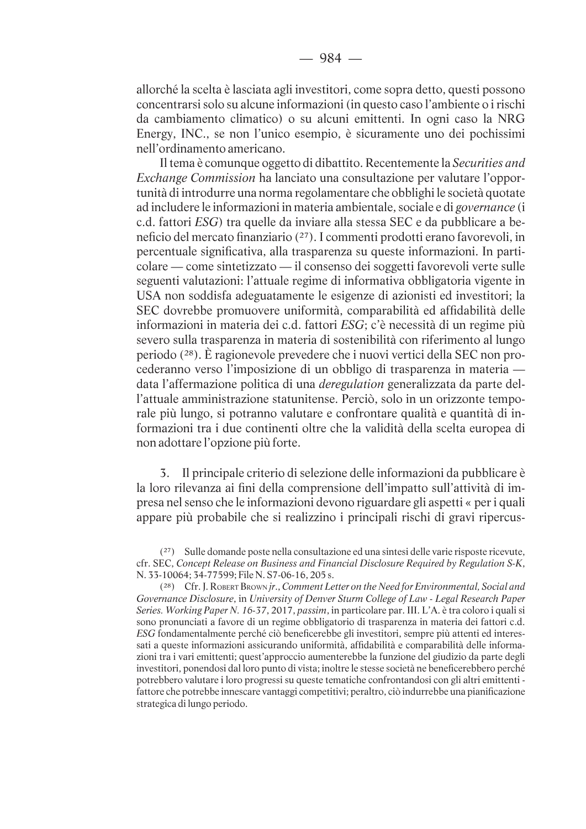allorché la scelta è lasciata agli investitori, come sopra detto, questi possono concentrarsi solo su alcune informazioni (in questo caso l'ambiente o i rischi da cambiamento climatico) o su alcuni emittenti. In ogni caso la NRG Energy, INC., se non l'unico esempio, è sicuramente uno dei pochissimi nell'ordinamento americano.

Il tema è comunque oggetto di dibattito. Recentemente la *Securities and Exchange Commission* ha lanciato una consultazione per valutare l'opportunità di introdurre una norma regolamentare che obblighi le società quotate ad includere le informazioni in materia ambientale, sociale e di *governance* (i c.d. fattori *ESG*) tra quelle da inviare alla stessa SEC e da pubblicare a beneficio del mercato finanziario (27). I commenti prodotti erano favorevoli, in percentuale significativa, alla trasparenza su queste informazioni. In particolare — come sintetizzato — il consenso dei soggetti favorevoli verte sulle seguenti valutazioni: l'attuale regime di informativa obbligatoria vigente in USA non soddisfa adeguatamente le esigenze di azionisti ed investitori; la SEC dovrebbe promuovere uniformità, comparabilità ed affidabilità delle informazioni in materia dei c.d. fattori *ESG*; c'è necessità di un regime più severo sulla trasparenza in materia di sostenibilità con riferimento al lungo periodo (28). È ragionevole prevedere che i nuovi vertici della SEC non procederanno verso l'imposizione di un obbligo di trasparenza in materia data l'affermazione politica di una *deregulation* generalizzata da parte dell'attuale amministrazione statunitense. Perciò, solo in un orizzonte temporale più lungo, si potranno valutare e confrontare qualità e quantità di informazioni tra i due continenti oltre che la validità della scelta europea di non adottare l'opzione più forte.

3. Il principale criterio di selezione delle informazioni da pubblicare è la loro rilevanza ai fini della comprensione dell'impatto sull'attività di impresa nel senso che le informazioni devono riguardare gli aspetti « per i quali appare più probabile che si realizzino i principali rischi di gravi ripercus-

<sup>(27)</sup> Sulle domande poste nella consultazione ed una sintesi delle varie risposte ricevute, cfr. SEC, *Concept Release on Business and Financial Disclosure Required by Regulation S-K*, N. 33-10064; 34-77599; File N. S7-06-16, 205 s.

<sup>(28)</sup> Cfr. J. ROBERT BROWN *jr*., *Comment Letter on the Need for Environmental, Social and Governance Disclosure*, in *University of Denver Sturm College of Law - Legal Research Paper Series. Working Paper N. 16-37*, 2017, *passim*, in particolare par. III. L'A. è tra coloro i quali si sono pronunciati a favore di un regime obbligatorio di trasparenza in materia dei fattori c.d. *ESG* fondamentalmente perché ciò beneficerebbe gli investitori, sempre più attenti ed interessati a queste informazioni assicurando uniformità, affidabilità e comparabilità delle informazioni tra i vari emittenti; quest'approccio aumenterebbe la funzione del giudizio da parte degli investitori, ponendosi dal loro punto di vista; inoltre le stesse società ne beneficerebbero perché potrebbero valutare i loro progressi su queste tematiche confrontandosi con gli altri emittenti fattore che potrebbe innescare vantaggi competitivi; peraltro, ciò indurrebbe una pianificazione strategica di lungo periodo.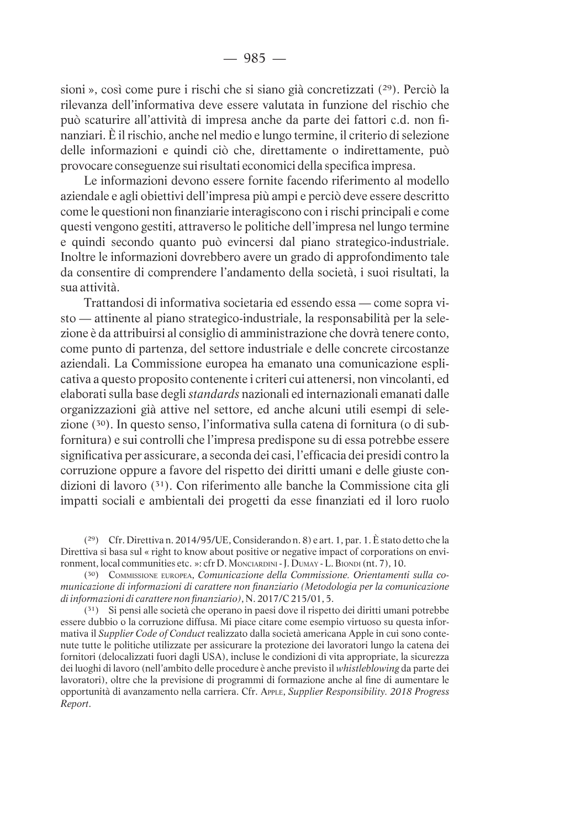sioni », così come pure i rischi che si siano già concretizzati (29). Perciò la

— 985 —

rilevanza dell'informativa deve essere valutata in funzione del rischio che può scaturire all'attività di impresa anche da parte dei fattori c.d. non finanziari. È il rischio, anche nel medio e lungo termine, il criterio di selezione delle informazioni e quindi ciò che, direttamente o indirettamente, può provocare conseguenze sui risultati economici della specifica impresa.

Le informazioni devono essere fornite facendo riferimento al modello aziendale e agli obiettivi dell'impresa più ampi e perciò deve essere descritto come le questioni non finanziarie interagiscono con i rischi principali e come questi vengono gestiti, attraverso le politiche dell'impresa nel lungo termine e quindi secondo quanto può evincersi dal piano strategico-industriale. Inoltre le informazioni dovrebbero avere un grado di approfondimento tale da consentire di comprendere l'andamento della società, i suoi risultati, la sua attività.

Trattandosi di informativa societaria ed essendo essa — come sopra visto — attinente al piano strategico-industriale, la responsabilità per la selezione è da attribuirsi al consiglio di amministrazione che dovrà tenere conto, come punto di partenza, del settore industriale e delle concrete circostanze aziendali. La Commissione europea ha emanato una comunicazione esplicativa a questo proposito contenente i criteri cui attenersi, non vincolanti, ed elaborati sulla base degli *standards* nazionali ed internazionali emanati dalle organizzazioni già attive nel settore, ed anche alcuni utili esempi di selezione (30). In questo senso, l'informativa sulla catena di fornitura (o di subfornitura) e sui controlli che l'impresa predispone su di essa potrebbe essere significativa per assicurare, a seconda dei casi, l'efficacia dei presidi contro la corruzione oppure a favore del rispetto dei diritti umani e delle giuste condizioni di lavoro (31). Con riferimento alle banche la Commissione cita gli impatti sociali e ambientali dei progetti da esse finanziati ed il loro ruolo

(29) Cfr. Direttiva n. 2014/95/UE, Considerando n. 8) e art. 1, par. 1. È stato detto che la Direttiva si basa sul « right to know about positive or negative impact of corporations on environment, local communities etc. »: cfr D. MONCIARDINI - J. DUMAY - L. BIONDI(nt. 7), 10.

(30) COMMISSIONE EUROPEA, *Comunicazione della Commissione. Orientamenti sulla comunicazione di informazioni di carattere non finanziario (Metodologia per la comunicazione di informazioni di carattere non finanziario)*, N. 2017/C 215/01, 5.

(31) Si pensi alle società che operano in paesi dove il rispetto dei diritti umani potrebbe essere dubbio o la corruzione diffusa. Mi piace citare come esempio virtuoso su questa informativa il *Supplier Code of Conduct* realizzato dalla società americana Apple in cui sono contenute tutte le politiche utilizzate per assicurare la protezione dei lavoratori lungo la catena dei fornitori (delocalizzati fuori dagli USA), incluse le condizioni di vita appropriate, la sicurezza dei luoghi di lavoro (nell'ambito delle procedure è anche previsto il *whistleblowing* da parte dei lavoratori), oltre che la previsione di programmi di formazione anche al fine di aumentare le opportunità di avanzamento nella carriera. Cfr. APPLE, *Supplier Responsibility. 2018 Progress Report*.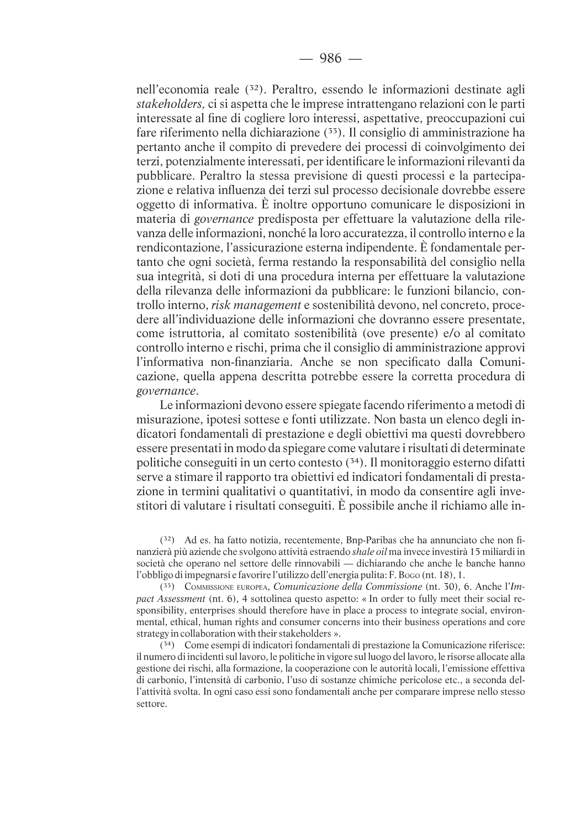nell'economia reale (32). Peraltro, essendo le informazioni destinate agli *stakeholders,* ci si aspetta che le imprese intrattengano relazioni con le parti interessate al fine di cogliere loro interessi, aspettative, preoccupazioni cui fare riferimento nella dichiarazione (33). Il consiglio di amministrazione ha pertanto anche il compito di prevedere dei processi di coinvolgimento dei terzi, potenzialmente interessati, per identificare le informazioni rilevanti da pubblicare. Peraltro la stessa previsione di questi processi e la partecipazione e relativa influenza dei terzi sul processo decisionale dovrebbe essere oggetto di informativa. È inoltre opportuno comunicare le disposizioni in materia di *governance* predisposta per effettuare la valutazione della rilevanza delle informazioni, nonché la loro accuratezza, il controllo interno e la rendicontazione, l'assicurazione esterna indipendente. È fondamentale pertanto che ogni società, ferma restando la responsabilità del consiglio nella sua integrità, si doti di una procedura interna per effettuare la valutazione della rilevanza delle informazioni da pubblicare: le funzioni bilancio, controllo interno, *risk management* e sostenibilità devono, nel concreto, procedere all'individuazione delle informazioni che dovranno essere presentate, come istruttoria, al comitato sostenibilità (ove presente) e/o al comitato controllo interno e rischi, prima che il consiglio di amministrazione approvi l'informativa non-finanziaria. Anche se non specificato dalla Comunicazione, quella appena descritta potrebbe essere la corretta procedura di *governance*.

Le informazioni devono essere spiegate facendo riferimento a metodi di misurazione, ipotesi sottese e fonti utilizzate. Non basta un elenco degli indicatori fondamentali di prestazione e degli obiettivi ma questi dovrebbero essere presentati in modo da spiegare come valutare i risultati di determinate politiche conseguiti in un certo contesto (34). Il monitoraggio esterno difatti serve a stimare il rapporto tra obiettivi ed indicatori fondamentali di prestazione in termini qualitativi o quantitativi, in modo da consentire agli investitori di valutare i risultati conseguiti. È possibile anche il richiamo alle in-

(32) Ad es. ha fatto notizia, recentemente, Bnp-Paribas che ha annunciato che non finanzierà più aziende che svolgono attività estraendo *shale oil* ma invece investirà 15 miliardi in società che operano nel settore delle rinnovabili — dichiarando che anche le banche hanno l'obbligo di impegnarsi e favorire l'utilizzo dell'energia pulita: F. Bogo (nt. 18), 1.

(33) COMMISSIONE EUROPEA, *Comunicazione della Commissione* (nt. 30), 6. Anche l'*Impact Assessment* (nt. 6), 4 sottolinea questo aspetto: « In order to fully meet their social responsibility, enterprises should therefore have in place a process to integrate social, environmental, ethical, human rights and consumer concerns into their business operations and core strategy in collaboration with their stakeholders ».

(34) Come esempi di indicatori fondamentali di prestazione la Comunicazione riferisce: il numero di incidenti sul lavoro, le politiche in vigore sul luogo del lavoro, le risorse allocate alla gestione dei rischi, alla formazione, la cooperazione con le autorità locali, l'emissione effettiva di carbonio, l'intensità di carbonio, l'uso di sostanze chimiche pericolose etc., a seconda dell'attività svolta. In ogni caso essi sono fondamentali anche per comparare imprese nello stesso settore.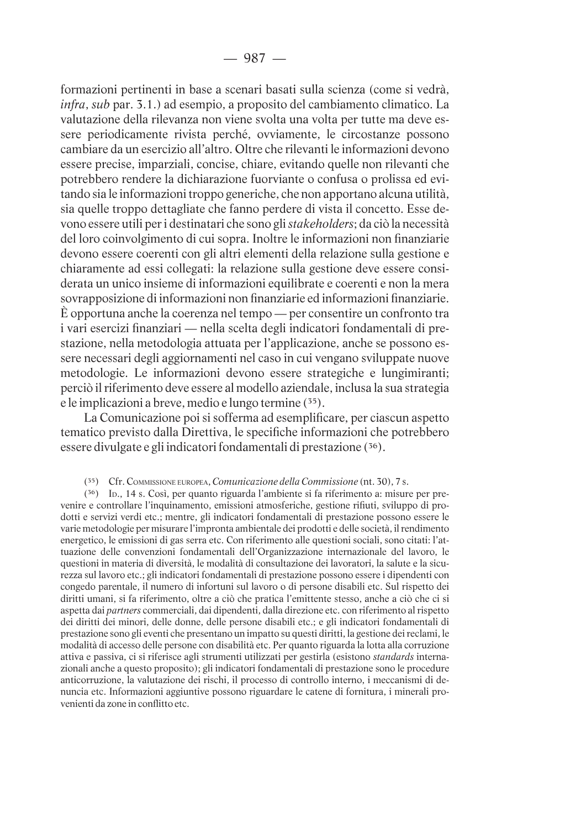— 987 —

formazioni pertinenti in base a scenari basati sulla scienza (come si vedrà, *infra*, *sub* par. 3.1.) ad esempio, a proposito del cambiamento climatico. La valutazione della rilevanza non viene svolta una volta per tutte ma deve essere periodicamente rivista perché, ovviamente, le circostanze possono cambiare da un esercizio all'altro. Oltre che rilevanti le informazioni devono essere precise, imparziali, concise, chiare, evitando quelle non rilevanti che potrebbero rendere la dichiarazione fuorviante o confusa o prolissa ed evitando sia le informazioni troppo generiche, che non apportano alcuna utilità, sia quelle troppo dettagliate che fanno perdere di vista il concetto. Esse devono essere utili per i destinatari che sono gli *stakeholders*; da ciò la necessità del loro coinvolgimento di cui sopra. Inoltre le informazioni non finanziarie devono essere coerenti con gli altri elementi della relazione sulla gestione e chiaramente ad essi collegati: la relazione sulla gestione deve essere considerata un unico insieme di informazioni equilibrate e coerenti e non la mera sovrapposizione di informazioni non finanziarie ed informazioni finanziarie. È opportuna anche la coerenza nel tempo — per consentire un confronto tra i vari esercizi finanziari — nella scelta degli indicatori fondamentali di prestazione, nella metodologia attuata per l'applicazione, anche se possono essere necessari degli aggiornamenti nel caso in cui vengano sviluppate nuove metodologie. Le informazioni devono essere strategiche e lungimiranti; perciò il riferimento deve essere al modello aziendale, inclusa la sua strategia e le implicazioni a breve, medio e lungo termine (35).

La Comunicazione poi si sofferma ad esemplificare, per ciascun aspetto tematico previsto dalla Direttiva, le specifiche informazioni che potrebbero essere divulgate e gli indicatori fondamentali di prestazione (36).

(35) Cfr. COMMISSIONE EUROPEA, *Comunicazione della Commissione* (nt. 30), 7 s.

(36) ID., 14 s. Così, per quanto riguarda l'ambiente si fa riferimento a: misure per prevenire e controllare l'inquinamento, emissioni atmosferiche, gestione rifiuti, sviluppo di prodotti e servizi verdi etc.; mentre, gli indicatori fondamentali di prestazione possono essere le varie metodologie per misurare l'impronta ambientale dei prodotti e delle società, il rendimento energetico, le emissioni di gas serra etc. Con riferimento alle questioni sociali, sono citati: l'attuazione delle convenzioni fondamentali dell'Organizzazione internazionale del lavoro, le questioni in materia di diversità, le modalità di consultazione dei lavoratori, la salute e la sicurezza sul lavoro etc.; gli indicatori fondamentali di prestazione possono essere i dipendenti con congedo parentale, il numero di infortuni sul lavoro o di persone disabili etc. Sul rispetto dei diritti umani, si fa riferimento, oltre a ciò che pratica l'emittente stesso, anche a ciò che ci si aspetta dai *partners* commerciali, dai dipendenti, dalla direzione etc. con riferimento al rispetto dei diritti dei minori, delle donne, delle persone disabili etc.; e gli indicatori fondamentali di prestazione sono gli eventi che presentano un impatto su questi diritti, la gestione dei reclami, le modalità di accesso delle persone con disabilità etc. Per quanto riguarda la lotta alla corruzione attiva e passiva, ci si riferisce agli strumenti utilizzati per gestirla (esistono *standards* internazionali anche a questo proposito); gli indicatori fondamentali di prestazione sono le procedure anticorruzione, la valutazione dei rischi, il processo di controllo interno, i meccanismi di denuncia etc. Informazioni aggiuntive possono riguardare le catene di fornitura, i minerali provenienti da zone in conflitto etc.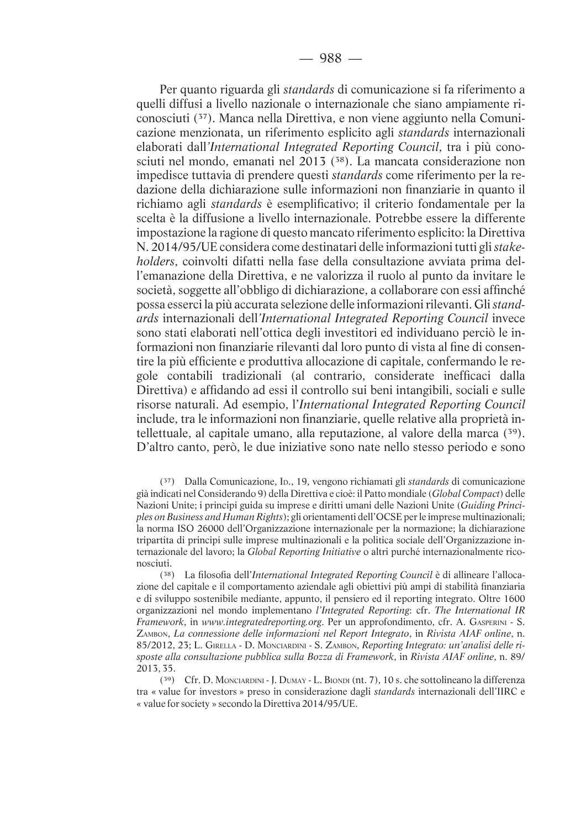Per quanto riguarda gli *standards* di comunicazione si fa riferimento a quelli diffusi a livello nazionale o internazionale che siano ampiamente riconosciuti (37). Manca nella Direttiva, e non viene aggiunto nella Comunicazione menzionata, un riferimento esplicito agli *standards* internazionali elaborati dall*'International Integrated Reporting Council*, tra i più conosciuti nel mondo, emanati nel 2013 (<sup>38</sup>). La mancata considerazione non impedisce tuttavia di prendere questi *standards* come riferimento per la redazione della dichiarazione sulle informazioni non finanziarie in quanto il richiamo agli *standards* è esemplificativo; il criterio fondamentale per la scelta è la diffusione a livello internazionale. Potrebbe essere la differente impostazione la ragione di questo mancato riferimento esplicito: la Direttiva N. 2014/95/UE considera come destinatari delle informazioni tutti gli *stakeholders*, coinvolti difatti nella fase della consultazione avviata prima dell'emanazione della Direttiva, e ne valorizza il ruolo al punto da invitare le società, soggette all'obbligo di dichiarazione, a collaborare con essi affinché possa esserci la più accurata selezione delle informazioni rilevanti. Gli *standards* internazionali dell*'International Integrated Reporting Council* invece sono stati elaborati nell'ottica degli investitori ed individuano perciò le informazioni non finanziarie rilevanti dal loro punto di vista al fine di consentire la più efficiente e produttiva allocazione di capitale, confermando le regole contabili tradizionali (al contrario, considerate inefficaci dalla Direttiva) e affidando ad essi il controllo sui beni intangibili, sociali e sulle risorse naturali. Ad esempio, l'*International Integrated Reporting Council* include, tra le informazioni non finanziarie, quelle relative alla proprietà intellettuale, al capitale umano, alla reputazione, al valore della marca (39). D'altro canto, però, le due iniziative sono nate nello stesso periodo e sono

(37) Dalla Comunicazione, ID., 19, vengono richiamati gli *standards* di comunicazione già indicati nel Considerando 9) della Direttiva e cioè: il Patto mondiale (*Global Compact*) delle Nazioni Unite; i principi guida su imprese e diritti umani delle Nazioni Unite (*Guiding Principles on Business and Human Rights*); gli orientamenti dell'OCSE per le imprese multinazionali; la norma ISO 26000 dell'Organizzazione internazionale per la normazione; la dichiarazione tripartita di principi sulle imprese multinazionali e la politica sociale dell'Organizzazione internazionale del lavoro; la *Global Reporting Initiative* o altri purché internazionalmente riconosciuti.

(38) La filosofia dell'*International Integrated Reporting Council* è di allineare l'allocazione del capitale e il comportamento aziendale agli obiettivi più ampi di stabilità finanziaria e di sviluppo sostenibile mediante, appunto, il pensiero ed il reporting integrato. Oltre 1600 organizzazioni nel mondo implementano *l'Integrated Reporting*: cfr. *The International IR Framework*, in *www.integratedreporting.org*. Per un approfondimento, cfr. A. GASPERINI - S. ZAMBON, *La connessione delle informazioni nel Report Integrato*, in *Rivista AIAF online*, n. 85/2012, 23; L. GIRELLA - D. MONCIARDINI - S. ZAMBON, *Reporting Integrato: un'analisi delle risposte alla consultazione pubblica sulla Bozza di Framework*, in *Rivista AIAF online*, n. 89/ 2013, 35.

(39) Cfr. D. MONCIARDINI - J. DUMAY - L. BIONDI (nt. 7), 10 s. che sottolineano la differenza tra « value for investors » preso in considerazione dagli *standards* internazionali dell'IIRC e « value for society » secondo la Direttiva 2014/95/UE.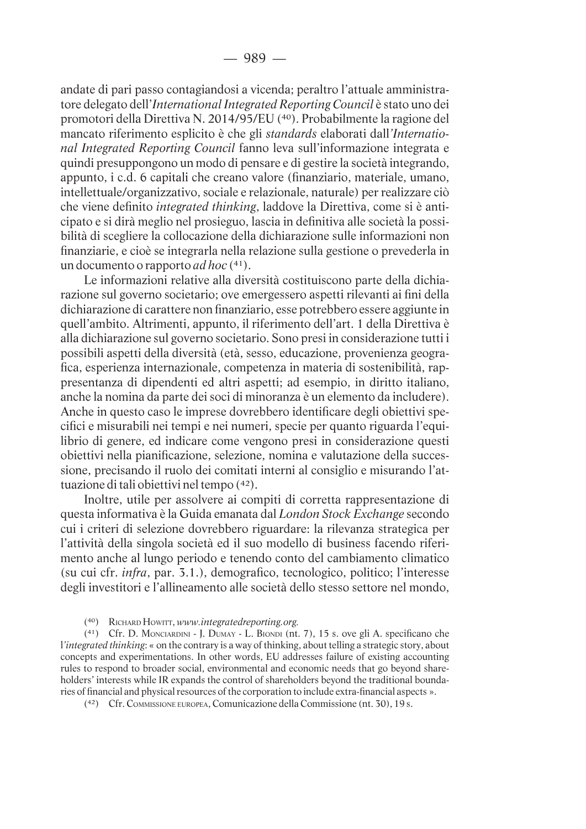andate di pari passo contagiandosi a vicenda; peraltro l'attuale amministratore delegato dell'*International Integrated Reporting Council* è stato uno dei promotori della Direttiva N. 2014/95/EU (40). Probabilmente la ragione del mancato riferimento esplicito è che gli *standards* elaborati dall*'International Integrated Reporting Council* fanno leva sull'informazione integrata e quindi presuppongono un modo di pensare e di gestire la società integrando, appunto, i c.d. 6 capitali che creano valore (finanziario, materiale, umano, intellettuale/organizzativo, sociale e relazionale, naturale) per realizzare ciò che viene definito *integrated thinking*, laddove la Direttiva, come si è anticipato e si dirà meglio nel prosieguo, lascia in definitiva alle società la possibilità di scegliere la collocazione della dichiarazione sulle informazioni non finanziarie, e cioè se integrarla nella relazione sulla gestione o prevederla in un documento o rapporto *ad hoc* (41).

Le informazioni relative alla diversità costituiscono parte della dichiarazione sul governo societario; ove emergessero aspetti rilevanti ai fini della dichiarazione di carattere non finanziario, esse potrebbero essere aggiunte in quell'ambito. Altrimenti, appunto, il riferimento dell'art. 1 della Direttiva è alla dichiarazione sul governo societario. Sono presi in considerazione tutti i possibili aspetti della diversità (età, sesso, educazione, provenienza geografica, esperienza internazionale, competenza in materia di sostenibilità, rappresentanza di dipendenti ed altri aspetti; ad esempio, in diritto italiano, anche la nomina da parte dei soci di minoranza è un elemento da includere). Anche in questo caso le imprese dovrebbero identificare degli obiettivi specifici e misurabili nei tempi e nei numeri, specie per quanto riguarda l'equilibrio di genere, ed indicare come vengono presi in considerazione questi obiettivi nella pianificazione, selezione, nomina e valutazione della successione, precisando il ruolo dei comitati interni al consiglio e misurando l'attuazione di tali obiettivi nel tempo (42).

Inoltre, utile per assolvere ai compiti di corretta rappresentazione di questa informativa è la Guida emanata dal *London Stock Exchange* secondo cui i criteri di selezione dovrebbero riguardare: la rilevanza strategica per l'attività della singola società ed il suo modello di business facendo riferimento anche al lungo periodo e tenendo conto del cambiamento climatico (su cui cfr. *infra*, par. 3.1.), demografico, tecnologico, politico; l'interesse degli investitori e l'allineamento alle società dello stesso settore nel mondo,

(40) RICHARD HOWITT, *www.integratedreporting.org.*

(41) Cfr. D. MONCIARDINI - J. DUMAY - L. BIONDI (nt. 7), 15 s. ove gli A. specificano che l*'integrated thinking*: « on the contrary is a way of thinking, about telling a strategic story, about concepts and experimentations. In other words, EU addresses failure of existing accounting rules to respond to broader social, environmental and economic needs that go beyond shareholders' interests while IR expands the control of shareholders beyond the traditional boundaries of financial and physical resources of the corporation to include extra-financial aspects ».

(42) Cfr. COMMISSIONE EUROPEA, Comunicazione della Commissione (nt. 30), 19 s.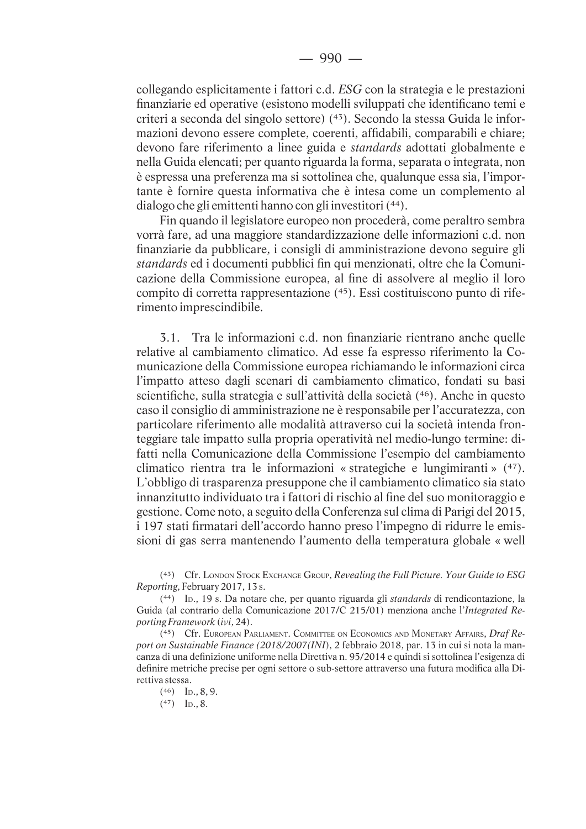collegando esplicitamente i fattori c.d. *ESG* con la strategia e le prestazioni finanziarie ed operative (esistono modelli sviluppati che identificano temi e criteri a seconda del singolo settore) (43). Secondo la stessa Guida le informazioni devono essere complete, coerenti, affidabili, comparabili e chiare; devono fare riferimento a linee guida e *standards* adottati globalmente e nella Guida elencati; per quanto riguarda la forma, separata o integrata, non è espressa una preferenza ma si sottolinea che, qualunque essa sia, l'importante è fornire questa informativa che è intesa come un complemento al dialogo che gli emittenti hanno con gli investitori (44).

Fin quando il legislatore europeo non procederà, come peraltro sembra vorrà fare, ad una maggiore standardizzazione delle informazioni c.d. non finanziarie da pubblicare, i consigli di amministrazione devono seguire gli *standards* ed i documenti pubblici fin qui menzionati, oltre che la Comunicazione della Commissione europea, al fine di assolvere al meglio il loro compito di corretta rappresentazione (45). Essi costituiscono punto di riferimento imprescindibile.

3.1. Tra le informazioni c.d. non finanziarie rientrano anche quelle relative al cambiamento climatico. Ad esse fa espresso riferimento la Comunicazione della Commissione europea richiamando le informazioni circa l'impatto atteso dagli scenari di cambiamento climatico, fondati su basi scientifiche, sulla strategia e sull'attività della società (46). Anche in questo caso il consiglio di amministrazione ne è responsabile per l'accuratezza, con particolare riferimento alle modalità attraverso cui la società intenda fronteggiare tale impatto sulla propria operatività nel medio-lungo termine: difatti nella Comunicazione della Commissione l'esempio del cambiamento climatico rientra tra le informazioni « strategiche e lungimiranti » (47). L'obbligo di trasparenza presuppone che il cambiamento climatico sia stato innanzitutto individuato tra i fattori di rischio al fine del suo monitoraggio e gestione. Come noto, a seguito della Conferenza sul clima di Parigi del 2015, i 197 stati firmatari dell'accordo hanno preso l'impegno di ridurre le emissioni di gas serra mantenendo l'aumento della temperatura globale « well

(43) Cfr. LONDON STOCK EXCHANGE GROUP, *Revealing the Full Picture. Your Guide to ESG Reporting*, February 2017, 13 s.

(44) ID., 19 s. Da notare che, per quanto riguarda gli *standards* di rendicontazione, la Guida (al contrario della Comunicazione 2017/C 215/01) menziona anche l'*Integrated Reporting Framework* (*ivi*, 24).

(45) Cfr. EUROPEAN PARLIAMENT. COMMITTEE ON ECONOMICS AND MONETARY AFFAIRS, *Draf Report on Sustainable Finance (2018/2007(INI*), 2 febbraio 2018, par. 13 in cui si nota la mancanza di una definizione uniforme nella Direttiva n. 95/2014 e quindi si sottolinea l'esigenza di definire metriche precise per ogni settore o sub-settore attraverso una futura modifica alla Direttiva stessa.

(46) ID., 8, 9.

 $(47)$  ID., 8.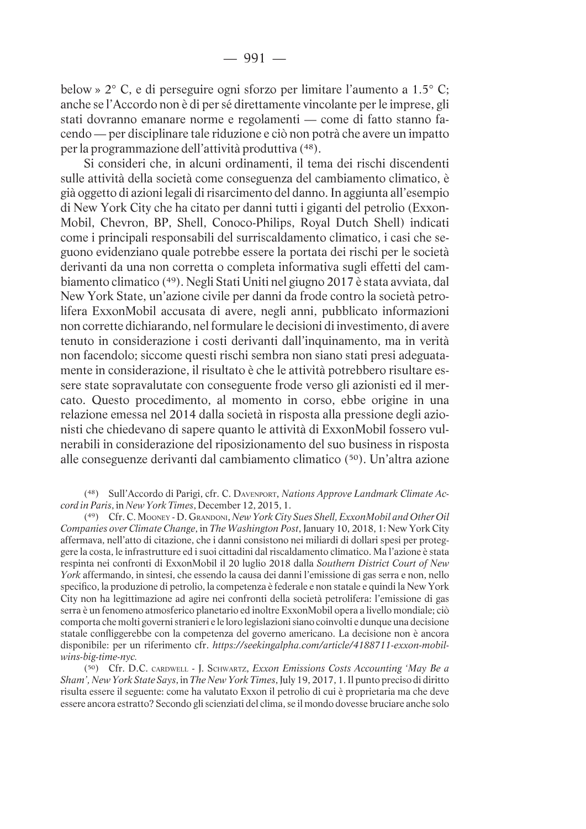below » 2° C, e di perseguire ogni sforzo per limitare l'aumento a 1.5° C; anche se l'Accordo non è di per sé direttamente vincolante per le imprese, gli stati dovranno emanare norme e regolamenti — come di fatto stanno facendo — per disciplinare tale riduzione e ciò non potrà che avere un impatto per la programmazione dell'attività produttiva (48).

Si consideri che, in alcuni ordinamenti, il tema dei rischi discendenti sulle attività della società come conseguenza del cambiamento climatico, è già oggetto di azioni legali di risarcimento del danno. In aggiunta all'esempio di New York City che ha citato per danni tutti i giganti del petrolio (Exxon-Mobil, Chevron, BP, Shell, Conoco-Philips, Royal Dutch Shell) indicati come i principali responsabili del surriscaldamento climatico, i casi che seguono evidenziano quale potrebbe essere la portata dei rischi per le società derivanti da una non corretta o completa informativa sugli effetti del cambiamento climatico (49). Negli Stati Uniti nel giugno 2017 è stata avviata, dal New York State, un'azione civile per danni da frode contro la società petrolifera ExxonMobil accusata di avere, negli anni, pubblicato informazioni non corrette dichiarando, nel formulare le decisioni di investimento, di avere tenuto in considerazione i costi derivanti dall'inquinamento, ma in verità non facendolo; siccome questi rischi sembra non siano stati presi adeguatamente in considerazione, il risultato è che le attività potrebbero risultare essere state sopravalutate con conseguente frode verso gli azionisti ed il mercato. Questo procedimento, al momento in corso, ebbe origine in una relazione emessa nel 2014 dalla società in risposta alla pressione degli azionisti che chiedevano di sapere quanto le attività di ExxonMobil fossero vulnerabili in considerazione del riposizionamento del suo business in risposta alle conseguenze derivanti dal cambiamento climatico (50). Un'altra azione

(49) Cfr. C. MOONEY - D. GRANDONI, *New York City Sues Shell, ExxonMobil and Other Oil Companies over Climate Change*, in *The Washington Post*, January 10, 2018, 1: New York City affermava, nell'atto di citazione, che i danni consistono nei miliardi di dollari spesi per proteggere la costa, le infrastrutture ed i suoi cittadini dal riscaldamento climatico. Ma l'azione è stata respinta nei confronti di ExxonMobil il 20 luglio 2018 dalla *Southern District Court of New York* affermando, in sintesi, che essendo la causa dei danni l'emissione di gas serra e non, nello specifico, la produzione di petrolio, la competenza è federale e non statale e quindi la New York City non ha legittimazione ad agire nei confronti della società petrolifera: l'emissione di gas serra è un fenomeno atmosferico planetario ed inoltre ExxonMobil opera a livello mondiale; ciò comporta che molti governi stranieri e le loro legislazioni siano coinvolti e dunque una decisione statale confliggerebbe con la competenza del governo americano. La decisione non è ancora disponibile: per un riferimento cfr. *https://seekingalpha.com/article/4188711-exxon-mobilwins-big-time-nyc.*

(50) Cfr. D.C. CARDWELL - J. SCHWARTZ, *Exxon Emissions Costs Accounting 'May Be a Sham', New York State Says*, in *The New York Times*, July 19, 2017, 1. Il punto preciso di diritto risulta essere il seguente: come ha valutato Exxon il petrolio di cui è proprietaria ma che deve essere ancora estratto? Secondo gli scienziati del clima, se il mondo dovesse bruciare anche solo

<sup>(48)</sup> Sull'Accordo di Parigi, cfr. C. DAVENPORT, *Nations Approve Landmark Climate Accord in Paris*, in *New York Times*, December 12, 2015, 1.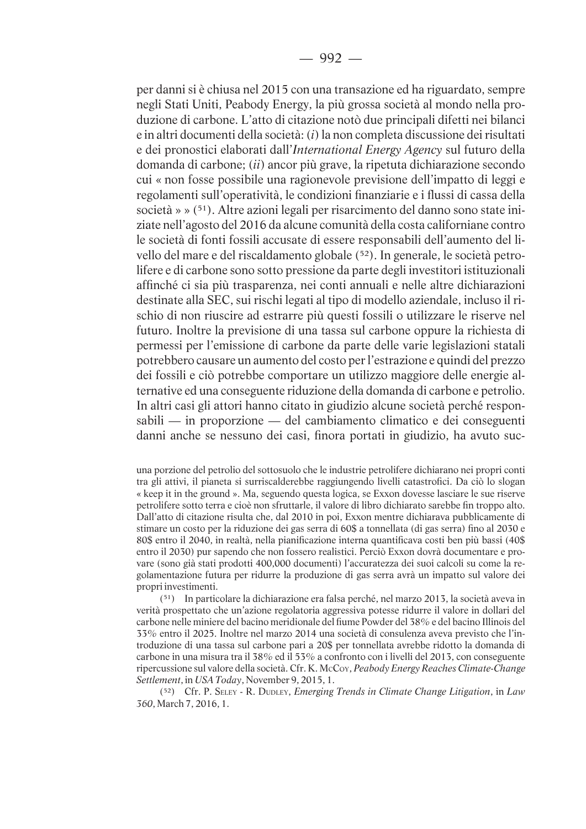per danni si è chiusa nel 2015 con una transazione ed ha riguardato, sempre negli Stati Uniti, Peabody Energy, la più grossa società al mondo nella produzione di carbone. L'atto di citazione notò due principali difetti nei bilanci e in altri documenti della società: (*i*) la non completa discussione dei risultati e dei pronostici elaborati dall'*International Energy Agency* sul futuro della domanda di carbone; (*ii*) ancor più grave, la ripetuta dichiarazione secondo cui « non fosse possibile una ragionevole previsione dell'impatto di leggi e regolamenti sull'operatività, le condizioni finanziarie e i flussi di cassa della società » » (51). Altre azioni legali per risarcimento del danno sono state iniziate nell'agosto del 2016 da alcune comunità della costa californiane contro le società di fonti fossili accusate di essere responsabili dell'aumento del livello del mare e del riscaldamento globale (52). In generale, le società petrolifere e di carbone sono sotto pressione da parte degli investitori istituzionali affinché ci sia più trasparenza, nei conti annuali e nelle altre dichiarazioni destinate alla SEC, sui rischi legati al tipo di modello aziendale, incluso il rischio di non riuscire ad estrarre più questi fossili o utilizzare le riserve nel futuro. Inoltre la previsione di una tassa sul carbone oppure la richiesta di permessi per l'emissione di carbone da parte delle varie legislazioni statali potrebbero causare un aumento del costo per l'estrazione e quindi del prezzo dei fossili e ciò potrebbe comportare un utilizzo maggiore delle energie alternative ed una conseguente riduzione della domanda di carbone e petrolio. In altri casi gli attori hanno citato in giudizio alcune società perché responsabili — in proporzione — del cambiamento climatico e dei conseguenti danni anche se nessuno dei casi, finora portati in giudizio, ha avuto suc-

una porzione del petrolio del sottosuolo che le industrie petrolifere dichiarano nei propri conti tra gli attivi, il pianeta si surriscalderebbe raggiungendo livelli catastrofici. Da ciò lo slogan « keep it in the ground ». Ma, seguendo questa logica, se Exxon dovesse lasciare le sue riserve petrolifere sotto terra e cioè non sfruttarle, il valore di libro dichiarato sarebbe fin troppo alto. Dall'atto di citazione risulta che, dal 2010 in poi, Exxon mentre dichiarava pubblicamente di stimare un costo per la riduzione dei gas serra di 60\$ a tonnellata (di gas serra) fino al 2030 e 80\$ entro il 2040, in realtà, nella pianificazione interna quantificava costi ben più bassi (40\$ entro il 2030) pur sapendo che non fossero realistici. Perciò Exxon dovrà documentare e provare (sono già stati prodotti 400,000 documenti) l'accuratezza dei suoi calcoli su come la regolamentazione futura per ridurre la produzione di gas serra avrà un impatto sul valore dei propri investimenti.

(51) In particolare la dichiarazione era falsa perché, nel marzo 2013, la società aveva in verità prospettato che un'azione regolatoria aggressiva potesse ridurre il valore in dollari del carbone nelle miniere del bacino meridionale del fiume Powder del 38% e del bacino Illinois del 33% entro il 2025. Inoltre nel marzo 2014 una società di consulenza aveva previsto che l'introduzione di una tassa sul carbone pari a 20\$ per tonnellata avrebbe ridotto la domanda di carbone in una misura tra il 38% ed il 53% a confronto con i livelli del 2013, con conseguente ripercussione sul valore della società. Cfr. K. MCCOY, *Peabody Energy Reaches Climate-Change Settlement*, in *USA Today*, November 9, 2015, 1.

(52) Cfr. P. SELEY - R. DUDLEY, *Emerging Trends in Climate Change Litigation*, in *Law 360*, March 7, 2016, 1.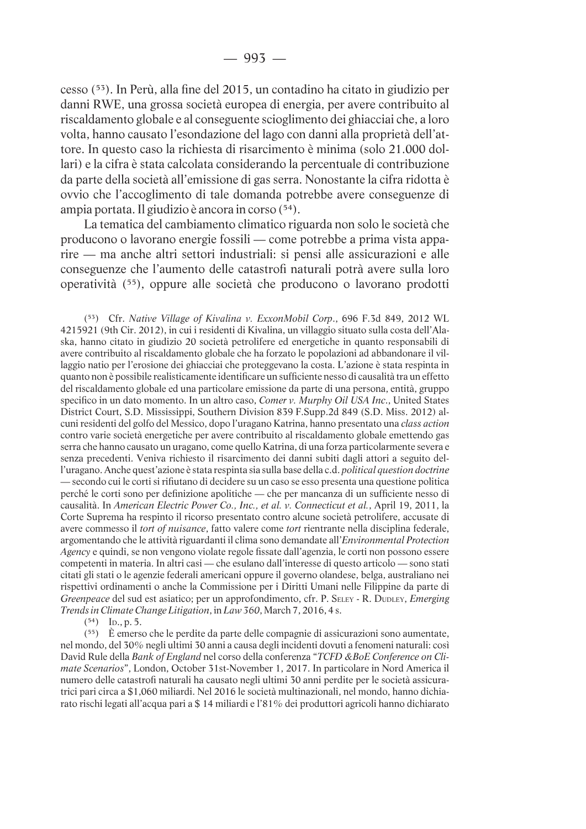cesso (53). In Perù, alla fine del 2015, un contadino ha citato in giudizio per danni RWE, una grossa società europea di energia, per avere contribuito al riscaldamento globale e al conseguente scioglimento dei ghiacciai che, a loro volta, hanno causato l'esondazione del lago con danni alla proprietà dell'attore. In questo caso la richiesta di risarcimento è minima (solo 21.000 dollari) e la cifra è stata calcolata considerando la percentuale di contribuzione da parte della società all'emissione di gas serra. Nonostante la cifra ridotta è ovvio che l'accoglimento di tale domanda potrebbe avere conseguenze di ampia portata. Il giudizio è ancora in corso (54).

La tematica del cambiamento climatico riguarda non solo le società che producono o lavorano energie fossili — come potrebbe a prima vista apparire — ma anche altri settori industriali: si pensi alle assicurazioni e alle conseguenze che l'aumento delle catastrofi naturali potrà avere sulla loro operatività (55), oppure alle società che producono o lavorano prodotti

(53) Cfr. *Native Village of Kivalina v. ExxonMobil Corp*., 696 F.3d 849, 2012 WL 4215921 (9th Cir. 2012), in cui i residenti di Kivalina, un villaggio situato sulla costa dell'Alaska, hanno citato in giudizio 20 società petrolifere ed energetiche in quanto responsabili di avere contribuito al riscaldamento globale che ha forzato le popolazioni ad abbandonare il villaggio natio per l'erosione dei ghiacciai che proteggevano la costa. L'azione è stata respinta in quanto non è possibile realisticamente identificare un sufficiente nesso di causalità tra un effetto del riscaldamento globale ed una particolare emissione da parte di una persona, entità, gruppo specifico in un dato momento. In un altro caso, *Comer v. Murphy Oil USA Inc*., United States District Court, S.D. Mississippi, Southern Division 839 F.Supp.2d 849 (S.D. Miss. 2012) alcuni residenti del golfo del Messico, dopo l'uragano Katrina, hanno presentato una *class action* contro varie società energetiche per avere contribuito al riscaldamento globale emettendo gas serra che hanno causato un uragano, come quello Katrina, di una forza particolarmente severa e senza precedenti. Veniva richiesto il risarcimento dei danni subiti dagli attori a seguito dell'uragano. Anche quest'azione è stata respinta sia sulla base della c.d. *political question doctrine* — secondo cui le corti si rifiutano di decidere su un caso se esso presenta una questione politica perché le corti sono per definizione apolitiche — che per mancanza di un sufficiente nesso di causalità. In *American Electric Power Co., Inc., et al. v. Connecticut et al.*, April 19, 2011, la Corte Suprema ha respinto il ricorso presentato contro alcune società petrolifere, accusate di avere commesso il *tort of nuisance*, fatto valere come *tort* rientrante nella disciplina federale, argomentando che le attività riguardanti il clima sono demandate all'*Environmental Protection Agency* e quindi, se non vengono violate regole fissate dall'agenzia, le corti non possono essere competenti in materia. In altri casi — che esulano dall'interesse di questo articolo — sono stati citati gli stati o le agenzie federali americani oppure il governo olandese, belga, australiano nei rispettivi ordinamenti o anche la Commissione per i Diritti Umani nelle Filippine da parte di *Greenpeace* del sud est asiatico; per un approfondimento, cfr. P. SELEY - R. DUDLEY, *Emerging Trends in Climate Change Litigation*, in *Law 360*, March 7, 2016, 4 s.

(54) ID., p. 5.

(55) È emerso che le perdite da parte delle compagnie di assicurazioni sono aumentate, nel mondo, del 30% negli ultimi 30 anni a causa degli incidenti dovuti a fenomeni naturali: così David Rule della *Bank of England* nel corso della conferenza "*TCFD &BoE Conference on Climate Scenarios*", London, October 31st-November 1, 2017. In particolare in Nord America il numero delle catastrofi naturali ha causato negli ultimi 30 anni perdite per le società assicuratrici pari circa a \$1,060 miliardi. Nel 2016 le società multinazionali, nel mondo, hanno dichiarato rischi legati all'acqua pari a \$ 14 miliardi e l'81% dei produttori agricoli hanno dichiarato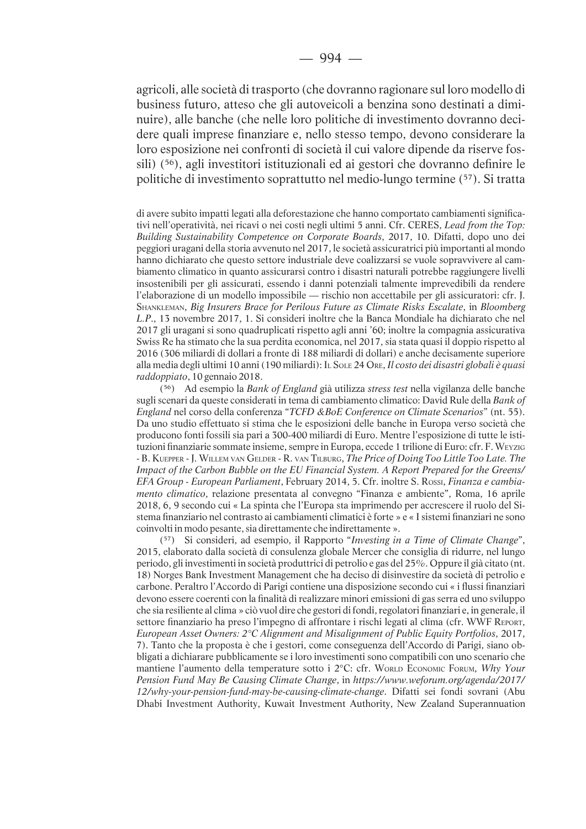— 994 —

agricoli, alle società di trasporto (che dovranno ragionare sul loro modello di business futuro, atteso che gli autoveicoli a benzina sono destinati a diminuire), alle banche (che nelle loro politiche di investimento dovranno decidere quali imprese finanziare e, nello stesso tempo, devono considerare la loro esposizione nei confronti di società il cui valore dipende da riserve fossili) (56), agli investitori istituzionali ed ai gestori che dovranno definire le politiche di investimento soprattutto nel medio-lungo termine (57). Si tratta

di avere subito impatti legati alla deforestazione che hanno comportato cambiamenti significativi nell'operatività, nei ricavi o nei costi negli ultimi 5 anni. Cfr. CERES, *Lead from the Top: Building Sustainability Competence on Corporate Boards*, 2017, 10. Difatti, dopo uno dei peggiori uragani della storia avvenuto nel 2017, le società assicuratrici più importanti al mondo hanno dichiarato che questo settore industriale deve coalizzarsi se vuole sopravvivere al cambiamento climatico in quanto assicurarsi contro i disastri naturali potrebbe raggiungere livelli insostenibili per gli assicurati, essendo i danni potenziali talmente imprevedibili da rendere l'elaborazione di un modello impossibile — rischio non accettabile per gli assicuratori: cfr. J. SHANKLEMAN, *Big Insurers Brace for Perilous Future as Climate Risks Escalate*, in *Bloomberg L.P*., 13 novembre 2017, 1. Si consideri inoltre che la Banca Mondiale ha dichiarato che nel 2017 gli uragani si sono quadruplicati rispetto agli anni '60; inoltre la compagnia assicurativa Swiss Re ha stimato che la sua perdita economica, nel 2017, sia stata quasi il doppio rispetto al 2016 (306 miliardi di dollari a fronte di 188 miliardi di dollari) e anche decisamente superiore alla media degli ultimi 10 anni (190 miliardi): IL SOLE 24 ORE, *Il costo dei disastri globali è quasi raddoppiato*, 10 gennaio 2018.

(56) Ad esempio la *Bank of England* già utilizza *stress test* nella vigilanza delle banche sugli scenari da queste considerati in tema di cambiamento climatico: David Rule della *Bank of England* nel corso della conferenza "*TCFD &BoE Conference on Climate Scenarios*" (nt. 55). Da uno studio effettuato si stima che le esposizioni delle banche in Europa verso società che producono fonti fossili sia pari a 300-400 miliardi di Euro. Mentre l'esposizione di tutte le istituzioni finanziarie sommate insieme, sempre in Europa, eccede 1 trilione di Euro: cfr. F. WEYZIG - B. KUEPPER - J. WILLEM VAN GELDER - R. VAN TILBURG, *The Price of Doing Too Little Too Late. The Impact of the Carbon Bubble on the EU Financial System. A Report Prepared for the Greens/ EFA Group - European Parliament*, February 2014, 5. Cfr. inoltre S. ROSSI, *Finanza e cambiamento climatico*, relazione presentata al convegno "Finanza e ambiente", Roma, 16 aprile 2018, 6, 9 secondo cui « La spinta che l'Europa sta imprimendo per accrescere il ruolo del Sistema finanziario nel contrasto ai cambiamenti climatici è forte » e « I sistemi finanziari ne sono coinvolti in modo pesante, sia direttamente che indirettamente ».

(57) Si consideri, ad esempio, il Rapporto "*Investing in a Time of Climate Change*", 2015, elaborato dalla società di consulenza globale Mercer che consiglia di ridurre, nel lungo periodo, gli investimenti in società produttrici di petrolio e gas del 25%. Oppure il già citato (nt. 18) Norges Bank Investment Management che ha deciso di disinvestire da società di petrolio e carbone. Peraltro l'Accordo di Parigi contiene una disposizione secondo cui « i flussi finanziari devono essere coerenti con la finalità di realizzare minori emissioni di gas serra ed uno sviluppo che sia resiliente al clima » ciò vuol dire che gestori di fondi, regolatori finanziari e, in generale, il settore finanziario ha preso l'impegno di affrontare i rischi legati al clima (cfr. WWF REPORT, *European Asset Owners: 2°C Alignment and Misalignment of Public Equity Portfolios*, 2017, 7). Tanto che la proposta è che i gestori, come conseguenza dell'Accordo di Parigi, siano obbligati a dichiarare pubblicamente se i loro investimenti sono compatibili con uno scenario che mantiene l'aumento della temperature sotto i 2°C: cfr. WORLD ECONOMIC FORUM, *Why Your Pension Fund May Be Causing Climate Change*, in *https://www.weforum.org/agenda/2017/ 12/why-your-pension-fund-may-be-causing-climate-change*. Difatti sei fondi sovrani (Abu Dhabi Investment Authority, Kuwait Investment Authority, New Zealand Superannuation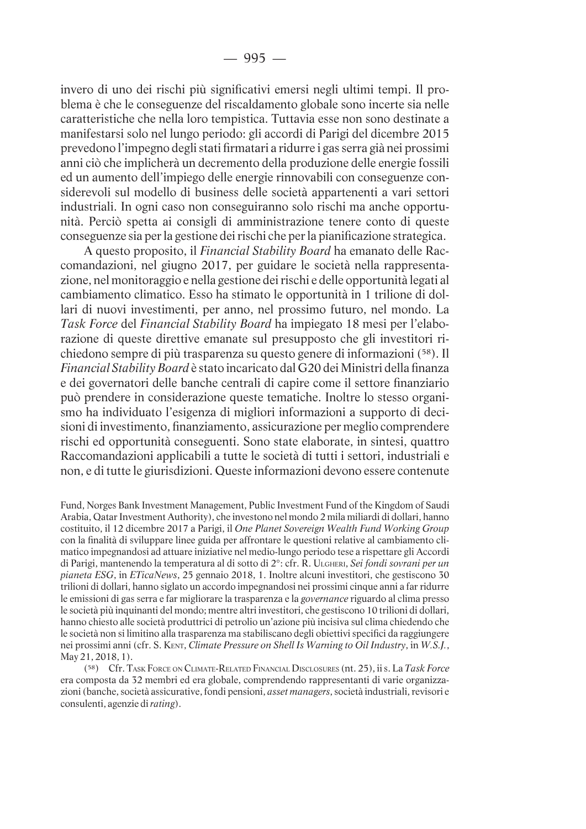invero di uno dei rischi più significativi emersi negli ultimi tempi. Il problema è che le conseguenze del riscaldamento globale sono incerte sia nelle caratteristiche che nella loro tempistica. Tuttavia esse non sono destinate a manifestarsi solo nel lungo periodo: gli accordi di Parigi del dicembre 2015 prevedono l'impegno degli stati firmatari a ridurre i gas serra già nei prossimi anni ciò che implicherà un decremento della produzione delle energie fossili ed un aumento dell'impiego delle energie rinnovabili con conseguenze considerevoli sul modello di business delle società appartenenti a vari settori industriali. In ogni caso non conseguiranno solo rischi ma anche opportunità. Perciò spetta ai consigli di amministrazione tenere conto di queste conseguenze sia per la gestione dei rischi che per la pianificazione strategica.

A questo proposito, il *Financial Stability Board* ha emanato delle Raccomandazioni, nel giugno 2017, per guidare le società nella rappresentazione, nel monitoraggio e nella gestione dei rischi e delle opportunità legati al cambiamento climatico. Esso ha stimato le opportunità in 1 trilione di dollari di nuovi investimenti, per anno, nel prossimo futuro, nel mondo. La *Task Force* del *Financial Stability Board* ha impiegato 18 mesi per l'elaborazione di queste direttive emanate sul presupposto che gli investitori richiedono sempre di più trasparenza su questo genere di informazioni (58). Il *Financial Stability Board* è stato incaricato dal G20 dei Ministri della finanza e dei governatori delle banche centrali di capire come il settore finanziario può prendere in considerazione queste tematiche. Inoltre lo stesso organismo ha individuato l'esigenza di migliori informazioni a supporto di decisioni di investimento, finanziamento, assicurazione per meglio comprendere rischi ed opportunità conseguenti. Sono state elaborate, in sintesi, quattro Raccomandazioni applicabili a tutte le società di tutti i settori, industriali e non, e di tutte le giurisdizioni. Queste informazioni devono essere contenute

Fund, Norges Bank Investment Management, Public Investment Fund of the Kingdom of Saudi Arabia, Qatar Investment Authority), che investono nel mondo 2 mila miliardi di dollari, hanno costituito, il 12 dicembre 2017 a Parigi, il *One Planet Sovereign Wealth Fund Working Group* con la finalità di sviluppare linee guida per affrontare le questioni relative al cambiamento climatico impegnandosi ad attuare iniziative nel medio-lungo periodo tese a rispettare gli Accordi di Parigi, mantenendo la temperatura al di sotto di 2°: cfr. R. ULGHERI, *Sei fondi sovrani per un pianeta ESG*, in *ETicaNews*, 25 gennaio 2018, 1. Inoltre alcuni investitori, che gestiscono 30 trilioni di dollari, hanno siglato un accordo impegnandosi nei prossimi cinque anni a far ridurre le emissioni di gas serra e far migliorare la trasparenza e la *governance* riguardo al clima presso le società più inquinanti del mondo; mentre altri investitori, che gestiscono 10 trilioni di dollari, hanno chiesto alle società produttrici di petrolio un'azione più incisiva sul clima chiedendo che le società non si limitino alla trasparenza ma stabiliscano degli obiettivi specifici da raggiungere nei prossimi anni (cfr. S. KENT, *Climate Pressure on Shell Is Warning to Oil Industry*, in *W.S.J.*, May 21, 2018, 1).

(58) Cfr. TASK FORCE ON CLIMATE-RELATED FINANCIAL DISCLOSURES (nt. 25), ii s. La *Task Force* era composta da 32 membri ed era globale, comprendendo rappresentanti di varie organizzazioni (banche, società assicurative, fondi pensioni, *asset managers*, società industriali, revisori e consulenti, agenzie di*rating*).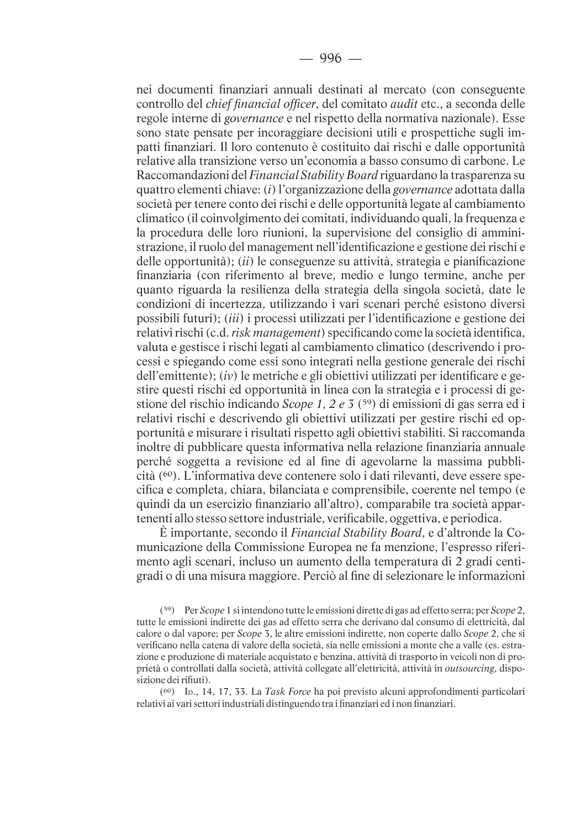nei documenti finanziari annuali destinati al mercato (con conseguente controllo del *chief financial officer*, del comitato *audit* etc., a seconda delle regole interne di *governance* e nel rispetto della normativa nazionale). Esse sono state pensate per incoraggiare decisioni utili e prospettiche sugli impatti finanziari. Il loro contenuto è costituito dai rischi e dalle opportunità relative alla transizione verso un'economia a basso consumo di carbone. Le Raccomandazioni del *Financial Stability Board* riguardano la trasparenza su quattro elementi chiave: (*i*) l'organizzazione della *governance* adottata dalla società per tenere conto dei rischi e delle opportunità legate al cambiamento climatico (il coinvolgimento dei comitati, individuando quali, la frequenza e la procedura delle loro riunioni, la supervisione del consiglio di amministrazione, il ruolo del management nell'identificazione e gestione dei rischi e delle opportunità); (*ii*) le conseguenze su attività, strategia e pianificazione finanziaria (con riferimento al breve, medio e lungo termine, anche per quanto riguarda la resilienza della strategia della singola società, date le condizioni di incertezza, utilizzando i vari scenari perché esistono diversi possibili futuri); (*iii*) i processi utilizzati per l'identificazione e gestione dei relativi rischi (c.d.*risk management*) specificando come la società identifica, valuta e gestisce i rischi legati al cambiamento climatico (descrivendo i processi e spiegando come essi sono integrati nella gestione generale dei rischi dell'emittente); (*iv*) le metriche e gli obiettivi utilizzati per identificare e gestire questi rischi ed opportunità in linea con la strategia e i processi di gestione del rischio indicando *Scope 1, 2 e 3* (59) di emissioni di gas serra ed i relativi rischi e descrivendo gli obiettivi utilizzati per gestire rischi ed opportunità e misurare i risultati rispetto agli obiettivi stabiliti. Si raccomanda inoltre di pubblicare questa informativa nella relazione finanziaria annuale perché soggetta a revisione ed al fine di agevolarne la massima pubblicità (60). L'informativa deve contenere solo i dati rilevanti, deve essere specifica e completa, chiara, bilanciata e comprensibile, coerente nel tempo (e quindi da un esercizio finanziario all'altro), comparabile tra società appartenenti allo stesso settore industriale, verificabile, oggettiva, e periodica.

È importante, secondo il *Financial Stability Board*, e d'altronde la Comunicazione della Commissione Europea ne fa menzione, l'espresso riferimento agli scenari, incluso un aumento della temperatura di 2 gradi centigradi o di una misura maggiore. Perciò al fine di selezionare le informazioni

(60) ID., 14, 17, 33. La *Task Force* ha poi previsto alcuni approfondimenti particolari relativi ai vari settori industriali distinguendo tra i finanziari ed i non finanziari.

<sup>(59)</sup> Per *Scope* 1 si intendono tutte le emissioni dirette di gas ad effetto serra; per *Scope* 2, tutte le emissioni indirette dei gas ad effetto serra che derivano dal consumo di elettricità, dal calore o dal vapore; per *Scope* 3, le altre emissioni indirette, non coperte dallo *Scope* 2, che si verificano nella catena di valore della società, sia nelle emissioni a monte che a valle (es. estrazione e produzione di materiale acquistato e benzina, attività di trasporto in veicoli non di proprietà o controllati dalla società, attività collegate all'elettricità, attività in *outsourcing*, disposizione dei rifiuti).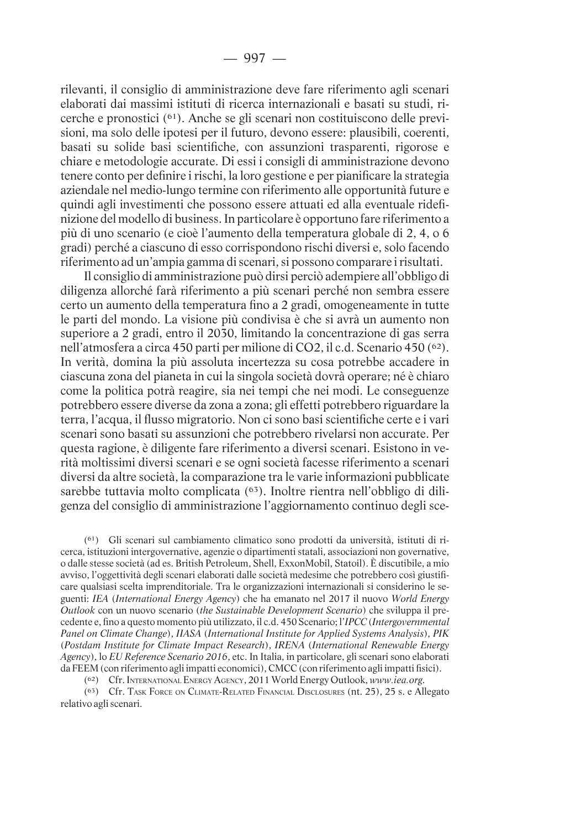rilevanti, il consiglio di amministrazione deve fare riferimento agli scenari elaborati dai massimi istituti di ricerca internazionali e basati su studi, ricerche e pronostici (61). Anche se gli scenari non costituiscono delle previsioni, ma solo delle ipotesi per il futuro, devono essere: plausibili, coerenti, basati su solide basi scientifiche, con assunzioni trasparenti, rigorose e chiare e metodologie accurate. Di essi i consigli di amministrazione devono tenere conto per definire i rischi, la loro gestione e per pianificare la strategia aziendale nel medio-lungo termine con riferimento alle opportunità future e quindi agli investimenti che possono essere attuati ed alla eventuale ridefinizione del modello di business. In particolare è opportuno fare riferimento a più di uno scenario (e cioè l'aumento della temperatura globale di 2, 4, o 6 gradi) perché a ciascuno di esso corrispondono rischi diversi e, solo facendo riferimento ad un'ampia gamma di scenari, si possono comparare i risultati.

Il consiglio di amministrazione può dirsi perciò adempiere all'obbligo di diligenza allorché farà riferimento a più scenari perché non sembra essere certo un aumento della temperatura fino a 2 gradi, omogeneamente in tutte le parti del mondo. La visione più condivisa è che si avrà un aumento non superiore a 2 gradi, entro il 2030, limitando la concentrazione di gas serra nell'atmosfera a circa 450 parti per milione di CO2, il c.d. Scenario 450 (62). In verità, domina la più assoluta incertezza su cosa potrebbe accadere in ciascuna zona del pianeta in cui la singola società dovrà operare; né è chiaro come la politica potrà reagire, sia nei tempi che nei modi. Le conseguenze potrebbero essere diverse da zona a zona; gli effetti potrebbero riguardare la terra, l'acqua, il flusso migratorio. Non ci sono basi scientifiche certe e i vari scenari sono basati su assunzioni che potrebbero rivelarsi non accurate. Per questa ragione, è diligente fare riferimento a diversi scenari. Esistono in verità moltissimi diversi scenari e se ogni società facesse riferimento a scenari diversi da altre società, la comparazione tra le varie informazioni pubblicate sarebbe tuttavia molto complicata (<sup>63</sup>). Inoltre rientra nell'obbligo di diligenza del consiglio di amministrazione l'aggiornamento continuo degli sce-

(61) Gli scenari sul cambiamento climatico sono prodotti da università, istituti di ricerca, istituzioni intergovernative, agenzie o dipartimenti statali, associazioni non governative, o dalle stesse società (ad es. British Petroleum, Shell, ExxonMobil, Statoil). È discutibile, a mio avviso, l'oggettività degli scenari elaborati dalle società medesime che potrebbero così giustificare qualsiasi scelta imprenditoriale. Tra le organizzazioni internazionali si considerino le seguenti: *IEA* (*International Energy Agency*) che ha emanato nel 2017 il nuovo *World Energy Outlook* con un nuovo scenario (*the Sustainable Development Scenario*) che sviluppa il precedente e, fino a questo momento più utilizzato, il c.d. 450 Scenario; l'*IPCC* (*Intergovernmental Panel on Climate Change*), *IIASA* (*International Institute for Applied Systems Analysis*), *PIK* (*Postdam Institute for Climate Impact Research*), *IRENA* (*International Renewable Energy Agency*), lo *EU Reference Scenario 2016*, etc. In Italia, in particolare, gli scenari sono elaborati da FEEM (con riferimento agli impatti economici), CMCC (con riferimento agli impatti fisici).

(62) Cfr. INTERNATIONAL ENERGY AGENCY, 2011World Energy Outlook, *www.iea.org*.

(63) Cfr. TASK FORCE ON CLIMATE-RELATED FINANCIAL DISCLOSURES (nt. 25), 25 s. e Allegato relativo agli scenari.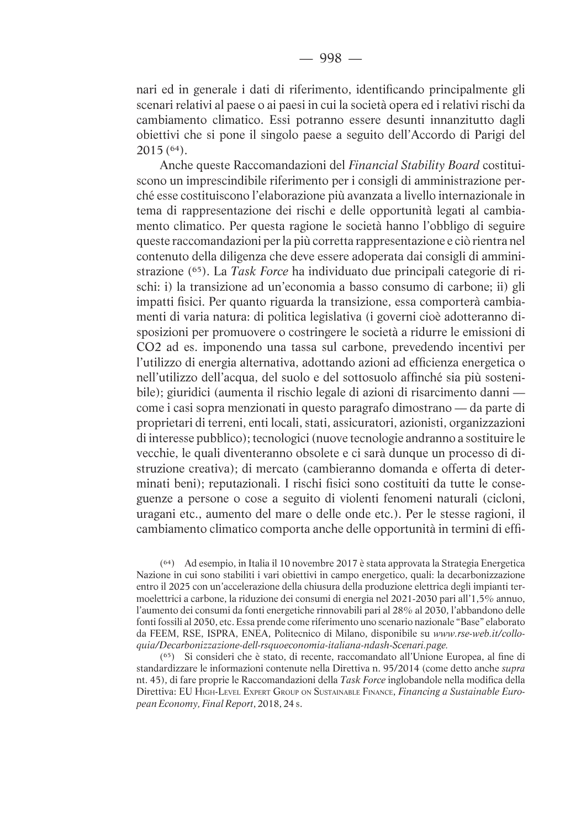nari ed in generale i dati di riferimento, identificando principalmente gli scenari relativi al paese o ai paesi in cui la società opera ed i relativi rischi da cambiamento climatico. Essi potranno essere desunti innanzitutto dagli obiettivi che si pone il singolo paese a seguito dell'Accordo di Parigi del 2015 (64).

Anche queste Raccomandazioni del *Financial Stability Board* costituiscono un imprescindibile riferimento per i consigli di amministrazione perché esse costituiscono l'elaborazione più avanzata a livello internazionale in tema di rappresentazione dei rischi e delle opportunità legati al cambiamento climatico. Per questa ragione le società hanno l'obbligo di seguire queste raccomandazioni per la più corretta rappresentazione e ciò rientra nel contenuto della diligenza che deve essere adoperata dai consigli di amministrazione (65). La *Task Force* ha individuato due principali categorie di rischi: i) la transizione ad un'economia a basso consumo di carbone; ii) gli impatti fisici. Per quanto riguarda la transizione, essa comporterà cambiamenti di varia natura: di politica legislativa (i governi cioè adotteranno disposizioni per promuovere o costringere le società a ridurre le emissioni di CO2 ad es. imponendo una tassa sul carbone, prevedendo incentivi per l'utilizzo di energia alternativa, adottando azioni ad efficienza energetica o nell'utilizzo dell'acqua, del suolo e del sottosuolo affinché sia più sostenibile); giuridici (aumenta il rischio legale di azioni di risarcimento danni come i casi sopra menzionati in questo paragrafo dimostrano — da parte di proprietari di terreni, enti locali, stati, assicuratori, azionisti, organizzazioni di interesse pubblico); tecnologici (nuove tecnologie andranno a sostituire le vecchie, le quali diventeranno obsolete e ci sarà dunque un processo di distruzione creativa); di mercato (cambieranno domanda e offerta di determinati beni); reputazionali. I rischi fisici sono costituiti da tutte le conseguenze a persone o cose a seguito di violenti fenomeni naturali (cicloni, uragani etc., aumento del mare o delle onde etc.). Per le stesse ragioni, il cambiamento climatico comporta anche delle opportunità in termini di effi-

(64) Ad esempio, in Italia il 10 novembre 2017 è stata approvata la Strategia Energetica Nazione in cui sono stabiliti i vari obiettivi in campo energetico, quali: la decarbonizzazione entro il 2025 con un'accelerazione della chiusura della produzione elettrica degli impianti termoelettrici a carbone, la riduzione dei consumi di energia nel 2021-2030 pari all'1,5% annuo, l'aumento dei consumi da fonti energetiche rinnovabili pari al 28% al 2030, l'abbandono delle fonti fossili al 2050, etc. Essa prende come riferimento uno scenario nazionale "Base" elaborato da FEEM, RSE, ISPRA, ENEA, Politecnico di Milano, disponibile su *www.rse-web.it/colloquia/Decarbonizzazione-dell-rsquoeconomia-italiana-ndash-Scenari.page.*

(65) Si consideri che è stato, di recente, raccomandato all'Unione Europea, al fine di standardizzare le informazioni contenute nella Direttiva n. 95/2014 (come detto anche *supra* nt. 45), di fare proprie le Raccomandazioni della *Task Force* inglobandole nella modifica della Direttiva: EU HIGH-LEVEL EXPERT GROUP ON SUSTAINABLE FINANCE, *Financing a Sustainable European Economy, Final Report*, 2018, 24 s.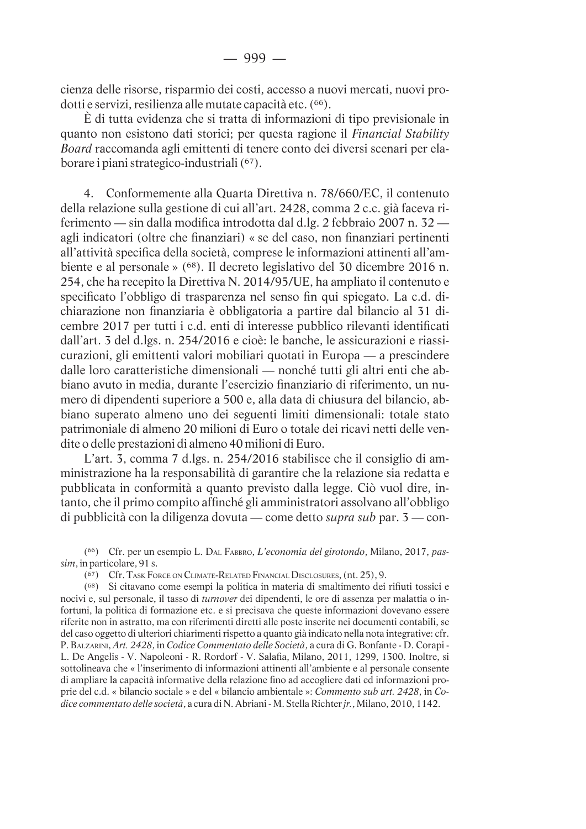cienza delle risorse, risparmio dei costi, accesso a nuovi mercati, nuovi prodotti e servizi, resilienza alle mutate capacità etc. (66).

È di tutta evidenza che si tratta di informazioni di tipo previsionale in quanto non esistono dati storici; per questa ragione il *Financial Stability Board* raccomanda agli emittenti di tenere conto dei diversi scenari per elaborare i piani strategico-industriali (67).

4. Conformemente alla Quarta Direttiva n. 78/660/EC, il contenuto della relazione sulla gestione di cui all'art. 2428, comma 2 c.c. già faceva riferimento — sin dalla modifica introdotta dal d.lg. 2 febbraio 2007 n. 32 agli indicatori (oltre che finanziari) « se del caso, non finanziari pertinenti all'attività specifica della società, comprese le informazioni attinenti all'ambiente e al personale » (68). Il decreto legislativo del 30 dicembre 2016 n. 254, che ha recepito la Direttiva N. 2014/95/UE, ha ampliato il contenuto e specificato l'obbligo di trasparenza nel senso fin qui spiegato. La c.d. dichiarazione non finanziaria è obbligatoria a partire dal bilancio al 31 dicembre 2017 per tutti i c.d. enti di interesse pubblico rilevanti identificati dall'art. 3 del d.lgs. n. 254/2016 e cioè: le banche, le assicurazioni e riassicurazioni, gli emittenti valori mobiliari quotati in Europa — a prescindere dalle loro caratteristiche dimensionali — nonché tutti gli altri enti che abbiano avuto in media, durante l'esercizio finanziario di riferimento, un numero di dipendenti superiore a 500 e, alla data di chiusura del bilancio, abbiano superato almeno uno dei seguenti limiti dimensionali: totale stato patrimoniale di almeno 20 milioni di Euro o totale dei ricavi netti delle vendite o delle prestazioni di almeno 40 milioni di Euro.

L'art. 3, comma 7 d.lgs. n. 254/2016 stabilisce che il consiglio di amministrazione ha la responsabilità di garantire che la relazione sia redatta e pubblicata in conformità a quanto previsto dalla legge. Ciò vuol dire, intanto, che il primo compito affinché gli amministratori assolvano all'obbligo di pubblicità con la diligenza dovuta — come detto *supra sub* par. 3 — con-

(66) Cfr. per un esempio L. DAL FABBRO, *L'economia del girotondo*, Milano, 2017, *passim*, in particolare, 91 s.

(67) Cfr. TASK FORCE ON CLIMATE-RELATED FINANCIAL DISCLOSURES, (nt. 25), 9.

(68) Si citavano come esempi la politica in materia di smaltimento dei rifiuti tossici e nocivi e, sul personale, il tasso di *turnover* dei dipendenti, le ore di assenza per malattia o infortuni, la politica di formazione etc. e si precisava che queste informazioni dovevano essere riferite non in astratto, ma con riferimenti diretti alle poste inserite nei documenti contabili, se del caso oggetto di ulteriori chiarimenti rispetto a quanto già indicato nella nota integrative: cfr. P. BALZARINI, *Art. 2428*, in *Codice Commentato delle Società*, a cura di G. Bonfante - D. Corapi - L. De Angelis - V. Napoleoni - R. Rordorf - V. Salafia, Milano, 2011, 1299, 1300. Inoltre, si sottolineava che « l'inserimento di informazioni attinenti all'ambiente e al personale consente di ampliare la capacità informative della relazione fino ad accogliere dati ed informazioni proprie del c.d. « bilancio sociale » e del « bilancio ambientale »: *Commento sub art. 2428*, in *Codice commentato delle società*, a cura di N. Abriani - M. Stella Richter*jr.*, Milano, 2010, 1142.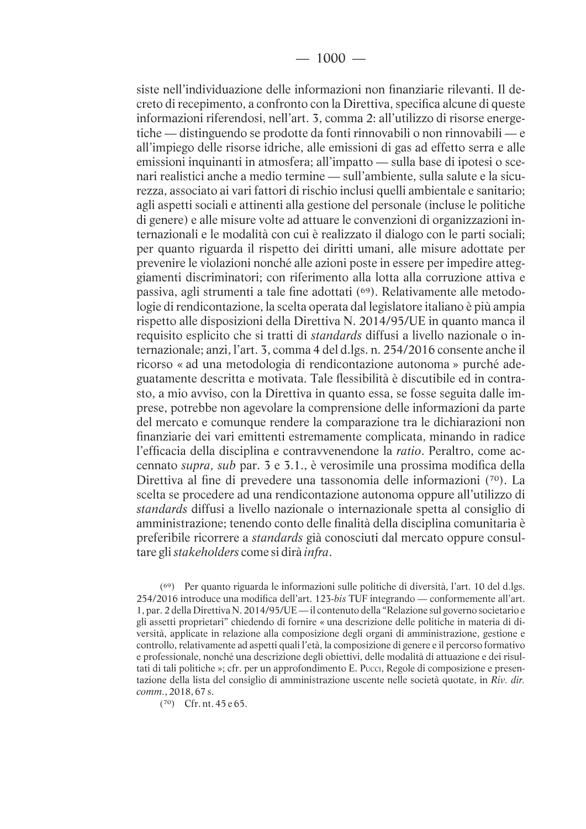$-1000 -$ 

siste nell'individuazione delle informazioni non finanziarie rilevanti. Il decreto di recepimento, a confronto con la Direttiva, specifica alcune di queste informazioni riferendosi, nell'art. 3, comma 2: all'utilizzo di risorse energetiche — distinguendo se prodotte da fonti rinnovabili o non rinnovabili — e all'impiego delle risorse idriche, alle emissioni di gas ad effetto serra e alle emissioni inquinanti in atmosfera; all'impatto — sulla base di ipotesi o scenari realistici anche a medio termine — sull'ambiente, sulla salute e la sicurezza, associato ai vari fattori di rischio inclusi quelli ambientale e sanitario; agli aspetti sociali e attinenti alla gestione del personale (incluse le politiche di genere) e alle misure volte ad attuare le convenzioni di organizzazioni internazionali e le modalità con cui è realizzato il dialogo con le parti sociali; per quanto riguarda il rispetto dei diritti umani, alle misure adottate per prevenire le violazioni nonché alle azioni poste in essere per impedire atteggiamenti discriminatori; con riferimento alla lotta alla corruzione attiva e passiva, agli strumenti a tale fine adottati (69). Relativamente alle metodologie di rendicontazione, la scelta operata dal legislatore italiano è più ampia rispetto alle disposizioni della Direttiva N. 2014/95/UE in quanto manca il requisito esplicito che si tratti di *standards* diffusi a livello nazionale o internazionale; anzi, l'art. 3, comma 4 del d.lgs. n. 254/2016 consente anche il ricorso « ad una metodologia di rendicontazione autonoma » purché adeguatamente descritta e motivata. Tale flessibilità è discutibile ed in contrasto, a mio avviso, con la Direttiva in quanto essa, se fosse seguita dalle imprese, potrebbe non agevolare la comprensione delle informazioni da parte del mercato e comunque rendere la comparazione tra le dichiarazioni non finanziarie dei vari emittenti estremamente complicata, minando in radice l'efficacia della disciplina e contravvenendone la *ratio*. Peraltro, come accennato *supra, sub* par. 3 e 3.1., è verosimile una prossima modifica della Direttiva al fine di prevedere una tassonomia delle informazioni (70). La scelta se procedere ad una rendicontazione autonoma oppure all'utilizzo di *standards* diffusi a livello nazionale o internazionale spetta al consiglio di amministrazione; tenendo conto delle finalità della disciplina comunitaria è preferibile ricorrere a *standards* già conosciuti dal mercato oppure consultare gli *stakeholders* come si dirà *infra*.

(69) Per quanto riguarda le informazioni sulle politiche di diversità, l'art. 10 del d.lgs. 254/2016 introduce una modifica dell'art. 123-*bis* TUF integrando — conformemente all'art. 1, par. 2 della Direttiva N. 2014/95/UE — il contenuto della "Relazione sul governo societario e gli assetti proprietari" chiedendo di fornire « una descrizione delle politiche in materia di diversità, applicate in relazione alla composizione degli organi di amministrazione, gestione e controllo, relativamente ad aspetti quali l'età, la composizione di genere e il percorso formativo e professionale, nonché una descrizione degli obiettivi, delle modalità di attuazione e dei risultati di tali politiche »; cfr. per un approfondimento E. PUCCI, Regole di composizione e presentazione della lista del consiglio di amministrazione uscente nelle società quotate, in *Riv. dir. comm.*, 2018, 67 s.

(70) Cfr. nt. 45 e 65.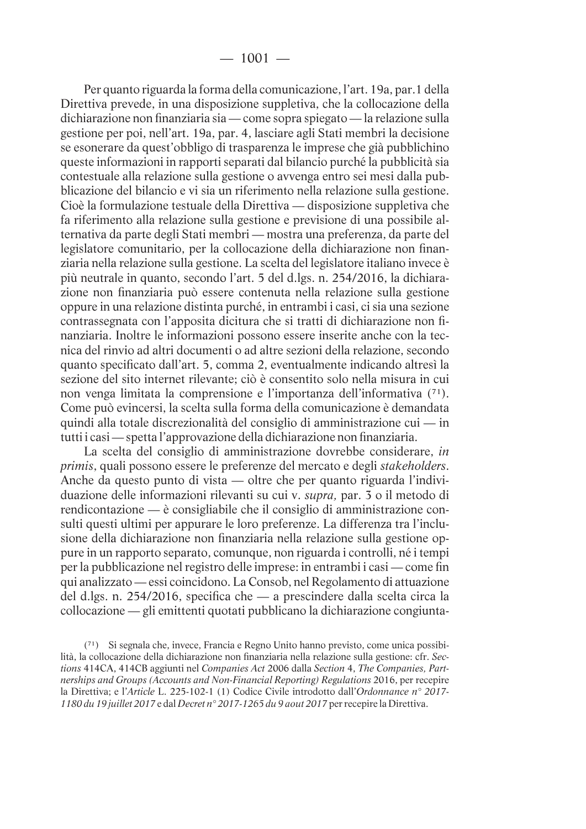Per quanto riguarda la forma della comunicazione, l'art. 19a, par.1 della Direttiva prevede, in una disposizione suppletiva, che la collocazione della dichiarazione non finanziaria sia — come sopra spiegato — la relazione sulla gestione per poi, nell'art. 19a, par. 4, lasciare agli Stati membri la decisione se esonerare da quest'obbligo di trasparenza le imprese che già pubblichino queste informazioni in rapporti separati dal bilancio purché la pubblicità sia contestuale alla relazione sulla gestione o avvenga entro sei mesi dalla pubblicazione del bilancio e vi sia un riferimento nella relazione sulla gestione. Cioè la formulazione testuale della Direttiva — disposizione suppletiva che fa riferimento alla relazione sulla gestione e previsione di una possibile alternativa da parte degli Stati membri — mostra una preferenza, da parte del legislatore comunitario, per la collocazione della dichiarazione non finanziaria nella relazione sulla gestione. La scelta del legislatore italiano invece è più neutrale in quanto, secondo l'art. 5 del d.lgs. n. 254/2016, la dichiarazione non finanziaria può essere contenuta nella relazione sulla gestione oppure in una relazione distinta purché, in entrambi i casi, ci sia una sezione contrassegnata con l'apposita dicitura che si tratti di dichiarazione non finanziaria. Inoltre le informazioni possono essere inserite anche con la tecnica del rinvio ad altri documenti o ad altre sezioni della relazione, secondo quanto specificato dall'art. 5, comma 2, eventualmente indicando altresì la sezione del sito internet rilevante; ciò è consentito solo nella misura in cui non venga limitata la comprensione e l'importanza dell'informativa (71). Come può evincersi, la scelta sulla forma della comunicazione è demandata quindi alla totale discrezionalità del consiglio di amministrazione cui — in tutti i casi— spetta l'approvazione della dichiarazione non finanziaria.

La scelta del consiglio di amministrazione dovrebbe considerare, *in primis*, quali possono essere le preferenze del mercato e degli *stakeholders*. Anche da questo punto di vista — oltre che per quanto riguarda l'individuazione delle informazioni rilevanti su cui v. *supra,* par. 3 o il metodo di rendicontazione — è consigliabile che il consiglio di amministrazione consulti questi ultimi per appurare le loro preferenze. La differenza tra l'inclusione della dichiarazione non finanziaria nella relazione sulla gestione oppure in un rapporto separato, comunque, non riguarda i controlli, né i tempi per la pubblicazione nel registro delle imprese: in entrambi i casi — come fin qui analizzato — essi coincidono. La Consob, nel Regolamento di attuazione del d.lgs. n. 254/2016, specifica che — a prescindere dalla scelta circa la collocazione — gli emittenti quotati pubblicano la dichiarazione congiunta-

(71) Si segnala che, invece, Francia e Regno Unito hanno previsto, come unica possibilità, la collocazione della dichiarazione non finanziaria nella relazione sulla gestione: cfr. *Sections* 414CA, 414CB aggiunti nel *Companies Act* 2006 dalla *Section* 4, *The Companies, Partnerships and Groups (Accounts and Non-Financial Reporting) Regulations* 2016, per recepire la Direttiva; e l'*Article* L. 225-102-1 (1) Codice Civile introdotto dall'*Ordonnance n° 2017- 1180 du 19 juillet 2017* e dal *Decret n° 2017-1265 du 9 aout 2017* per recepire la Direttiva.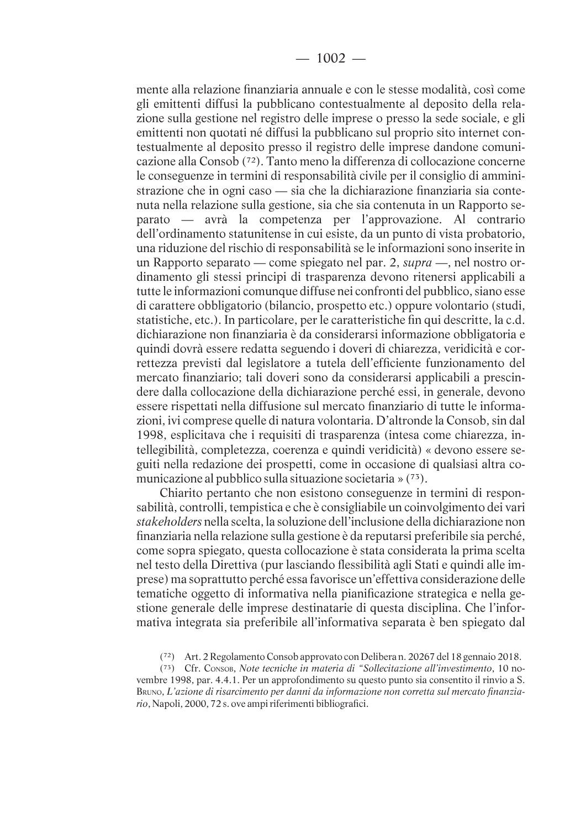mente alla relazione finanziaria annuale e con le stesse modalità, così come gli emittenti diffusi la pubblicano contestualmente al deposito della relazione sulla gestione nel registro delle imprese o presso la sede sociale, e gli emittenti non quotati né diffusi la pubblicano sul proprio sito internet contestualmente al deposito presso il registro delle imprese dandone comunicazione alla Consob (72). Tanto meno la differenza di collocazione concerne le conseguenze in termini di responsabilità civile per il consiglio di amministrazione che in ogni caso — sia che la dichiarazione finanziaria sia contenuta nella relazione sulla gestione, sia che sia contenuta in un Rapporto separato — avrà la competenza per l'approvazione. Al contrario dell'ordinamento statunitense in cui esiste, da un punto di vista probatorio, una riduzione del rischio di responsabilità se le informazioni sono inserite in un Rapporto separato — come spiegato nel par. 2, *supra* —, nel nostro ordinamento gli stessi principi di trasparenza devono ritenersi applicabili a tutte le informazioni comunque diffuse nei confronti del pubblico, siano esse di carattere obbligatorio (bilancio, prospetto etc.) oppure volontario (studi, statistiche, etc.). In particolare, per le caratteristiche fin qui descritte, la c.d. dichiarazione non finanziaria è da considerarsi informazione obbligatoria e quindi dovrà essere redatta seguendo i doveri di chiarezza, veridicità e correttezza previsti dal legislatore a tutela dell'efficiente funzionamento del mercato finanziario; tali doveri sono da considerarsi applicabili a prescindere dalla collocazione della dichiarazione perché essi, in generale, devono essere rispettati nella diffusione sul mercato finanziario di tutte le informazioni, ivi comprese quelle di natura volontaria. D'altronde la Consob, sin dal 1998, esplicitava che i requisiti di trasparenza (intesa come chiarezza, intellegibilità, completezza, coerenza e quindi veridicità) « devono essere seguiti nella redazione dei prospetti, come in occasione di qualsiasi altra comunicazione al pubblico sulla situazione societaria » (73).

Chiarito pertanto che non esistono conseguenze in termini di responsabilità, controlli, tempistica e che è consigliabile un coinvolgimento dei vari *stakeholders* nella scelta, la soluzione dell'inclusione della dichiarazione non finanziaria nella relazione sulla gestione è da reputarsi preferibile sia perché, come sopra spiegato, questa collocazione è stata considerata la prima scelta nel testo della Direttiva (pur lasciando flessibilità agli Stati e quindi alle imprese) ma soprattutto perché essa favorisce un'effettiva considerazione delle tematiche oggetto di informativa nella pianificazione strategica e nella gestione generale delle imprese destinatarie di questa disciplina. Che l'informativa integrata sia preferibile all'informativa separata è ben spiegato dal

(72) Art. 2 Regolamento Consob approvato con Delibera n. 20267 del 18 gennaio 2018.

(73) Cfr. CONSOB, *Note tecniche in materia di "Sollecitazione all'investimento*, 10 novembre 1998, par. 4.4.1. Per un approfondimento su questo punto sia consentito il rinvio a S. BRUNO, *L'azione di risarcimento per danni da informazione non corretta sul mercato finanziario*, Napoli, 2000, 72 s. ove ampi riferimenti bibliografici.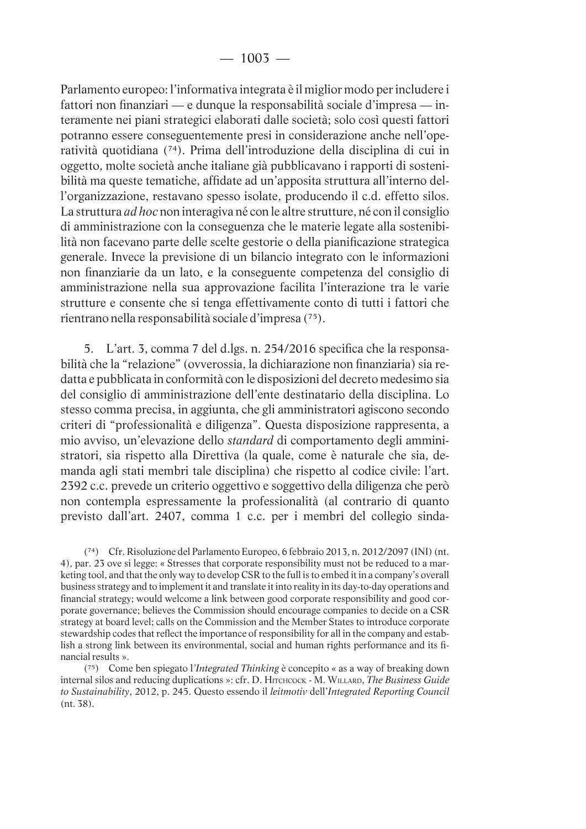$-1003 -$ 

Parlamento europeo: l'informativa integrata è il miglior modo per includere i fattori non finanziari — e dunque la responsabilità sociale d'impresa — interamente nei piani strategici elaborati dalle società; solo così questi fattori potranno essere conseguentemente presi in considerazione anche nell'operatività quotidiana (74). Prima dell'introduzione della disciplina di cui in oggetto, molte società anche italiane già pubblicavano i rapporti di sostenibilità ma queste tematiche, affidate ad un'apposita struttura all'interno dell'organizzazione, restavano spesso isolate, producendo il c.d. effetto silos. La struttura *ad hoc* non interagiva né con le altre strutture, né con il consiglio di amministrazione con la conseguenza che le materie legate alla sostenibilità non facevano parte delle scelte gestorie o della pianificazione strategica generale. Invece la previsione di un bilancio integrato con le informazioni non finanziarie da un lato, e la conseguente competenza del consiglio di amministrazione nella sua approvazione facilita l'interazione tra le varie strutture e consente che si tenga effettivamente conto di tutti i fattori che rientrano nella responsabilità sociale d'impresa (75).

5. L'art. 3, comma 7 del d.lgs. n. 254/2016 specifica che la responsabilità che la "relazione" (ovverossia, la dichiarazione non finanziaria) sia redatta e pubblicata in conformità con le disposizioni del decreto medesimo sia del consiglio di amministrazione dell'ente destinatario della disciplina. Lo stesso comma precisa, in aggiunta, che gli amministratori agiscono secondo criteri di "professionalità e diligenza". Questa disposizione rappresenta, a mio avviso, un'elevazione dello *standard* di comportamento degli amministratori, sia rispetto alla Direttiva (la quale, come è naturale che sia, demanda agli stati membri tale disciplina) che rispetto al codice civile: l'art. 2392 c.c. prevede un criterio oggettivo e soggettivo della diligenza che però non contempla espressamente la professionalità (al contrario di quanto previsto dall'art. 2407, comma 1 c.c. per i membri del collegio sinda-

(74) Cfr. Risoluzione del Parlamento Europeo, 6 febbraio 2013, n. 2012/2097 (INI) (nt. 4), par. 23 ove si legge: « Stresses that corporate responsibility must not be reduced to a marketing tool, and that the only way to develop CSR to the full is to embed it in a company's overall business strategy and to implement it and translate it into reality in its day-to-day operations and financial strategy; would welcome a link between good corporate responsibility and good corporate governance; believes the Commission should encourage companies to decide on a CSR strategy at board level; calls on the Commission and the Member States to introduce corporate stewardship codes that reflect the importance of responsibility for all in the company and establish a strong link between its environmental, social and human rights performance and its financial results ».

(75) Come ben spiegato l*'Integrated Thinking* è concepito « as a way of breaking down internal silos and reducing duplications »: cfr. D. HITCHCOCK - M. WILLARD, *The Business Guide to Sustainability*, 2012, p. 245. Questo essendo il *leitmotiv* dell'*Integrated Reporting Council* (nt. 38).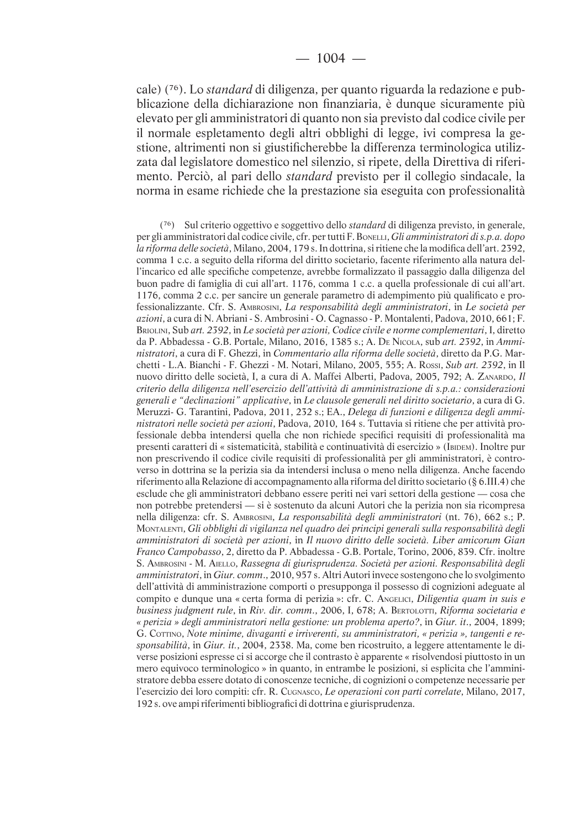cale) (76). Lo *standard* di diligenza, per quanto riguarda la redazione e pubblicazione della dichiarazione non finanziaria, è dunque sicuramente più elevato per gli amministratori di quanto non sia previsto dal codice civile per il normale espletamento degli altri obblighi di legge, ivi compresa la gestione, altrimenti non si giustificherebbe la differenza terminologica utilizzata dal legislatore domestico nel silenzio, si ripete, della Direttiva di riferimento. Perciò, al pari dello *standard* previsto per il collegio sindacale, la norma in esame richiede che la prestazione sia eseguita con professionalità

(76) Sul criterio oggettivo e soggettivo dello *standard* di diligenza previsto, in generale, per gli amministratori dal codice civile, cfr. per tutti F. BONELLI, *Gli amministratori di s.p.a. dopo la riforma delle società*, Milano, 2004, 179 s. In dottrina, si ritiene che la modifica dell'art. 2392, comma 1 c.c. a seguito della riforma del diritto societario, facente riferimento alla natura dell'incarico ed alle specifiche competenze, avrebbe formalizzato il passaggio dalla diligenza del buon padre di famiglia di cui all'art. 1176, comma 1 c.c. a quella professionale di cui all'art. 1176, comma 2 c.c. per sancire un generale parametro di adempimento più qualificato e professionalizzante. Cfr. S. AMBROSINI, *La responsabilità degli amministratori*, in *Le società per azioni*, a cura di N. Abriani - S. Ambrosini - O. Cagnasso - P. Montalenti, Padova, 2010, 661; F. BRIOLINI, Sub *art. 2392*, in *Le società per azioni, Codice civile e norme complementari*, I, diretto da P. Abbadessa - G.B. Portale, Milano, 2016, 1385 s.; A. DE NICOLA, sub *art. 2392*, in *Amministratori*, a cura di F. Ghezzi, in *Commentario alla riforma delle società*, diretto da P.G. Marchetti - L.A. Bianchi - F. Ghezzi - M. Notari, Milano, 2005, 555; A. ROSSI, *Sub art. 2392*, in Il nuovo diritto delle società, I, a cura di A. Maffei Alberti, Padova, 2005, 792; A. ZANARDO, *Il criterio della diligenza nell'esercizio dell'attività di amministrazione di s.p.a.: considerazioni generali e "declinazioni" applicative*, in *Le clausole generali nel diritto societario*, a cura di G. Meruzzi- G. Tarantini, Padova, 2011, 232 s.; EA., *Delega di funzioni e diligenza degli amministratori nelle società per azioni*, Padova, 2010, 164 s. Tuttavia si ritiene che per attività professionale debba intendersi quella che non richiede specifici requisiti di professionalità ma presenti caratteri di « sistematicità, stabilità e continuatività di esercizio » (IBIDEM). Inoltre pur non prescrivendo il codice civile requisiti di professionalità per gli amministratori, è controverso in dottrina se la perizia sia da intendersi inclusa o meno nella diligenza. Anche facendo riferimento alla Relazione di accompagnamento alla riforma del diritto societario (§ 6.III.4) che esclude che gli amministratori debbano essere periti nei vari settori della gestione — cosa che non potrebbe pretendersi — si è sostenuto da alcuni Autori che la perizia non sia ricompresa nella diligenza: cfr. S. AMBROSINI, *La responsabilità degli amministratori* (nt. 76), 662 s.; P. MONTALENTI, *Gli obblighi di vigilanza nel quadro dei principi generali sulla responsabilità degli amministratori di società per azioni*, in *Il nuovo diritto delle società. Liber amicorum Gian Franco Campobasso*, 2, diretto da P. Abbadessa - G.B. Portale, Torino, 2006, 839. Cfr. inoltre S. AMBROSINI - M. AIELLO, *Rassegna di giurisprudenza. Società per azioni. Responsabilità degli amministratori*, in *Giur. comm*., 2010, 957 s. Altri Autori invece sostengono che lo svolgimento dell'attività di amministrazione comporti o presupponga il possesso di cognizioni adeguate al compito e dunque una « certa forma di perizia »: cfr. C. ANGELICI, *Diligentia quam in suis e business judgment rule*, in *Riv. dir. comm*., 2006, I, 678; A. BERTOLOTTI, *Riforma societaria e « perizia » degli amministratori nella gestione: un problema aperto?*, in *Giur. it*., 2004, 1899; G. COTTINO, *Note minime, divaganti e irriverenti, su amministratori, « perizia », tangenti e responsabilità*, in *Giur. it.*, 2004, 2338. Ma, come ben ricostruito, a leggere attentamente le diverse posizioni espresse ci si accorge che il contrasto è apparente « risolvendosi piuttosto in un mero equivoco terminologico » in quanto, in entrambe le posizioni, si esplicita che l'amministratore debba essere dotato di conoscenze tecniche, di cognizioni o competenze necessarie per l'esercizio dei loro compiti: cfr. R. CUGNASCO, *Le operazioni con parti correlate*, Milano, 2017, 192 s. ove ampi riferimenti bibliografici di dottrina e giurisprudenza.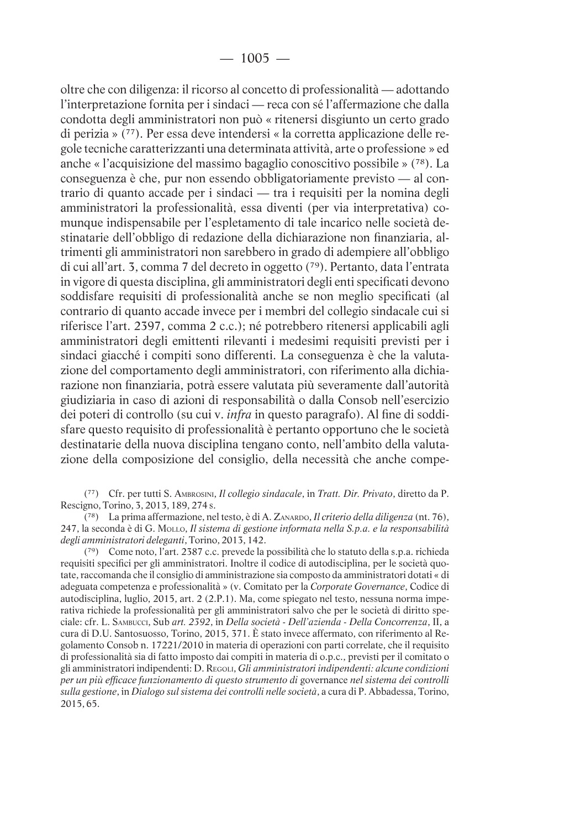oltre che con diligenza: il ricorso al concetto di professionalità — adottando l'interpretazione fornita per i sindaci — reca con sé l'affermazione che dalla condotta degli amministratori non può « ritenersi disgiunto un certo grado di perizia » (77). Per essa deve intendersi « la corretta applicazione delle regole tecniche caratterizzanti una determinata attività, arte o professione » ed anche « l'acquisizione del massimo bagaglio conoscitivo possibile » (78). La conseguenza è che, pur non essendo obbligatoriamente previsto — al contrario di quanto accade per i sindaci — tra i requisiti per la nomina degli amministratori la professionalità, essa diventi (per via interpretativa) comunque indispensabile per l'espletamento di tale incarico nelle società destinatarie dell'obbligo di redazione della dichiarazione non finanziaria, altrimenti gli amministratori non sarebbero in grado di adempiere all'obbligo di cui all'art. 3, comma 7 del decreto in oggetto (79). Pertanto, data l'entrata in vigore di questa disciplina, gli amministratori degli enti specificati devono soddisfare requisiti di professionalità anche se non meglio specificati (al contrario di quanto accade invece per i membri del collegio sindacale cui si riferisce l'art. 2397, comma 2 c.c.); né potrebbero ritenersi applicabili agli amministratori degli emittenti rilevanti i medesimi requisiti previsti per i sindaci giacché i compiti sono differenti. La conseguenza è che la valutazione del comportamento degli amministratori, con riferimento alla dichiarazione non finanziaria, potrà essere valutata più severamente dall'autorità giudiziaria in caso di azioni di responsabilità o dalla Consob nell'esercizio dei poteri di controllo (su cui v. *infra* in questo paragrafo). Al fine di soddisfare questo requisito di professionalità è pertanto opportuno che le società destinatarie della nuova disciplina tengano conto, nell'ambito della valutazione della composizione del consiglio, della necessità che anche compe-

(77) Cfr. per tutti S. AMBROSINI, *Il collegio sindacale*, in *Tratt. Dir. Privato*, diretto da P. Rescigno, Torino, 3, 2013, 189, 274 s.

(78) La prima affermazione, nel testo, è di A. ZANARDO, *Il criterio della diligenza* (nt. 76), 247, la seconda è di G. MOLLO, *Il sistema di gestione informata nella S.p.a. e la responsabilità degli amministratori deleganti*, Torino, 2013, 142.

(79) Come noto, l'art. 2387 c.c. prevede la possibilità che lo statuto della s.p.a. richieda requisiti specifici per gli amministratori. Inoltre il codice di autodisciplina, per le società quotate, raccomanda che il consiglio di amministrazione sia composto da amministratori dotati « di adeguata competenza e professionalità » (v. Comitato per la *Corporate Governance*, Codice di autodisciplina, luglio, 2015, art. 2 (2.P.1). Ma, come spiegato nel testo, nessuna norma imperativa richiede la professionalità per gli amministratori salvo che per le società di diritto speciale: cfr. L. SAMBUCCI, Sub *art. 2392*, in *Della società - Dell'azienda - Della Concorrenza*, II, a cura di D.U. Santosuosso, Torino, 2015, 371. È stato invece affermato, con riferimento al Regolamento Consob n. 17221/2010 in materia di operazioni con parti correlate, che il requisito di professionalità sia di fatto imposto dai compiti in materia di o.p.c., previsti per il comitato o gli amministratori indipendenti: D. REGOLI, *Gli amministratori indipendenti: alcune condizioni per un più efficace funzionamento di questo strumento di* governance *nel sistema dei controlli sulla gestione*, in *Dialogo sul sistema dei controlli nelle società*, a cura di P. Abbadessa, Torino, 2015, 65.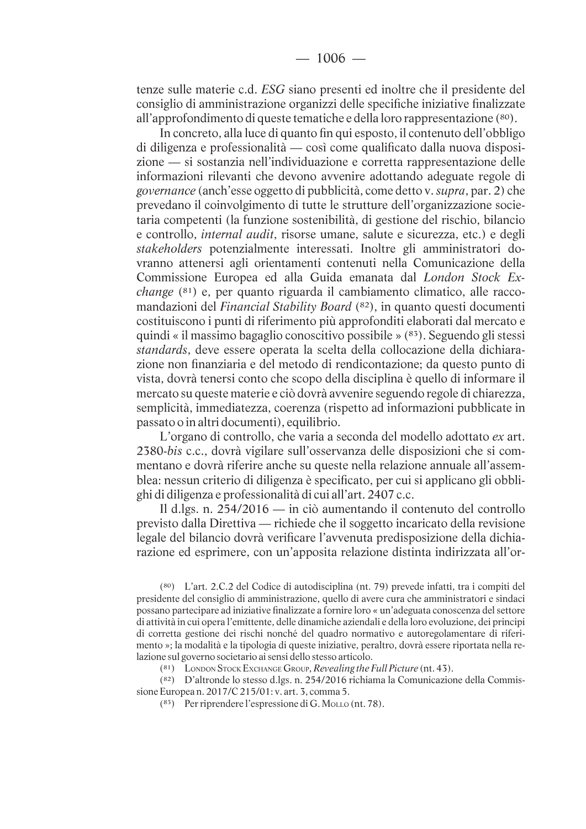tenze sulle materie c.d. *ESG* siano presenti ed inoltre che il presidente del consiglio di amministrazione organizzi delle specifiche iniziative finalizzate all'approfondimento di queste tematiche e della loro rappresentazione (80).

In concreto, alla luce di quanto fin qui esposto, il contenuto dell'obbligo di diligenza e professionalità — così come qualificato dalla nuova disposizione — si sostanzia nell'individuazione e corretta rappresentazione delle informazioni rilevanti che devono avvenire adottando adeguate regole di *governance* (anch'esse oggetto di pubblicità, come detto v. *supra*, par. 2) che prevedano il coinvolgimento di tutte le strutture dell'organizzazione societaria competenti (la funzione sostenibilità, di gestione del rischio, bilancio e controllo, *internal audit*, risorse umane, salute e sicurezza, etc.) e degli *stakeholders* potenzialmente interessati. Inoltre gli amministratori dovranno attenersi agli orientamenti contenuti nella Comunicazione della Commissione Europea ed alla Guida emanata dal *London Stock Exchange* (81) e, per quanto riguarda il cambiamento climatico, alle raccomandazioni del *Financial Stability Board* (82), in quanto questi documenti costituiscono i punti di riferimento più approfonditi elaborati dal mercato e quindi « il massimo bagaglio conoscitivo possibile » (83). Seguendo gli stessi *standards*, deve essere operata la scelta della collocazione della dichiarazione non finanziaria e del metodo di rendicontazione; da questo punto di vista, dovrà tenersi conto che scopo della disciplina è quello di informare il mercato su queste materie e ciò dovrà avvenire seguendo regole di chiarezza, semplicità, immediatezza, coerenza (rispetto ad informazioni pubblicate in passato o in altri documenti), equilibrio.

L'organo di controllo, che varia a seconda del modello adottato *ex* art. 2380-*bis* c.c., dovrà vigilare sull'osservanza delle disposizioni che si commentano e dovrà riferire anche su queste nella relazione annuale all'assemblea: nessun criterio di diligenza è specificato, per cui si applicano gli obblighi di diligenza e professionalità di cui all'art. 2407 c.c.

Il d.lgs. n. 254/2016 — in ciò aumentando il contenuto del controllo previsto dalla Direttiva — richiede che il soggetto incaricato della revisione legale del bilancio dovrà verificare l'avvenuta predisposizione della dichiarazione ed esprimere, con un'apposita relazione distinta indirizzata all'or-

(80) L'art. 2.C.2 del Codice di autodisciplina (nt. 79) prevede infatti, tra i compiti del presidente del consiglio di amministrazione, quello di avere cura che amministratori e sindaci possano partecipare ad iniziative finalizzate a fornire loro « un'adeguata conoscenza del settore di attività in cui opera l'emittente, delle dinamiche aziendali e della loro evoluzione, dei principi di corretta gestione dei rischi nonché del quadro normativo e autoregolamentare di riferimento »; la modalità e la tipologia di queste iniziative, peraltro, dovrà essere riportata nella relazione sul governo societario ai sensi dello stesso articolo.

(81) LONDON STOCK EXCHANGE GROUP,*Revealing the Full Picture* (nt. 43).

(82) D'altronde lo stesso d.lgs. n. 254/2016 richiama la Comunicazione della Commissione Europea n. 2017/C 215/01: v. art. 3, comma 5.

(83) Per riprendere l'espressione di G. MOLLO (nt. 78).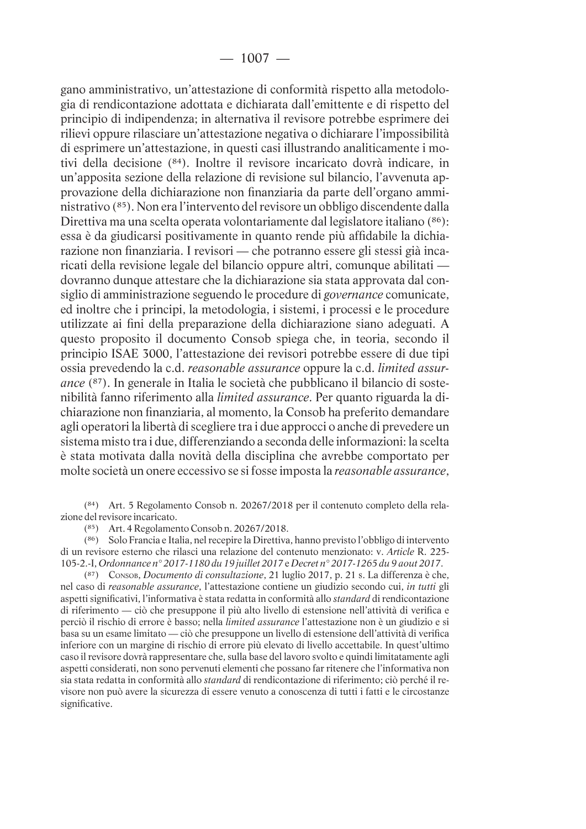gano amministrativo, un'attestazione di conformità rispetto alla metodologia di rendicontazione adottata e dichiarata dall'emittente e di rispetto del principio di indipendenza; in alternativa il revisore potrebbe esprimere dei rilievi oppure rilasciare un'attestazione negativa o dichiarare l'impossibilità di esprimere un'attestazione, in questi casi illustrando analiticamente i motivi della decisione (84). Inoltre il revisore incaricato dovrà indicare, in un'apposita sezione della relazione di revisione sul bilancio, l'avvenuta approvazione della dichiarazione non finanziaria da parte dell'organo amministrativo (85). Non era l'intervento del revisore un obbligo discendente dalla Direttiva ma una scelta operata volontariamente dal legislatore italiano (86): essa è da giudicarsi positivamente in quanto rende più affidabile la dichiarazione non finanziaria. I revisori — che potranno essere gli stessi già incaricati della revisione legale del bilancio oppure altri, comunque abilitati dovranno dunque attestare che la dichiarazione sia stata approvata dal consiglio di amministrazione seguendo le procedure di *governance* comunicate, ed inoltre che i principi, la metodologia, i sistemi, i processi e le procedure utilizzate ai fini della preparazione della dichiarazione siano adeguati. A questo proposito il documento Consob spiega che, in teoria, secondo il principio ISAE 3000, l'attestazione dei revisori potrebbe essere di due tipi ossia prevedendo la c.d. *reasonable assurance* oppure la c.d. *limited assurance* (87). In generale in Italia le società che pubblicano il bilancio di sostenibilità fanno riferimento alla *limited assurance*. Per quanto riguarda la dichiarazione non finanziaria, al momento, la Consob ha preferito demandare agli operatori la libertà di scegliere tra i due approcci o anche di prevedere un sistema misto tra i due, differenziando a seconda delle informazioni: la scelta è stata motivata dalla novità della disciplina che avrebbe comportato per molte società un onere eccessivo se si fosse imposta la *reasonable assurance*,

(84) Art. 5 Regolamento Consob n. 20267/2018 per il contenuto completo della relazione del revisore incaricato.

(85) Art. 4 Regolamento Consob n. 20267/2018.

(86) Solo Francia e Italia, nel recepire la Direttiva, hanno previsto l'obbligo di intervento di un revisore esterno che rilasci una relazione del contenuto menzionato: v. *Article* R. 225- 105-2.-I, *Ordonnance n° 2017-1180 du 19 juillet 2017* e *Decret n° 2017-1265 du 9 aout 2017*.

(87) CONSOB, *Documento di consultazione*, 21 luglio 2017, p. 21 s. La differenza è che, nel caso di *reasonable assurance*, l'attestazione contiene un giudizio secondo cui, *in tutti* gli aspetti significativi, l'informativa è stata redatta in conformità allo *standard* di rendicontazione di riferimento — ciò che presuppone il più alto livello di estensione nell'attività di verifica e perciò il rischio di errore è basso; nella *limited assurance* l'attestazione non è un giudizio e si basa su un esame limitato — ciò che presuppone un livello di estensione dell'attività di verifica inferiore con un margine di rischio di errore più elevato di livello accettabile. In quest'ultimo caso il revisore dovrà rappresentare che, sulla base del lavoro svolto e quindi limitatamente agli aspetti considerati, non sono pervenuti elementi che possano far ritenere che l'informativa non sia stata redatta in conformità allo *standard* di rendicontazione di riferimento; ciò perché il revisore non può avere la sicurezza di essere venuto a conoscenza di tutti i fatti e le circostanze significative.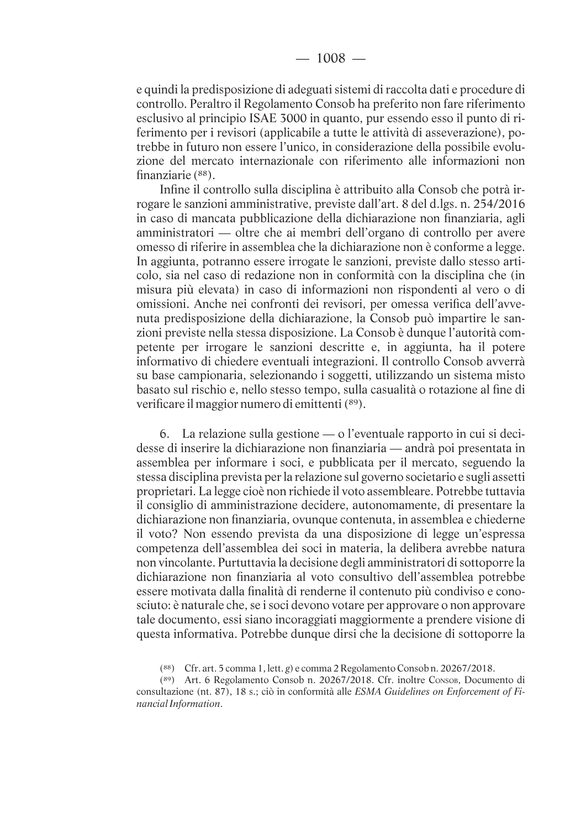e quindi la predisposizione di adeguati sistemi di raccolta dati e procedure di controllo. Peraltro il Regolamento Consob ha preferito non fare riferimento esclusivo al principio ISAE 3000 in quanto, pur essendo esso il punto di riferimento per i revisori (applicabile a tutte le attività di asseverazione), potrebbe in futuro non essere l'unico, in considerazione della possibile evoluzione del mercato internazionale con riferimento alle informazioni non finanziarie (88).

Infine il controllo sulla disciplina è attribuito alla Consob che potrà irrogare le sanzioni amministrative, previste dall'art. 8 del d.lgs. n. 254/2016 in caso di mancata pubblicazione della dichiarazione non finanziaria, agli amministratori — oltre che ai membri dell'organo di controllo per avere omesso di riferire in assemblea che la dichiarazione non è conforme a legge. In aggiunta, potranno essere irrogate le sanzioni, previste dallo stesso articolo, sia nel caso di redazione non in conformità con la disciplina che (in misura più elevata) in caso di informazioni non rispondenti al vero o di omissioni. Anche nei confronti dei revisori, per omessa verifica dell'avvenuta predisposizione della dichiarazione, la Consob può impartire le sanzioni previste nella stessa disposizione. La Consob è dunque l'autorità competente per irrogare le sanzioni descritte e, in aggiunta, ha il potere informativo di chiedere eventuali integrazioni. Il controllo Consob avverrà su base campionaria, selezionando i soggetti, utilizzando un sistema misto basato sul rischio e, nello stesso tempo, sulla casualità o rotazione al fine di verificare il maggior numero di emittenti (89).

6. La relazione sulla gestione — o l'eventuale rapporto in cui si decidesse di inserire la dichiarazione non finanziaria — andrà poi presentata in assemblea per informare i soci, e pubblicata per il mercato, seguendo la stessa disciplina prevista per la relazione sul governo societario e sugli assetti proprietari. La legge cioè non richiede il voto assembleare. Potrebbe tuttavia il consiglio di amministrazione decidere, autonomamente, di presentare la dichiarazione non finanziaria, ovunque contenuta, in assemblea e chiederne il voto? Non essendo prevista da una disposizione di legge un'espressa competenza dell'assemblea dei soci in materia, la delibera avrebbe natura non vincolante. Purtuttavia la decisione degli amministratori di sottoporre la dichiarazione non finanziaria al voto consultivo dell'assemblea potrebbe essere motivata dalla finalità di renderne il contenuto più condiviso e conosciuto: è naturale che, se i soci devono votare per approvare o non approvare tale documento, essi siano incoraggiati maggiormente a prendere visione di questa informativa. Potrebbe dunque dirsi che la decisione di sottoporre la

(88) Cfr. art. 5 comma 1, lett. *g*) e comma 2 Regolamento Consob n. 20267/2018.

(89) Art. 6 Regolamento Consob n. 20267/2018. Cfr. inoltre CONSOB, Documento di consultazione (nt. 87), 18 s.; ciò in conformità alle *ESMA Guidelines on Enforcement of Financial Information*.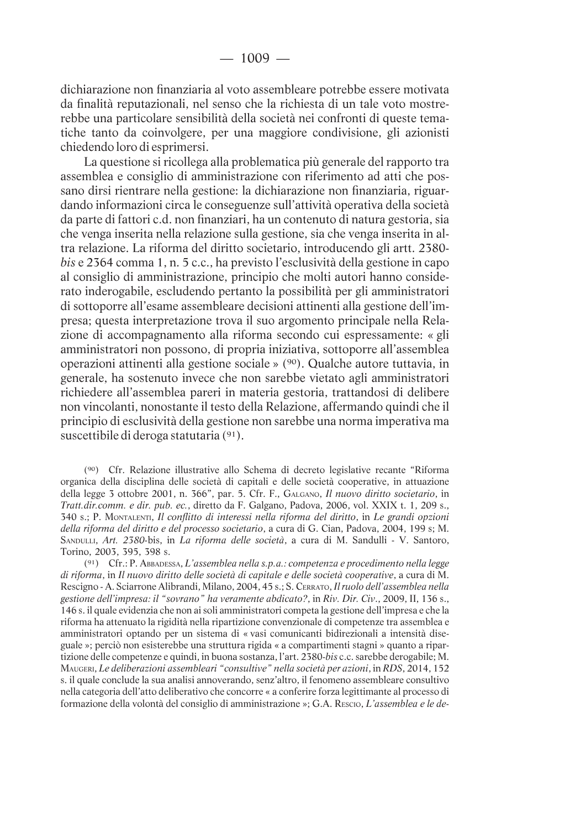dichiarazione non finanziaria al voto assembleare potrebbe essere motivata da finalità reputazionali, nel senso che la richiesta di un tale voto mostrerebbe una particolare sensibilità della società nei confronti di queste tematiche tanto da coinvolgere, per una maggiore condivisione, gli azionisti chiedendo loro di esprimersi.

La questione si ricollega alla problematica più generale del rapporto tra assemblea e consiglio di amministrazione con riferimento ad atti che possano dirsi rientrare nella gestione: la dichiarazione non finanziaria, riguardando informazioni circa le conseguenze sull'attività operativa della società da parte di fattori c.d. non finanziari, ha un contenuto di natura gestoria, sia che venga inserita nella relazione sulla gestione, sia che venga inserita in altra relazione. La riforma del diritto societario, introducendo gli artt. 2380 *bis* e 2364 comma 1, n. 5 c.c., ha previsto l'esclusività della gestione in capo al consiglio di amministrazione, principio che molti autori hanno considerato inderogabile, escludendo pertanto la possibilità per gli amministratori di sottoporre all'esame assembleare decisioni attinenti alla gestione dell'impresa; questa interpretazione trova il suo argomento principale nella Relazione di accompagnamento alla riforma secondo cui espressamente: « gli amministratori non possono, di propria iniziativa, sottoporre all'assemblea operazioni attinenti alla gestione sociale » (90). Qualche autore tuttavia, in generale, ha sostenuto invece che non sarebbe vietato agli amministratori richiedere all'assemblea pareri in materia gestoria, trattandosi di delibere non vincolanti, nonostante il testo della Relazione, affermando quindi che il principio di esclusività della gestione non sarebbe una norma imperativa ma suscettibile di deroga statutaria (91).

(90) Cfr. Relazione illustrative allo Schema di decreto legislative recante "Riforma organica della disciplina delle società di capitali e delle società cooperative, in attuazione della legge 3 ottobre 2001, n. 366", par. 5. Cfr. F., GALGANO, *Il nuovo diritto societario*, in *Tratt.dir.comm. e dir. pub. ec.*, diretto da F. Galgano, Padova, 2006, vol. XXIX t. 1, 209 s., 340 s.; P. MONTALENTI, *Il conflitto di interessi nella riforma del diritto*, in *Le grandi opzioni della riforma del diritto e del processo societario*, a cura di G. Cian, Padova, 2004, 199 s; M. SANDULLI, *Art. 2380-*bis, in *La riforma delle società*, a cura di M. Sandulli - V. Santoro, Torino, 2003, 395, 398 s.

(91) Cfr.: P. ABBADESSA, *L'assemblea nella s.p.a.: competenza e procedimento nella legge di riforma*, in *Il nuovo diritto delle società di capitale e delle società cooperative*, a cura di M. Rescigno - A. Sciarrone Alibrandi, Milano, 2004, 45 s.; S. CERRATO,*Il ruolo dell'assemblea nella gestione dell'impresa: il "sovrano" ha veramente abdicato?*, in *Riv. Dir. Civ*., 2009, II, 136 s., 146 s. il quale evidenzia che non ai soli amministratori competa la gestione dell'impresa e che la riforma ha attenuato la rigidità nella ripartizione convenzionale di competenze tra assemblea e amministratori optando per un sistema di « vasi comunicanti bidirezionali a intensità diseguale »; perciò non esisterebbe una struttura rigida « a compartimenti stagni » quanto a ripartizione delle competenze e quindi, in buona sostanza, l'art. 2380-*bis* c.c. sarebbe derogabile; M. MAUGERI, *Le deliberazioni assembleari "consultive" nella società per azioni*, in *RDS*, 2014, 152 s. il quale conclude la sua analisi annoverando, senz'altro, il fenomeno assembleare consultivo nella categoria dell'atto deliberativo che concorre « a conferire forza legittimante al processo di formazione della volontà del consiglio di amministrazione »; G.A. RESCIO, *L'assemblea e le de-*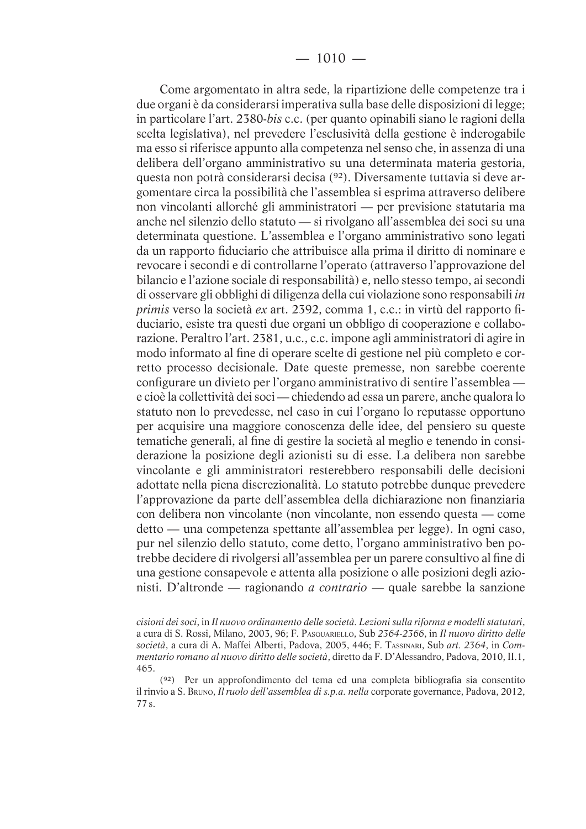$-1010 -$ 

Come argomentato in altra sede, la ripartizione delle competenze tra i due organi è da considerarsi imperativa sulla base delle disposizioni di legge; in particolare l'art. 2380-*bis* c.c. (per quanto opinabili siano le ragioni della scelta legislativa), nel prevedere l'esclusività della gestione è inderogabile ma esso si riferisce appunto alla competenza nel senso che, in assenza di una delibera dell'organo amministrativo su una determinata materia gestoria, questa non potrà considerarsi decisa (92). Diversamente tuttavia si deve argomentare circa la possibilità che l'assemblea si esprima attraverso delibere non vincolanti allorché gli amministratori — per previsione statutaria ma anche nel silenzio dello statuto — si rivolgano all'assemblea dei soci su una determinata questione. L'assemblea e l'organo amministrativo sono legati da un rapporto fiduciario che attribuisce alla prima il diritto di nominare e revocare i secondi e di controllarne l'operato (attraverso l'approvazione del bilancio e l'azione sociale di responsabilità) e, nello stesso tempo, ai secondi di osservare gli obblighi di diligenza della cui violazione sono responsabili *in primis* verso la società *ex* art. 2392, comma 1, c.c.: in virtù del rapporto fiduciario, esiste tra questi due organi un obbligo di cooperazione e collaborazione. Peraltro l'art. 2381, u.c., c.c. impone agli amministratori di agire in modo informato al fine di operare scelte di gestione nel più completo e corretto processo decisionale. Date queste premesse, non sarebbe coerente configurare un divieto per l'organo amministrativo di sentire l'assemblea e cioè la collettività dei soci — chiedendo ad essa un parere, anche qualora lo statuto non lo prevedesse, nel caso in cui l'organo lo reputasse opportuno per acquisire una maggiore conoscenza delle idee, del pensiero su queste tematiche generali, al fine di gestire la società al meglio e tenendo in considerazione la posizione degli azionisti su di esse. La delibera non sarebbe vincolante e gli amministratori resterebbero responsabili delle decisioni adottate nella piena discrezionalità. Lo statuto potrebbe dunque prevedere l'approvazione da parte dell'assemblea della dichiarazione non finanziaria con delibera non vincolante (non vincolante, non essendo questa — come detto — una competenza spettante all'assemblea per legge). In ogni caso, pur nel silenzio dello statuto, come detto, l'organo amministrativo ben potrebbe decidere di rivolgersi all'assemblea per un parere consultivo al fine di una gestione consapevole e attenta alla posizione o alle posizioni degli azionisti. D'altronde — ragionando *a contrario* — quale sarebbe la sanzione

*cisioni dei soci*, in *Il nuovo ordinamento delle società. Lezioni sulla riforma e modelli statutari*, a cura di S. Rossi, Milano, 2003, 96; F. PASQUARIELLO, Sub *2364-2366*, in *Il nuovo diritto delle società*, a cura di A. Maffei Alberti, Padova, 2005, 446; F. TASSINARI, Sub *art. 2364*, in *Commentario romano al nuovo diritto delle società*, diretto da F. D'Alessandro, Padova, 2010, II.1, 465.

<sup>(92)</sup> Per un approfondimento del tema ed una completa bibliografia sia consentito il rinvio a S. BRUNO, *Il ruolo dell'assemblea di s.p.a. nella* corporate governance, Padova, 2012, 77 s.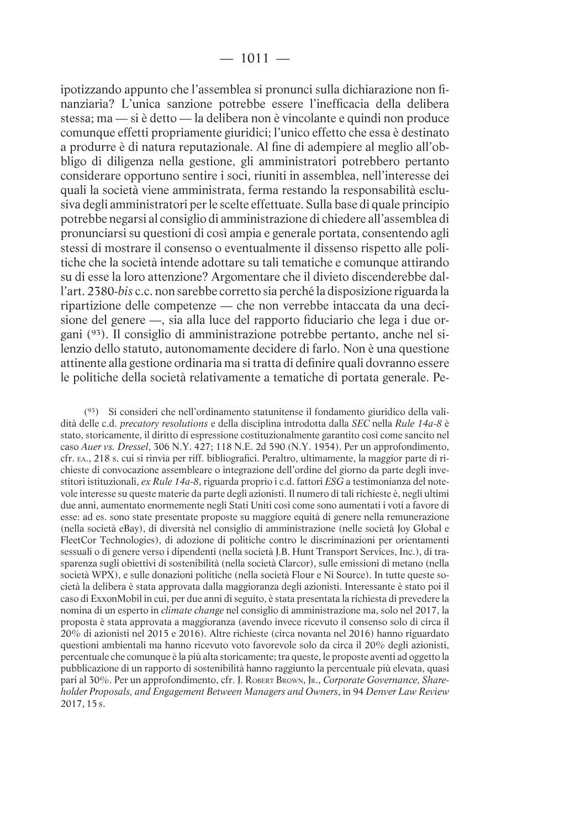ipotizzando appunto che l'assemblea si pronunci sulla dichiarazione non finanziaria? L'unica sanzione potrebbe essere l'inefficacia della delibera stessa; ma — si è detto — la delibera non è vincolante e quindi non produce comunque effetti propriamente giuridici; l'unico effetto che essa è destinato a produrre è di natura reputazionale. Al fine di adempiere al meglio all'obbligo di diligenza nella gestione, gli amministratori potrebbero pertanto considerare opportuno sentire i soci, riuniti in assemblea, nell'interesse dei quali la società viene amministrata, ferma restando la responsabilità esclusiva degli amministratori per le scelte effettuate. Sulla base di quale principio potrebbe negarsi al consiglio di amministrazione di chiedere all'assemblea di pronunciarsi su questioni di così ampia e generale portata, consentendo agli stessi di mostrare il consenso o eventualmente il dissenso rispetto alle politiche che la società intende adottare su tali tematiche e comunque attirando su di esse la loro attenzione? Argomentare che il divieto discenderebbe dall'art. 2380-*bis* c.c. non sarebbe corretto sia perché la disposizione riguarda la ripartizione delle competenze — che non verrebbe intaccata da una decisione del genere —, sia alla luce del rapporto fiduciario che lega i due organi (93). Il consiglio di amministrazione potrebbe pertanto, anche nel silenzio dello statuto, autonomamente decidere di farlo. Non è una questione attinente alla gestione ordinaria ma si tratta di definire quali dovranno essere le politiche della società relativamente a tematiche di portata generale. Pe-

(93) Si consideri che nell'ordinamento statunitense il fondamento giuridico della validità delle c.d. *precatory resolutions* e della disciplina introdotta dalla *SEC* nella *Rule 14a-8* è stato, storicamente, il diritto di espressione costituzionalmente garantito così come sancito nel caso *Auer vs. Dressel*, 306 N.Y. 427; 118 N.E. 2d 590 (N.Y. 1954). Per un approfondimento, cfr. EA., 218 s. cui si rinvia per riff. bibliografici. Peraltro, ultimamente, la maggior parte di richieste di convocazione assembleare o integrazione dell'ordine del giorno da parte degli investitori istituzionali, *ex Rule 14a-8*, riguarda proprio i c.d. fattori *ESG* a testimonianza del notevole interesse su queste materie da parte degli azionisti. Il numero di tali richieste è, negli ultimi due anni, aumentato enormemente negli Stati Uniti così come sono aumentati i voti a favore di esse: ad es. sono state presentate proposte su maggiore equità di genere nella remunerazione (nella società eBay), di diversità nel consiglio di amministrazione (nelle società Joy Global e FleetCor Technologies), di adozione di politiche contro le discriminazioni per orientamenti sessuali o di genere verso i dipendenti (nella società J.B. Hunt Transport Services, Inc.), di trasparenza sugli obiettivi di sostenibilità (nella società Clarcor), sulle emissioni di metano (nella società WPX), e sulle donazioni politiche (nella società Flour e Ni Source). In tutte queste società la delibera è stata approvata dalla maggioranza degli azionisti. Interessante è stato poi il caso di ExxonMobil in cui, per due anni di seguito, è stata presentata la richiesta di prevedere la nomina di un esperto in *climate change* nel consiglio di amministrazione ma, solo nel 2017, la proposta è stata approvata a maggioranza (avendo invece ricevuto il consenso solo di circa il 20% di azionisti nel 2015 e 2016). Altre richieste (circa novanta nel 2016) hanno riguardato questioni ambientali ma hanno ricevuto voto favorevole solo da circa il 20% degli azionisti, percentuale che comunque è la più alta storicamente; tra queste, le proposte aventi ad oggetto la pubblicazione di un rapporto di sostenibilità hanno raggiunto la percentuale più elevata, quasi pari al 30%. Per un approfondimento, cfr. J. ROBERT BROWN, JR., *Corporate Governance, Shareholder Proposals, and Engagement Between Managers and Owners*, in 94 *Denver Law Review* 2017, 15 s.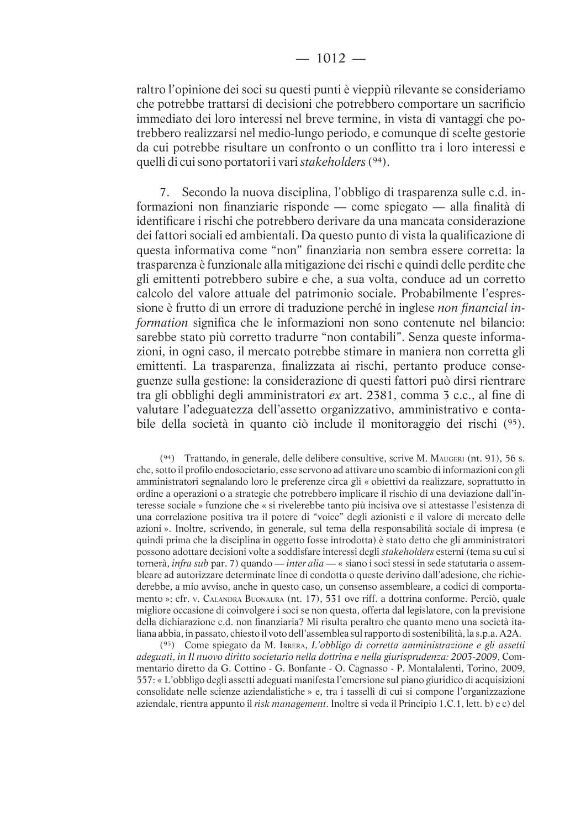raltro l'opinione dei soci su questi punti è vieppiù rilevante se consideriamo che potrebbe trattarsi di decisioni che potrebbero comportare un sacrificio immediato dei loro interessi nel breve termine, in vista di vantaggi che potrebbero realizzarsi nel medio-lungo periodo, e comunque di scelte gestorie da cui potrebbe risultare un confronto o un conflitto tra i loro interessi e quelli di cui sono portatori i vari *stakeholders* (94).

7. Secondo la nuova disciplina, l'obbligo di trasparenza sulle c.d. informazioni non finanziarie risponde — come spiegato — alla finalità di identificare i rischi che potrebbero derivare da una mancata considerazione dei fattori sociali ed ambientali. Da questo punto di vista la qualificazione di questa informativa come "non" finanziaria non sembra essere corretta: la trasparenza è funzionale alla mitigazione dei rischi e quindi delle perdite che gli emittenti potrebbero subire e che, a sua volta, conduce ad un corretto calcolo del valore attuale del patrimonio sociale. Probabilmente l'espressione è frutto di un errore di traduzione perché in inglese *non financial information* significa che le informazioni non sono contenute nel bilancio: sarebbe stato più corretto tradurre "non contabili". Senza queste informazioni, in ogni caso, il mercato potrebbe stimare in maniera non corretta gli emittenti. La trasparenza, finalizzata ai rischi, pertanto produce conseguenze sulla gestione: la considerazione di questi fattori può dirsi rientrare tra gli obblighi degli amministratori *ex* art. 2381, comma 3 c.c., al fine di valutare l'adeguatezza dell'assetto organizzativo, amministrativo e contabile della società in quanto ciò include il monitoraggio dei rischi (95).

(94) Trattando, in generale, delle delibere consultive, scrive M. MAUGERI (nt. 91), 56 s. che, sotto il profilo endosocietario, esse servono ad attivare uno scambio di informazioni con gli amministratori segnalando loro le preferenze circa gli « obiettivi da realizzare, soprattutto in ordine a operazioni o a strategie che potrebbero implicare il rischio di una deviazione dall'interesse sociale » funzione che « si rivelerebbe tanto più incisiva ove si attestasse l'esistenza di una correlazione positiva tra il potere di "voice" degli azionisti e il valore di mercato delle azioni ». Inoltre, scrivendo, in generale, sul tema della responsabilità sociale di impresa (e quindi prima che la disciplina in oggetto fosse introdotta) è stato detto che gli amministratori possono adottare decisioni volte a soddisfare interessi degli *stakeholders* esterni (tema su cui si tornerà, *infra sub* par. 7) quando — *inter alia* — « siano i soci stessi in sede statutaria o assembleare ad autorizzare determinate linee di condotta o queste derivino dall'adesione, che richiederebbe, a mio avviso, anche in questo caso, un consenso assembleare, a codici di comportamento »: cfr. V. CALANDRA BUONAURA (nt. 17), 531 ove riff. a dottrina conforme. Perciò, quale migliore occasione di coinvolgere i soci se non questa, offerta dal legislatore, con la previsione della dichiarazione c.d. non finanziaria? Mi risulta peraltro che quanto meno una società italiana abbia, in passato, chiesto il voto dell'assemblea sul rapporto di sostenibilità, la s.p.a. A2A.

(95) Come spiegato da M. IRRERA, *L'obbligo di corretta amministrazione e gli assetti adeguati*, *in Il nuovo diritto societario nella dottrina e nella giurisprudenza: 2003-2009*, Commentario diretto da G. Cottino - G. Bonfante - O. Cagnasso - P. Montalalenti, Torino, 2009, 557: « L'obbligo degli assetti adeguati manifesta l'emersione sul piano giuridico di acquisizioni consolidate nelle scienze aziendalistiche » e, tra i tasselli di cui si compone l'organizzazione aziendale, rientra appunto il *risk management*. Inoltre si veda il Principio 1.C.1, lett. b) e c) del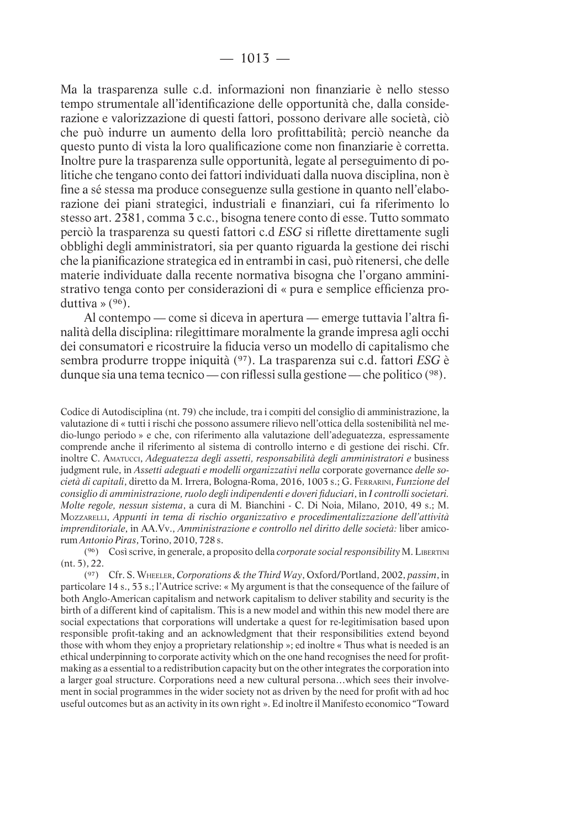$-1013-$ 

Ma la trasparenza sulle c.d. informazioni non finanziarie è nello stesso tempo strumentale all'identificazione delle opportunità che, dalla considerazione e valorizzazione di questi fattori, possono derivare alle società, ciò che può indurre un aumento della loro profittabilità; perciò neanche da questo punto di vista la loro qualificazione come non finanziarie è corretta. Inoltre pure la trasparenza sulle opportunità, legate al perseguimento di politiche che tengano conto dei fattori individuati dalla nuova disciplina, non è fine a sé stessa ma produce conseguenze sulla gestione in quanto nell'elaborazione dei piani strategici, industriali e finanziari, cui fa riferimento lo stesso art. 2381, comma 3 c.c., bisogna tenere conto di esse. Tutto sommato perciò la trasparenza su questi fattori c.d *ESG* si riflette direttamente sugli obblighi degli amministratori, sia per quanto riguarda la gestione dei rischi che la pianificazione strategica ed in entrambi in casi, può ritenersi, che delle materie individuate dalla recente normativa bisogna che l'organo amministrativo tenga conto per considerazioni di « pura e semplice efficienza produttiva »  $(96)$ .

Al contempo — come si diceva in apertura — emerge tuttavia l'altra finalità della disciplina: rilegittimare moralmente la grande impresa agli occhi dei consumatori e ricostruire la fiducia verso un modello di capitalismo che sembra produrre troppe iniquità (97). La trasparenza sui c.d. fattori *ESG* è dunque sia una tema tecnico— con riflessi sulla gestione— che politico (98).

Codice di Autodisciplina (nt. 79) che include, tra i compiti del consiglio di amministrazione, la valutazione di « tutti i rischi che possono assumere rilievo nell'ottica della sostenibilità nel medio-lungo periodo » e che, con riferimento alla valutazione dell'adeguatezza, espressamente comprende anche il riferimento al sistema di controllo interno e di gestione dei rischi. Cfr. inoltre C. AMATUCCI, *Adeguatezza degli assetti, responsabilità degli amministratori e* business judgment rule, in *Assetti adeguati e modelli organizzativi nella* corporate governance *delle società di capitali*, diretto da M. Irrera, Bologna-Roma, 2016, 1003 s.; G. FERRARINI, *Funzione del consiglio di amministrazione, ruolo degli indipendenti e doveri fiduciari*, in *I controlli societari. Molte regole, nessun sistema*, a cura di M. Bianchini - C. Di Noia, Milano, 2010, 49 s.; M. MOZZARELLI, *Appunti in tema di rischio organizzativo e procedimentalizzazione dell'attività imprenditoriale*, in AA.Vv., *Amministrazione e controllo nel diritto delle società:* liber amicorum *Antonio Piras*, Torino, 2010, 728 s.

(96) Così scrive, in generale, a proposito della *corporate social responsibility* M. LIBERTINI (nt. 5), 22.

(97) Cfr. S. WHEELER, *Corporations & the Third Way*, Oxford/Portland, 2002, *passim*, in particolare 14 s., 53 s.; l'Autrice scrive: « My argument is that the consequence of the failure of both Anglo-American capitalism and network capitalism to deliver stability and security is the birth of a different kind of capitalism. This is a new model and within this new model there are social expectations that corporations will undertake a quest for re-legitimisation based upon responsible profit-taking and an acknowledgment that their responsibilities extend beyond those with whom they enjoy a proprietary relationship »; ed inoltre « Thus what is needed is an ethical underpinning to corporate activity which on the one hand recognises the need for profitmaking as a essential to a redistribution capacity but on the other integrates the corporation into a larger goal structure. Corporations need a new cultural persona…which sees their involvement in social programmes in the wider society not as driven by the need for profit with ad hoc useful outcomes but as an activity in its own right ». Ed inoltre il Manifesto economico "Toward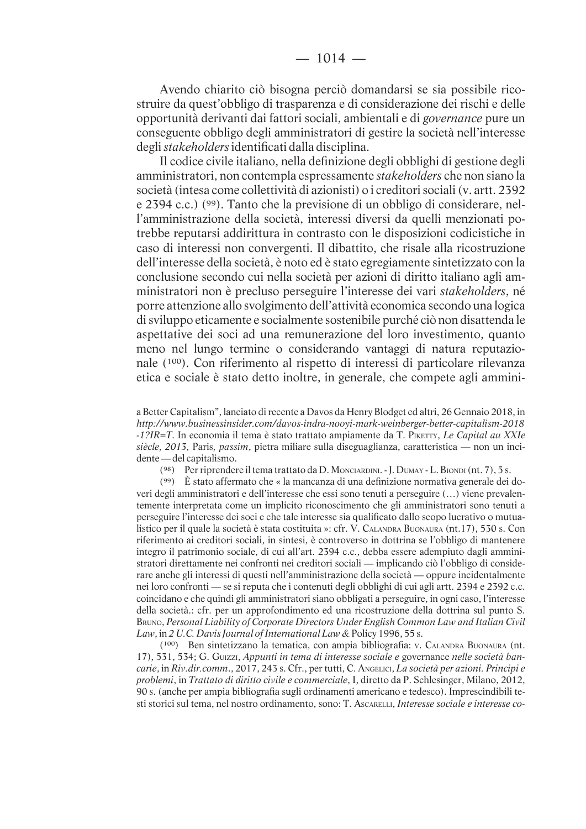Avendo chiarito ciò bisogna perciò domandarsi se sia possibile ricostruire da quest'obbligo di trasparenza e di considerazione dei rischi e delle opportunità derivanti dai fattori sociali, ambientali e di *governance* pure un conseguente obbligo degli amministratori di gestire la società nell'interesse degli *stakeholders* identificati dalla disciplina.

Il codice civile italiano, nella definizione degli obblighi di gestione degli amministratori, non contempla espressamente *stakeholders* che non siano la società (intesa come collettività di azionisti) o i creditori sociali (v. artt. 2392 e 2394 c.c.) (99). Tanto che la previsione di un obbligo di considerare, nell'amministrazione della società, interessi diversi da quelli menzionati potrebbe reputarsi addirittura in contrasto con le disposizioni codicistiche in caso di interessi non convergenti. Il dibattito, che risale alla ricostruzione dell'interesse della società, è noto ed è stato egregiamente sintetizzato con la conclusione secondo cui nella società per azioni di diritto italiano agli amministratori non è precluso perseguire l'interesse dei vari *stakeholders*, né porre attenzione allo svolgimento dell'attività economica secondo una logica di sviluppo eticamente e socialmente sostenibile purché ciò non disattenda le aspettative dei soci ad una remunerazione del loro investimento, quanto meno nel lungo termine o considerando vantaggi di natura reputazionale (100). Con riferimento al rispetto di interessi di particolare rilevanza etica e sociale è stato detto inoltre, in generale, che compete agli ammini-

a Better Capitalism", lanciato di recente a Davos da Henry Blodget ed altri, 26 Gennaio 2018, in *http://www.businessinsider.com/davos-indra-nooyi-mark-weinberger-better-capitalism-2018 -1?IR=T*. In economia il tema è stato trattato ampiamente da T. PIKETTY, *Le Capital au XXIe siècle, 2013,* Paris*, passim*, pietra miliare sulla diseguaglianza, caratteristica — non un incidente— del capitalismo.

(98) Per riprendere il tema trattato da D. MONCIARDINI. - J. DUMAY - L. BIONDI(nt. 7), 5 s.

(99) È stato affermato che « la mancanza di una definizione normativa generale dei doveri degli amministratori e dell'interesse che essi sono tenuti a perseguire (…) viene prevalentemente interpretata come un implicito riconoscimento che gli amministratori sono tenuti a perseguire l'interesse dei soci e che tale interesse sia qualificato dallo scopo lucrativo o mutualistico per il quale la società è stata costituita »: cfr. V. CALANDRA BUONAURA (nt.17), 530 s. Con riferimento ai creditori sociali, in sintesi, è controverso in dottrina se l'obbligo di mantenere integro il patrimonio sociale, di cui all'art. 2394 c.c., debba essere adempiuto dagli amministratori direttamente nei confronti nei creditori sociali — implicando ciò l'obbligo di considerare anche gli interessi di questi nell'amministrazione della società — oppure incidentalmente nei loro confronti — se si reputa che i contenuti degli obblighi di cui agli artt. 2394 e 2392 c.c. coincidano e che quindi gli amministratori siano obbligati a perseguire, in ogni caso, l'interesse della società.: cfr. per un approfondimento ed una ricostruzione della dottrina sul punto S. BRUNO, *Personal Liability of Corporate Directors Under English Common Law and Italian Civil Law*, in *2 U.C. Davis Journal of International Law &* Policy 1996, 55 s.

(100) Ben sintetizzano la tematica, con ampia bibliografia: V. CALANDRA BUONAURA (nt. 17), 531, 534; G. GUIZZI, *Appunti in tema di interesse sociale e* governance *nelle società bancarie*, in *Riv.dir.comm*., 2017, 243 s. Cfr., per tutti, C. ANGELICI, *La società per azioni. Principi e problemi*, in *Trattato di diritto civile e commerciale*, I, diretto da P. Schlesinger, Milano, 2012, 90 s. (anche per ampia bibliografia sugli ordinamenti americano e tedesco). Imprescindibili testi storici sul tema, nel nostro ordinamento, sono: T. ASCARELLI, *Interesse sociale e interesse co-*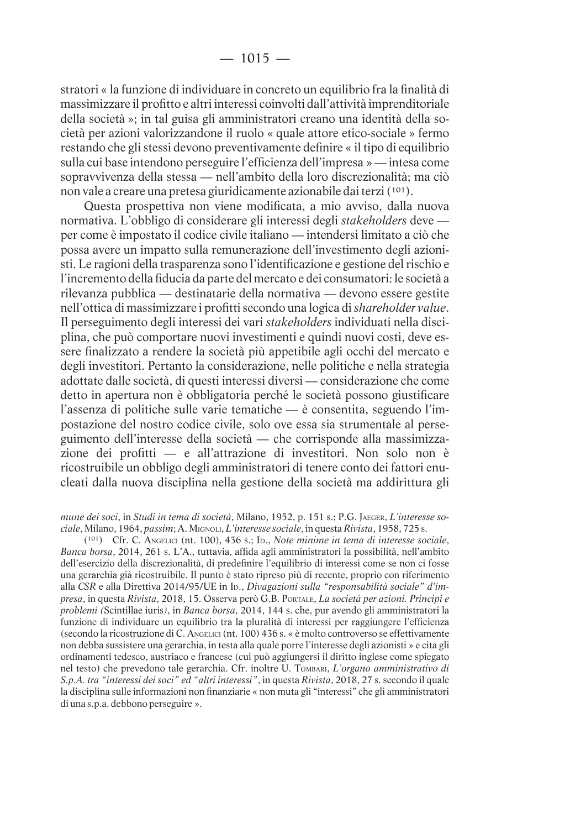stratori « la funzione di individuare in concreto un equilibrio fra la finalità di massimizzare il profitto e altri interessi coinvolti dall'attività imprenditoriale della società »; in tal guisa gli amministratori creano una identità della società per azioni valorizzandone il ruolo « quale attore etico-sociale » fermo restando che gli stessi devono preventivamente definire « il tipo di equilibrio sulla cui base intendono perseguire l'efficienza dell'impresa » — intesa come sopravvivenza della stessa — nell'ambito della loro discrezionalità; ma ciò non vale a creare una pretesa giuridicamente azionabile dai terzi (101).

Questa prospettiva non viene modificata, a mio avviso, dalla nuova normativa. L'obbligo di considerare gli interessi degli *stakeholders* deve per come è impostato il codice civile italiano — intendersi limitato a ciò che possa avere un impatto sulla remunerazione dell'investimento degli azionisti. Le ragioni della trasparenza sono l'identificazione e gestione del rischio e l'incremento della fiducia da parte del mercato e dei consumatori: le società a rilevanza pubblica — destinatarie della normativa — devono essere gestite nell'ottica di massimizzare i profitti secondo una logica di *shareholder value*. Il perseguimento degli interessi dei vari *stakeholders* individuati nella disciplina, che può comportare nuovi investimenti e quindi nuovi costi, deve essere finalizzato a rendere la società più appetibile agli occhi del mercato e degli investitori. Pertanto la considerazione, nelle politiche e nella strategia adottate dalle società, di questi interessi diversi — considerazione che come detto in apertura non è obbligatoria perché le società possono giustificare l'assenza di politiche sulle varie tematiche — è consentita, seguendo l'impostazione del nostro codice civile, solo ove essa sia strumentale al perseguimento dell'interesse della società — che corrisponde alla massimizzazione dei profitti — e all'attrazione di investitori. Non solo non è ricostruibile un obbligo degli amministratori di tenere conto dei fattori enucleati dalla nuova disciplina nella gestione della società ma addirittura gli

*mune dei soci*, in *Studi in tema di società*, Milano, 1952, p. 151 s.; P.G. JAEGER, *L'interesse sociale*, Milano, 1964, *passim*; A. MIGNOLI, *L'interesse sociale*, in questa*Rivista*, 1958, 725 s.

(101) Cfr. C. ANGELICI (nt. 100), 436 s.; ID., *Note minime in tema di interesse sociale*, *Banca borsa*, 2014, 261 s. L'A., tuttavia, affida agli amministratori la possibilità, nell'ambito dell'esercizio della discrezionalità, di predefinire l'equilibrio di interessi come se non ci fosse una gerarchia già ricostruibile. Il punto è stato ripreso più di recente, proprio con riferimento alla *CSR* e alla Direttiva 2014/95/UE in ID., *Divagazioni sulla "responsabilità sociale" d'impresa*, in questa *Rivista*, 2018, 15. Osserva però G.B. PORTALE, *La società per azioni. Principi e problemi (*Scintillae iuris*)*, in *Banca borsa*, 2014, 144 s. che, pur avendo gli amministratori la funzione di individuare un equilibrio tra la pluralità di interessi per raggiungere l'efficienza (secondo la ricostruzione di C. ANGELICI(nt. 100) 436 s. « è molto controverso se effettivamente non debba sussistere una gerarchia, in testa alla quale porre l'interesse degli azionisti » e cita gli ordinamenti tedesco, austriaco e francese (cui può aggiungersi il diritto inglese come spiegato nel testo) che prevedono tale gerarchia. Cfr. inoltre U. TOMBARI, *L'organo amministrativo di S.p.A. tra "interessi dei soci" ed "altri interessi"*, in questa *Rivista*, 2018, 27 s. secondo il quale la disciplina sulle informazioni non finanziarie « non muta gli "interessi" che gli amministratori di una s.p.a. debbono perseguire ».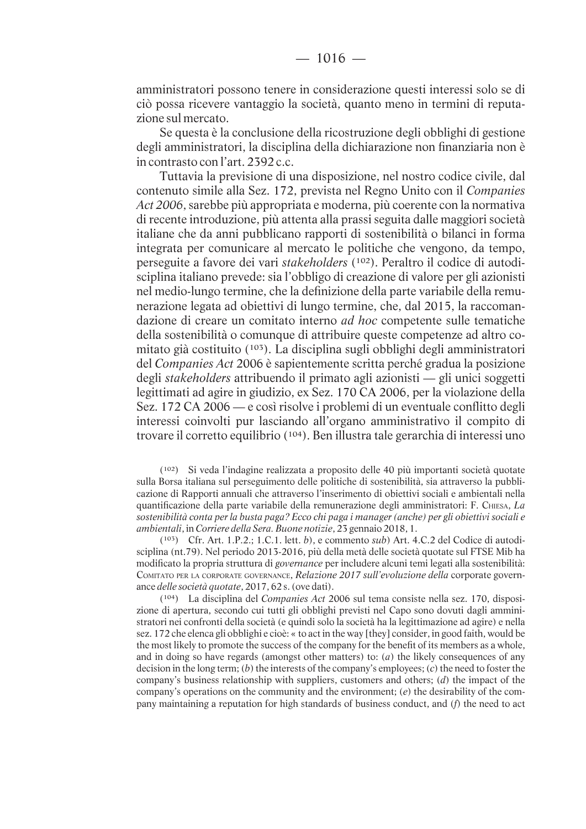amministratori possono tenere in considerazione questi interessi solo se di ciò possa ricevere vantaggio la società, quanto meno in termini di reputazione sul mercato.

Se questa è la conclusione della ricostruzione degli obblighi di gestione degli amministratori, la disciplina della dichiarazione non finanziaria non è in contrasto con l'art. 2392 c.c.

Tuttavia la previsione di una disposizione, nel nostro codice civile, dal contenuto simile alla Sez. 172, prevista nel Regno Unito con il *Companies Act 2006*, sarebbe più appropriata e moderna, più coerente con la normativa di recente introduzione, più attenta alla prassi seguita dalle maggiori società italiane che da anni pubblicano rapporti di sostenibilità o bilanci in forma integrata per comunicare al mercato le politiche che vengono, da tempo, perseguite a favore dei vari *stakeholders* (102). Peraltro il codice di autodisciplina italiano prevede: sia l'obbligo di creazione di valore per gli azionisti nel medio-lungo termine, che la definizione della parte variabile della remunerazione legata ad obiettivi di lungo termine, che, dal 2015, la raccomandazione di creare un comitato interno *ad hoc* competente sulle tematiche della sostenibilità o comunque di attribuire queste competenze ad altro comitato già costituito (103). La disciplina sugli obblighi degli amministratori del *Companies Act* 2006 è sapientemente scritta perché gradua la posizione degli *stakeholders* attribuendo il primato agli azionisti — gli unici soggetti legittimati ad agire in giudizio, ex Sez. 170 CA 2006, per la violazione della Sez. 172 CA 2006 — e così risolve i problemi di un eventuale conflitto degli interessi coinvolti pur lasciando all'organo amministrativo il compito di trovare il corretto equilibrio (104). Ben illustra tale gerarchia di interessi uno

(102) Si veda l'indagine realizzata a proposito delle 40 più importanti società quotate sulla Borsa italiana sul perseguimento delle politiche di sostenibilità, sia attraverso la pubblicazione di Rapporti annuali che attraverso l'inserimento di obiettivi sociali e ambientali nella quantificazione della parte variabile della remunerazione degli amministratori: F. CHIESA, *La sostenibilità conta per la busta paga? Ecco chi paga i manager (anche) per gli obiettivi sociali e ambientali*, in *Corriere della Sera. Buone notizie*, 23 gennaio 2018, 1.

(103) Cfr. Art. 1.P.2.; 1.C.1. lett. *b*), e commento *sub*) Art. 4.C.2 del Codice di autodisciplina (nt.79). Nel periodo 2013-2016, più della metà delle società quotate sul FTSE Mib ha modificato la propria struttura di *governance* per includere alcuni temi legati alla sostenibilità: COMITATO PER LA CORPORATE GOVERNANCE, *Relazione 2017 sull'evoluzione della* corporate governance *delle società quotate*, 2017, 62 s. (ove dati).

(104) La disciplina del *Companies Act* 2006 sul tema consiste nella sez. 170, disposizione di apertura, secondo cui tutti gli obblighi previsti nel Capo sono dovuti dagli amministratori nei confronti della società (e quindi solo la società ha la legittimazione ad agire) e nella sez. 172 che elenca gli obblighi e cioè: « to act in the way [they] consider, in good faith, would be the most likely to promote the success of the company for the benefit of its members as a whole, and in doing so have regards (amongst other matters) to: (*a*) the likely consequences of any decision in the long term; (*b*) the interests of the company's employees; (*c*) the need to foster the company's business relationship with suppliers, customers and others; (*d*) the impact of the company's operations on the community and the environment; (*e*) the desirability of the company maintaining a reputation for high standards of business conduct, and (*f*) the need to act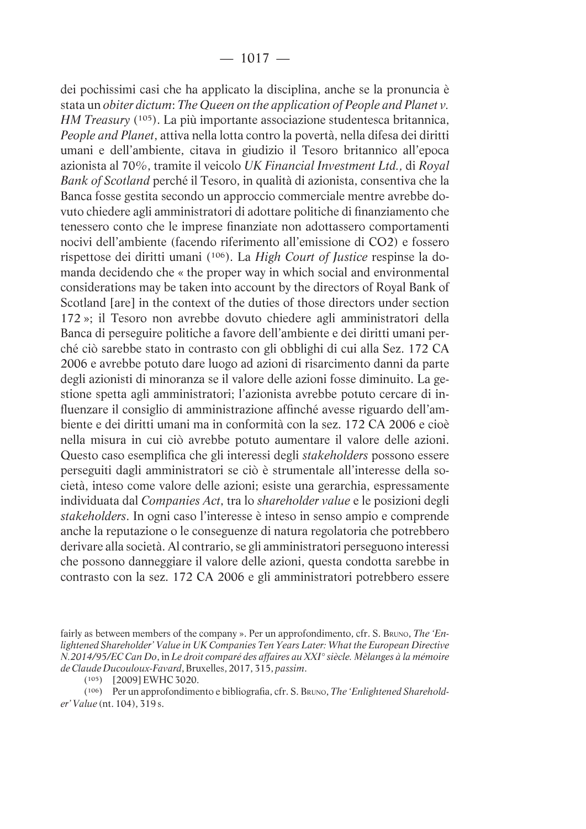dei pochissimi casi che ha applicato la disciplina, anche se la pronuncia è stata un *obiter dictum*: *The Queen on the application of People and Planet v. HM Treasury* (<sup>105</sup>). La più importante associazione studentesca britannica, *People and Planet*, attiva nella lotta contro la povertà, nella difesa dei diritti umani e dell'ambiente, citava in giudizio il Tesoro britannico all'epoca azionista al 70%, tramite il veicolo *UK Financial Investment Ltd.,* di *Royal Bank of Scotland* perché il Tesoro, in qualità di azionista, consentiva che la Banca fosse gestita secondo un approccio commerciale mentre avrebbe dovuto chiedere agli amministratori di adottare politiche di finanziamento che tenessero conto che le imprese finanziate non adottassero comportamenti nocivi dell'ambiente (facendo riferimento all'emissione di CO2) e fossero rispettose dei diritti umani (106). La *High Court of Justice* respinse la domanda decidendo che « the proper way in which social and environmental considerations may be taken into account by the directors of Royal Bank of Scotland [are] in the context of the duties of those directors under section 172 »; il Tesoro non avrebbe dovuto chiedere agli amministratori della Banca di perseguire politiche a favore dell'ambiente e dei diritti umani perché ciò sarebbe stato in contrasto con gli obblighi di cui alla Sez. 172 CA 2006 e avrebbe potuto dare luogo ad azioni di risarcimento danni da parte degli azionisti di minoranza se il valore delle azioni fosse diminuito. La gestione spetta agli amministratori; l'azionista avrebbe potuto cercare di influenzare il consiglio di amministrazione affinché avesse riguardo dell'ambiente e dei diritti umani ma in conformità con la sez. 172 CA 2006 e cioè nella misura in cui ciò avrebbe potuto aumentare il valore delle azioni. Questo caso esemplifica che gli interessi degli *stakeholders* possono essere perseguiti dagli amministratori se ciò è strumentale all'interesse della società, inteso come valore delle azioni; esiste una gerarchia, espressamente individuata dal *Companies Act*, tra lo *shareholder value* e le posizioni degli *stakeholders*. In ogni caso l'interesse è inteso in senso ampio e comprende anche la reputazione o le conseguenze di natura regolatoria che potrebbero derivare alla società. Al contrario, se gli amministratori perseguono interessi che possono danneggiare il valore delle azioni, questa condotta sarebbe in contrasto con la sez. 172 CA 2006 e gli amministratori potrebbero essere

fairly as between members of the company ». Per un approfondimento, cfr. S. BRUNO, *The 'Enlightened Shareholder' Value in UK Companies Ten Years Later: What the European Directive N.2014/95/EC Can Do*, in *Le droit comparé des affaires au XXI° siècle. Mèlanges à la mémoire de Claude Ducouloux-Favard*, Bruxelles, 2017, 315, *passim*.

<sup>(105) [2009]</sup> EWHC 3020.

<sup>(106)</sup> Per un approfondimento e bibliografia, cfr. S. BRUNO, *The 'Enlightened Shareholder' Value* (nt. 104), 319 s.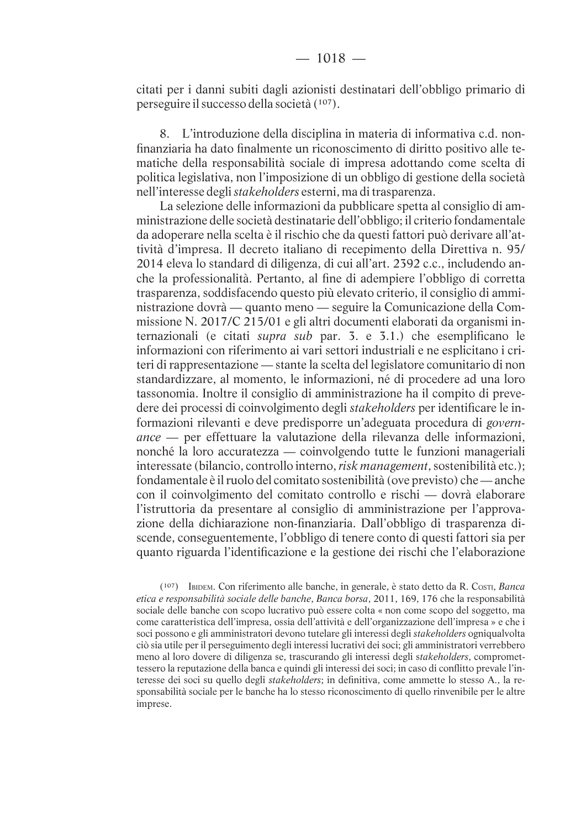citati per i danni subiti dagli azionisti destinatari dell'obbligo primario di perseguire il successo della società (107).

8. L'introduzione della disciplina in materia di informativa c.d. nonfinanziaria ha dato finalmente un riconoscimento di diritto positivo alle tematiche della responsabilità sociale di impresa adottando come scelta di politica legislativa, non l'imposizione di un obbligo di gestione della società nell'interesse degli *stakeholders* esterni, ma di trasparenza.

La selezione delle informazioni da pubblicare spetta al consiglio di amministrazione delle società destinatarie dell'obbligo; il criterio fondamentale da adoperare nella scelta è il rischio che da questi fattori può derivare all'attività d'impresa. Il decreto italiano di recepimento della Direttiva n. 95/ 2014 eleva lo standard di diligenza, di cui all'art. 2392 c.c., includendo anche la professionalità. Pertanto, al fine di adempiere l'obbligo di corretta trasparenza, soddisfacendo questo più elevato criterio, il consiglio di amministrazione dovrà — quanto meno — seguire la Comunicazione della Commissione N. 2017/C 215/01 e gli altri documenti elaborati da organismi internazionali (e citati *supra sub* par. 3. e 3.1.) che esemplificano le informazioni con riferimento ai vari settori industriali e ne esplicitano i criteri di rappresentazione — stante la scelta del legislatore comunitario di non standardizzare, al momento, le informazioni, né di procedere ad una loro tassonomia. Inoltre il consiglio di amministrazione ha il compito di prevedere dei processi di coinvolgimento degli *stakeholders* per identificare le informazioni rilevanti e deve predisporre un'adeguata procedura di *governance* — per effettuare la valutazione della rilevanza delle informazioni, nonché la loro accuratezza — coinvolgendo tutte le funzioni manageriali interessate (bilancio, controllo interno, *risk management*, sostenibilità etc.); fondamentale è il ruolo del comitato sostenibilità (ove previsto) che — anche con il coinvolgimento del comitato controllo e rischi — dovrà elaborare l'istruttoria da presentare al consiglio di amministrazione per l'approvazione della dichiarazione non-finanziaria. Dall'obbligo di trasparenza discende, conseguentemente, l'obbligo di tenere conto di questi fattori sia per quanto riguarda l'identificazione e la gestione dei rischi che l'elaborazione

(107) IBIDEM. Con riferimento alle banche, in generale, è stato detto da R. COSTI, *Banca etica e responsabilità sociale delle banche*, *Banca borsa*, 2011, 169, 176 che la responsabilità sociale delle banche con scopo lucrativo può essere colta « non come scopo del soggetto, ma come caratteristica dell'impresa, ossia dell'attività e dell'organizzazione dell'impresa » e che i soci possono e gli amministratori devono tutelare gli interessi degli *stakeholders* ogniqualvolta ciò sia utile per il perseguimento degli interessi lucrativi dei soci; gli amministratori verrebbero meno al loro dovere di diligenza se, trascurando gli interessi degli s*takeholders*, compromettessero la reputazione della banca e quindi gli interessi dei soci; in caso di conflitto prevale l'interesse dei soci su quello degli *stakeholders*; in definitiva, come ammette lo stesso A., la responsabilità sociale per le banche ha lo stesso riconoscimento di quello rinvenibile per le altre imprese.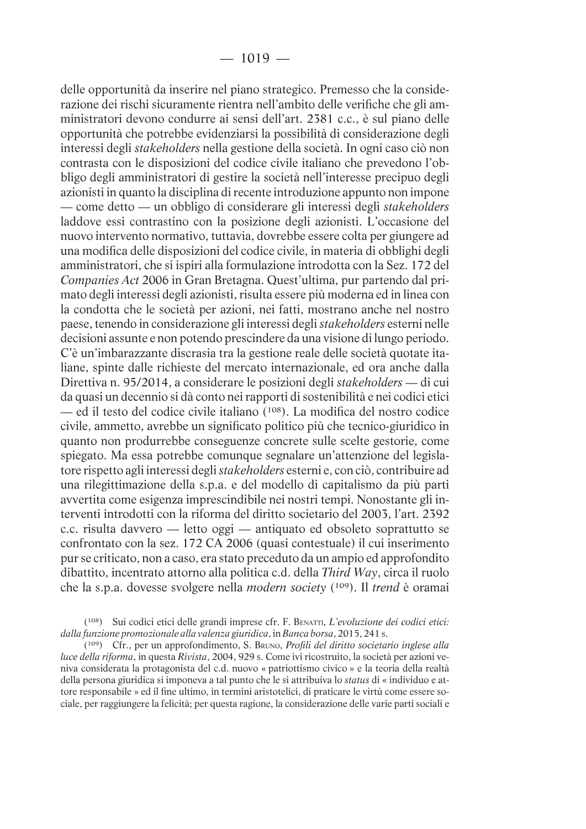delle opportunità da inserire nel piano strategico. Premesso che la considerazione dei rischi sicuramente rientra nell'ambito delle verifiche che gli amministratori devono condurre ai sensi dell'art. 2381 c.c., è sul piano delle opportunità che potrebbe evidenziarsi la possibilità di considerazione degli interessi degli *stakeholders* nella gestione della società. In ogni caso ciò non contrasta con le disposizioni del codice civile italiano che prevedono l'obbligo degli amministratori di gestire la società nell'interesse precipuo degli azionisti in quanto la disciplina di recente introduzione appunto non impone — come detto — un obbligo di considerare gli interessi degli *stakeholders* laddove essi contrastino con la posizione degli azionisti. L'occasione del nuovo intervento normativo, tuttavia, dovrebbe essere colta per giungere ad una modifica delle disposizioni del codice civile, in materia di obblighi degli amministratori, che si ispiri alla formulazione introdotta con la Sez. 172 del *Companies Act* 2006 in Gran Bretagna. Quest'ultima, pur partendo dal primato degli interessi degli azionisti, risulta essere più moderna ed in linea con la condotta che le società per azioni, nei fatti, mostrano anche nel nostro paese, tenendo in considerazione gli interessi degli *stakeholders* esterni nelle decisioni assunte e non potendo prescindere da una visione di lungo periodo. C'è un'imbarazzante discrasia tra la gestione reale delle società quotate italiane, spinte dalle richieste del mercato internazionale, ed ora anche dalla Direttiva n. 95/2014, a considerare le posizioni degli *stakeholders* — di cui da quasi un decennio si dà conto nei rapporti di sostenibilità e nei codici etici — ed il testo del codice civile italiano (108). La modifica del nostro codice civile, ammetto, avrebbe un significato politico più che tecnico-giuridico in quanto non produrrebbe conseguenze concrete sulle scelte gestorie, come spiegato. Ma essa potrebbe comunque segnalare un'attenzione del legislatore rispetto agli interessi degli *stakeholders* esterni e, con ciò, contribuire ad una rilegittimazione della s.p.a. e del modello di capitalismo da più parti avvertita come esigenza imprescindibile nei nostri tempi. Nonostante gli interventi introdotti con la riforma del diritto societario del 2003, l'art. 2392 c.c. risulta davvero — letto oggi — antiquato ed obsoleto soprattutto se confrontato con la sez. 172 CA 2006 (quasi contestuale) il cui inserimento pur se criticato, non a caso, era stato preceduto da un ampio ed approfondito dibattito, incentrato attorno alla politica c.d. della *Third Way*, circa il ruolo che la s.p.a. dovesse svolgere nella *modern society* (109). Il *trend* è oramai

<sup>(108)</sup> Sui codici etici delle grandi imprese cfr. F. BENATTI, *L'evoluzione dei codici etici: dalla funzione promozionale alla valenza giuridica*, in *Banca borsa*, 2015, 241 s.

<sup>(109)</sup> Cfr., per un approfondimento, S. BRUNO, *Profili del diritto societario inglese alla luce della riforma*, in questa *Rivista*, 2004, 929 s. Come ivi ricostruito, la società per azioni veniva considerata la protagonista del c.d. nuovo « patriottismo civico » e la teoria della realtà della persona giuridica si imponeva a tal punto che le si attribuiva lo *status* di « individuo e attore responsabile » ed il fine ultimo, in termini aristotelici, di praticare le virtù come essere sociale, per raggiungere la felicità; per questa ragione, la considerazione delle varie parti sociali e